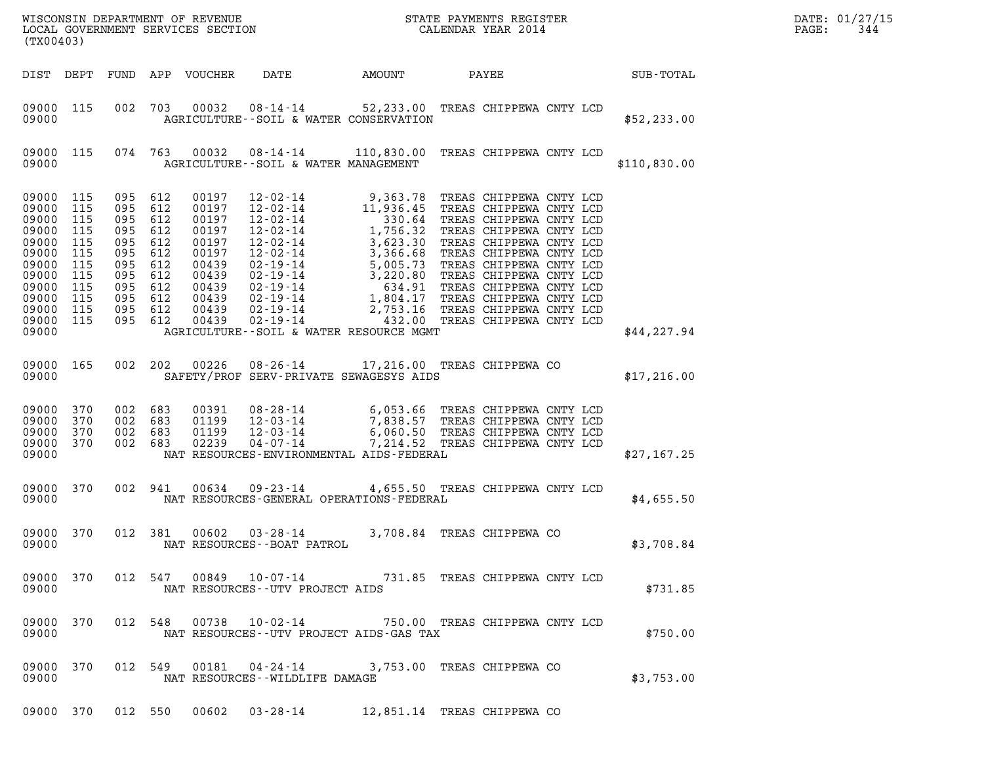| (TX00403)                                                                                                                                                                                                                                                                                                                                                                                                                                                                                                       |                                                                                                                                                                                                                                                                                                                                                  |              | DATE: 01/27/15<br>344<br>PAGE: |
|-----------------------------------------------------------------------------------------------------------------------------------------------------------------------------------------------------------------------------------------------------------------------------------------------------------------------------------------------------------------------------------------------------------------------------------------------------------------------------------------------------------------|--------------------------------------------------------------------------------------------------------------------------------------------------------------------------------------------------------------------------------------------------------------------------------------------------------------------------------------------------|--------------|--------------------------------|
| DATE AMOUNT<br>DIST DEPT<br>FUND APP VOUCHER                                                                                                                                                                                                                                                                                                                                                                                                                                                                    | PAYEE                                                                                                                                                                                                                                                                                                                                            | SUB-TOTAL    |                                |
| 09000 115<br>002 703<br>09000<br>AGRICULTURE -- SOIL & WATER CONSERVATION                                                                                                                                                                                                                                                                                                                                                                                                                                       | 00032 08-14-14 52,233.00 TREAS CHIPPEWA CNTY LCD                                                                                                                                                                                                                                                                                                 | \$52, 233.00 |                                |
| 09000 115<br>074 763<br>00032<br>09000<br>AGRICULTURE--SOIL & WATER MANAGEMENT                                                                                                                                                                                                                                                                                                                                                                                                                                  | 08-14-14 110,830.00 TREAS CHIPPEWA CNTY LCD                                                                                                                                                                                                                                                                                                      | \$110,830.00 |                                |
| 09000 115<br>095 612<br>00197<br>09000<br>115<br>095<br>612<br>00197<br>09000<br>115<br>095<br>612<br>00197<br>09000<br>115<br>095<br>612<br>00197<br>612<br>09000<br>115<br>095<br>00197<br>09000<br>115<br>095<br>612<br>00197<br>09000<br>115<br>095<br>612<br>00439<br>09000<br>115<br>095<br>612<br>00439<br>09000 115<br>095<br>612<br>00439<br>09000<br>115<br>095<br>612<br>00439<br>09000 115<br>095 612<br>00439<br>09000 115<br>095 612<br>00439<br>09000<br>AGRICULTURE--SOIL & WATER RESOURCE MGMT | TREAS CHIPPEWA CNTY LCD<br>TREAS CHIPPEWA CNTY LCD<br>TREAS CHIPPEWA CNTY LCD<br>TREAS CHIPPEWA CNTY LCD<br>TREAS CHIPPEWA CNTY LCD<br>TREAS CHIPPEWA CNTY LCD<br>TREAS CHIPPEWA CNTY LCD<br>TREAS CHIPPEWA CNTY LCD<br>TREAS CHIPPEWA CNTY LCD<br>TREAS CHIPPEWA CNTY LCD<br>2,753.16 TREAS CHIPPEWA CNTY LCD<br>432.00 TREAS CHIPPEWA CNTY LCD | \$44,227.94  |                                |
| 09000 165<br>002 202<br>00226<br>08-26-14<br>09000<br>SAFETY/PROF SERV-PRIVATE SEWAGESYS AIDS                                                                                                                                                                                                                                                                                                                                                                                                                   | 17,216.00 TREAS CHIPPEWA CO                                                                                                                                                                                                                                                                                                                      | \$17,216.00  |                                |
| 09000 370<br>002<br>683<br>00391<br>09000 370<br>002 683<br>01199<br>09000 370<br>002<br>683<br>01199<br>002 683<br>09000 370<br>02239<br>$04 - 07 - 14$<br>09000<br>NAT RESOURCES-ENVIRONMENTAL AIDS-FEDERAL                                                                                                                                                                                                                                                                                                   | 08-28-14 6,053.66 TREAS CHIPPEWA CNTY LCD<br>12-03-14 7,838.57 TREAS CHIPPEWA CNTY LCD<br>12-03-14 6,060.50 TREAS CHIPPEWA CNTY LCD<br>7,214.52 TREAS CHIPPEWA CNTY LCD                                                                                                                                                                          | \$27,167.25  |                                |
| 09000 370<br>002 941<br>00634<br>$09 - 23 - 14$<br>09000<br>NAT RESOURCES-GENERAL OPERATIONS-FEDERAL                                                                                                                                                                                                                                                                                                                                                                                                            | 4,655.50 TREAS CHIPPEWA CNTY LCD                                                                                                                                                                                                                                                                                                                 | \$4,655.50   |                                |
| 09000 370<br>012 381<br>00602<br>03-28-14<br>09000<br>NAT RESOURCES - - BOAT PATROL                                                                                                                                                                                                                                                                                                                                                                                                                             | 3,708.84 TREAS CHIPPEWA CO                                                                                                                                                                                                                                                                                                                       | \$3,708.84   |                                |
| 09000 370<br>09000<br>NAT RESOURCES - - UTV PROJECT AIDS                                                                                                                                                                                                                                                                                                                                                                                                                                                        | 012 547 00849 10-07-14 731.85 TREAS CHIPPEWA CNTY LCD                                                                                                                                                                                                                                                                                            | \$731.85     |                                |
| 09000 370<br>09000<br>NAT RESOURCES--UTV PROJECT AIDS-GAS TAX                                                                                                                                                                                                                                                                                                                                                                                                                                                   | 012 548 00738 10-02-14 750.00 TREAS CHIPPEWA CNTY LCD                                                                                                                                                                                                                                                                                            | \$750.00     |                                |
| 09000 370<br>012 549<br>09000<br>NAT RESOURCES - WILDLIFE DAMAGE                                                                                                                                                                                                                                                                                                                                                                                                                                                | 00181  04-24-14  3,753.00 TREAS CHIPPEWA CO                                                                                                                                                                                                                                                                                                      | \$3,753.00   |                                |
| 09000 370 012 550 00602 03-28-14 12,851.14 TREAS CHIPPEWA CO                                                                                                                                                                                                                                                                                                                                                                                                                                                    |                                                                                                                                                                                                                                                                                                                                                  |              |                                |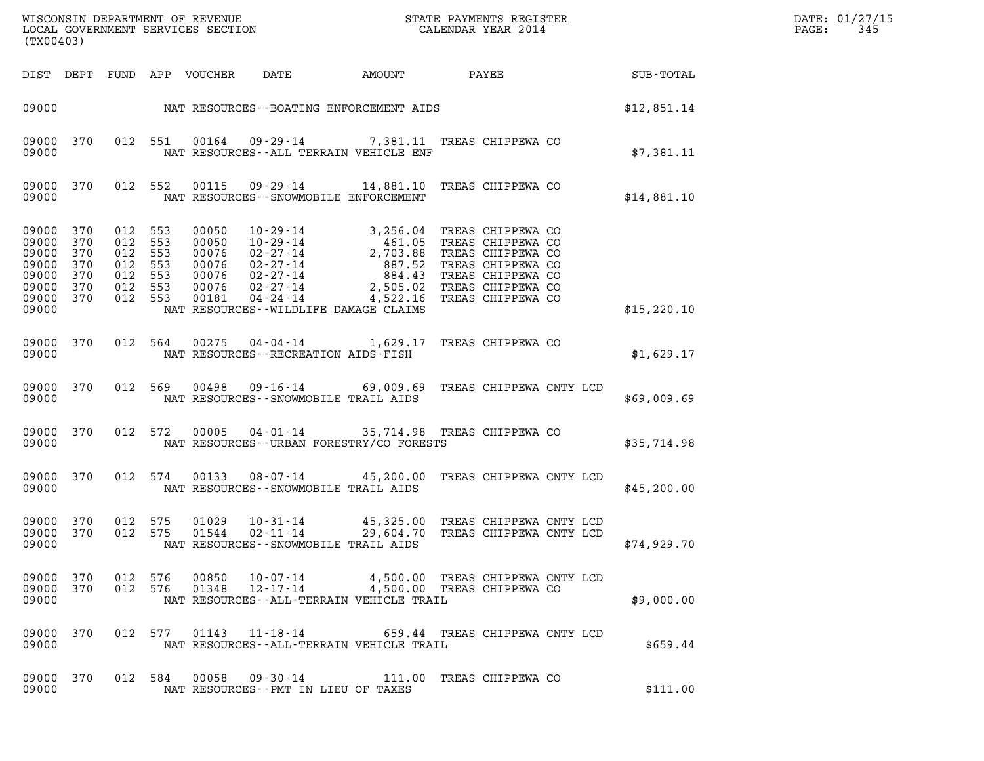| DATE: | 01/27/15 |
|-------|----------|
| PAGE: | 345      |

| (TX00403)                                                                                                                                                                                                                                         | DATE: 01/27/15<br>PAGE:<br>345 |
|---------------------------------------------------------------------------------------------------------------------------------------------------------------------------------------------------------------------------------------------------|--------------------------------|
| AMOUNT PAYEE SUB-TOTAL<br>DATE<br>DIST DEPT FUND APP VOUCHER                                                                                                                                                                                      |                                |
| 09000 NAT RESOURCES--BOATING ENFORCEMENT AIDS \$12,851.14                                                                                                                                                                                         |                                |
| 012 551 00164 09-29-14 7,381.11 TREAS CHIPPEWA CO<br>09000 370<br>\$7,381.11<br>09000<br>NAT RESOURCES--ALL TERRAIN VEHICLE ENF                                                                                                                   |                                |
| 09-29-14 14,881.10 TREAS CHIPPEWA CO<br>09000 370<br>012 552<br>00115<br>09000<br>NAT RESOURCES - - SNOWMOBILE ENFORCEMENT<br>\$14,881.10                                                                                                         |                                |
| 09000 370<br>012 553<br>012 553<br>09000<br>370<br>09000<br>370<br>012 553<br>012 553<br>09000<br>370<br>09000<br>370<br>012 553<br>012 553<br>09000 370<br>012 553<br>09000 370<br>09000<br>NAT RESOURCES--WILDLIFE DAMAGE CLAIMS<br>\$15,220.10 |                                |
| 012 564 00275 04-04-14 1,629.17 TREAS CHIPPEWA CO<br>09000 370<br>09000<br>NAT RESOURCES--RECREATION AIDS-FISH<br>\$1,629.17                                                                                                                      |                                |
| 012 569 00498 09-16-14 69,009.69 TREAS CHIPPEWA CNTY LCD<br>09000 370<br>09000<br>NAT RESOURCES--SNOWMOBILE TRAIL AIDS<br>\$69,009.69                                                                                                             |                                |
| 012 572 00005 04-01-14 35,714.98 TREAS CHIPPEWA CO<br>09000 370<br>NAT RESOURCES--URBAN FORESTRY/CO FORESTS<br>09000<br>\$35,714.98                                                                                                               |                                |
| 012 574 00133 08-07-14 45,200.00 TREAS CHIPPEWA CNTY LCD<br>09000 370<br>09000<br>NAT RESOURCES--SNOWMOBILE TRAIL AIDS<br>\$45,200.00                                                                                                             |                                |
| 09000 370<br>012 575<br>01029<br>45,325.00 TREAS CHIPPEWA CNTY LCD<br>$10 - 31 - 14$<br>09000 370<br>012 575<br>01544<br>$02 - 11 - 14$<br>29,604.70 TREAS CHIPPEWA CNTY LCD<br>\$74,929.70<br>09000<br>NAT RESOURCES - - SNOWMOBILE TRAIL AIDS   |                                |
| 09000 370 012 576 00850 10-07-14 4,500.00 TREAS CHIPPEWA CNTY LCD 09000 370 012 576 01348 12-17-14 4,500.00 TREAS CHIPPEWA CO<br>09000<br>NAT RESOURCES--ALL-TERRAIN VEHICLE TRAIL<br>\$9,000.00                                                  |                                |
| 09000 370<br>012 577 01143 11-18-14 659.44 TREAS CHIPPEWA CNTY LCD<br>09000<br>NAT RESOURCES--ALL-TERRAIN VEHICLE TRAIL<br>\$659.44                                                                                                               |                                |
| 09000 370<br>012 584 00058 09-30-14 111.00 TREAS CHIPPEWA CO<br>09000<br>NAT RESOURCES -- PMT IN LIEU OF TAXES<br>\$111.00                                                                                                                        |                                |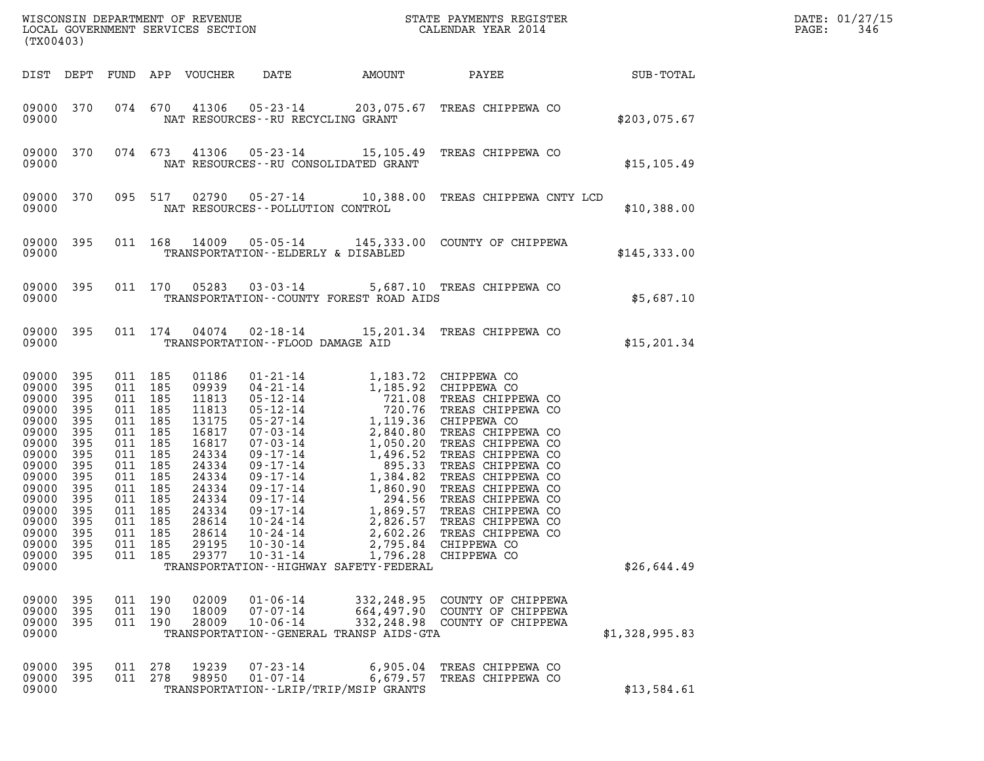| (TX00403)                                                                                                                                                                  |                                                                                                |                                                                                                                                                              |                                     |                                                                                                                                                       |                                                    |                                                                                 |                                                                                                  |                | DATE: 01/27/15<br>PAGE:<br>346 |
|----------------------------------------------------------------------------------------------------------------------------------------------------------------------------|------------------------------------------------------------------------------------------------|--------------------------------------------------------------------------------------------------------------------------------------------------------------|-------------------------------------|-------------------------------------------------------------------------------------------------------------------------------------------------------|----------------------------------------------------|---------------------------------------------------------------------------------|--------------------------------------------------------------------------------------------------|----------------|--------------------------------|
| DIST DEPT                                                                                                                                                                  |                                                                                                |                                                                                                                                                              |                                     | FUND APP VOUCHER                                                                                                                                      | DATE                                               |                                                                                 |                                                                                                  |                |                                |
| 09000 370<br>09000                                                                                                                                                         |                                                                                                |                                                                                                                                                              |                                     |                                                                                                                                                       | NAT RESOURCES - - RU RECYCLING GRANT               |                                                                                 | 074 670 41306 05-23-14 203,075.67 TREAS CHIPPEWA CO                                              | \$203,075.67   |                                |
| 09000 370<br>09000                                                                                                                                                         |                                                                                                |                                                                                                                                                              | 074 673                             |                                                                                                                                                       |                                                    | NAT RESOURCES - - RU CONSOLIDATED GRANT                                         | 41306  05-23-14  15,105.49  TREAS CHIPPEWA CO                                                    | \$15, 105.49   |                                |
| 09000 370<br>09000                                                                                                                                                         |                                                                                                |                                                                                                                                                              | 095 517                             |                                                                                                                                                       | NAT RESOURCES - - POLLUTION CONTROL                |                                                                                 | 02790  05-27-14  10,388.00  TREAS CHIPPEWA CNTY LCD                                              | \$10,388.00    |                                |
| 09000 395<br>09000                                                                                                                                                         |                                                                                                |                                                                                                                                                              |                                     |                                                                                                                                                       | TRANSPORTATION--ELDERLY & DISABLED                 |                                                                                 | 011 168 14009 05-05-14 145,333.00 COUNTY OF CHIPPEWA                                             | \$145,333.00   |                                |
| 09000 395<br>09000                                                                                                                                                         |                                                                                                |                                                                                                                                                              |                                     |                                                                                                                                                       |                                                    | TRANSPORTATION--COUNTY FOREST ROAD AIDS                                         | 011 170 05283 03-03-14 5,687.10 TREAS CHIPPEWA CO                                                | \$5,687.10     |                                |
| 09000 395<br>09000                                                                                                                                                         |                                                                                                |                                                                                                                                                              | 011 174                             |                                                                                                                                                       | TRANSPORTATION--FLOOD DAMAGE AID                   |                                                                                 | 04074  02-18-14  15,201.34  TREAS CHIPPEWA CO                                                    | \$15, 201.34   |                                |
| 09000 395<br>09000<br>09000<br>09000<br>09000<br>09000<br>09000<br>09000<br>09000<br>09000<br>09000<br>09000<br>09000<br>09000<br>09000 395<br>09000 395<br>09000<br>09000 | 395<br>395<br>395<br>395<br>395<br>395<br>395<br>395<br>395<br>395<br>395<br>395<br>395<br>395 | 011 185<br>011 185<br>011 185<br>011 185<br>011 185<br>011<br>011 185<br>011<br>011 185<br>011<br>011 185<br>011 185<br>011 185<br>011 185<br>011 185<br>011 | 185<br>185<br>185<br>185<br>011 185 | 01186<br>09939<br>11813<br>11813<br>13175<br>16817<br>16817<br>24334<br>24334<br>24334<br>24334<br>24334<br>24334<br>28614<br>28614<br>29195<br>29377 | 10-24-14<br>$10 - 30 - 14$<br>$10 - 31 - 14$       | 2,602.26<br>2,795.84<br>1,796.28<br>TRANSPORTATION - - HIGHWAY SAFETY - FEDERAL | TREAS CHIPPEWA CO<br>CHIPPEWA CO<br>CHIPPEWA CO                                                  | \$26,644.49    |                                |
| 09000<br>09000<br>09000<br>09000                                                                                                                                           | 395<br>395<br>395                                                                              | 011 190<br>011 190                                                                                                                                           | 011 190                             | 02009<br>18009<br>28009                                                                                                                               | $01 - 06 - 14$<br>$07 - 07 - 14$<br>$10 - 06 - 14$ | TRANSPORTATION - - GENERAL TRANSP AIDS - GTA                                    | 332,248.95 COUNTY OF CHIPPEWA<br>664,497.90 COUNTY OF CHIPPEWA<br>332, 248.98 COUNTY OF CHIPPEWA | \$1,328,995.83 |                                |
| 09000 395<br>09000<br>09000                                                                                                                                                | 395                                                                                            | 011 278<br>011 278                                                                                                                                           |                                     | 19239<br>98950                                                                                                                                        | $07 - 23 - 14$<br>$01 - 07 - 14$                   | 6,905.04<br>6,679.57<br>TRANSPORTATION - - LRIP/TRIP/MSIP GRANTS                | TREAS CHIPPEWA CO<br>TREAS CHIPPEWA CO                                                           | \$13,584.61    |                                |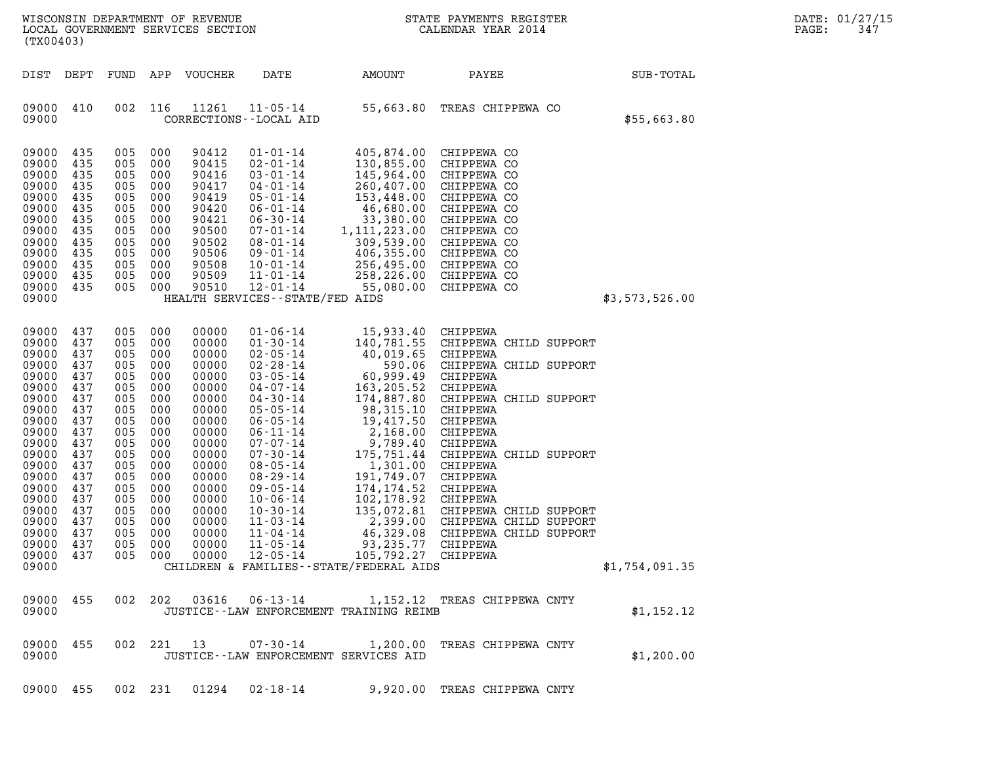| (TX00403)                                                                                                                                                                                          |                                                                                                                                                 |                                                                                                                                          |                                                                                                                                                     | WISCONSIN DEPARTMENT OF REVENUE<br>LOCAL GOVERNMENT SERVICES SECTION                                                                                                                      | $\frac{1}{2}$                                                                                                                                                                                                                                                                                                                                                                          |                                                                                                                                                                                                                                                                                                                                    | STATE PAYMENTS REGISTER<br>CALENDAR YEAR 2014                                                                                                                                                                                                                                                                                 |                | DATE: 01/27/15<br>347<br>PAGE: |
|----------------------------------------------------------------------------------------------------------------------------------------------------------------------------------------------------|-------------------------------------------------------------------------------------------------------------------------------------------------|------------------------------------------------------------------------------------------------------------------------------------------|-----------------------------------------------------------------------------------------------------------------------------------------------------|-------------------------------------------------------------------------------------------------------------------------------------------------------------------------------------------|----------------------------------------------------------------------------------------------------------------------------------------------------------------------------------------------------------------------------------------------------------------------------------------------------------------------------------------------------------------------------------------|------------------------------------------------------------------------------------------------------------------------------------------------------------------------------------------------------------------------------------------------------------------------------------------------------------------------------------|-------------------------------------------------------------------------------------------------------------------------------------------------------------------------------------------------------------------------------------------------------------------------------------------------------------------------------|----------------|--------------------------------|
| DIST DEPT                                                                                                                                                                                          |                                                                                                                                                 | FUND                                                                                                                                     | APP                                                                                                                                                 | VOUCHER                                                                                                                                                                                   | DATE                                                                                                                                                                                                                                                                                                                                                                                   | AMOUNT                                                                                                                                                                                                                                                                                                                             | PAYEE                                                                                                                                                                                                                                                                                                                         | SUB-TOTAL      |                                |
| 09000<br>09000                                                                                                                                                                                     | 410                                                                                                                                             | 002                                                                                                                                      | 116                                                                                                                                                 | 11261                                                                                                                                                                                     | $11 - 05 - 14$<br>CORRECTIONS - - LOCAL AID                                                                                                                                                                                                                                                                                                                                            | 55,663.80                                                                                                                                                                                                                                                                                                                          | TREAS CHIPPEWA CO                                                                                                                                                                                                                                                                                                             | \$55,663.80    |                                |
| 09000<br>09000<br>09000<br>09000<br>09000<br>09000<br>09000<br>09000<br>09000<br>09000<br>09000<br>09000<br>09000<br>09000                                                                         | 435<br>435<br>435<br>435<br>435<br>435<br>435<br>435<br>435<br>435<br>435<br>435<br>435                                                         | 005<br>005<br>005<br>005<br>005<br>005<br>005<br>005<br>005<br>005<br>005<br>005<br>005                                                  | 000<br>000<br>000<br>000<br>000<br>000<br>000<br>000<br>000<br>000<br>000<br>000<br>000                                                             | 90412<br>90415<br>90416<br>90417<br>90419<br>90420<br>90421<br>90500<br>90502<br>90506<br>90508<br>90509<br>90510                                                                         | $01 - 01 - 14$<br>$02 - 01 - 14$<br>$03 - 01 - 14$<br>$04 - 01 - 14$<br>$05 - 01 - 14$<br>$06 - 01 - 14$<br>$06 - 30 - 14$<br>$07 - 01 - 14$<br>$08 - 01 - 14$<br>$09 - 01 - 14$<br>$10 - 01 - 14$<br>$11 - 01 - 14$<br>$12 - 01 - 14$<br>HEALTH SERVICES - - STATE/FED AIDS                                                                                                           | 130,855.00<br>145,964.00<br>260,407.00<br>153,448.00<br>46,680.00<br>33,380.00<br>1, 111, 223.00<br>309,539.00<br>406,355.00<br>256,495.00<br>258,226.00<br>55,080.00                                                                                                                                                              | 405,874.00 CHIPPEWA CO<br>CHIPPEWA CO<br>CHIPPEWA CO<br>CHIPPEWA CO<br>CHIPPEWA CO<br>CHIPPEWA CO<br>CHIPPEWA CO<br>CHIPPEWA CO<br>CHIPPEWA CO<br>CHIPPEWA CO<br>CHIPPEWA CO<br>CHIPPEWA CO<br>CHIPPEWA CO                                                                                                                    | \$3,573,526.00 |                                |
| 09000<br>09000<br>09000<br>09000<br>09000<br>09000<br>09000<br>09000<br>09000<br>09000<br>09000<br>09000<br>09000<br>09000<br>09000<br>09000<br>09000<br>09000<br>09000<br>09000<br>09000<br>09000 | 437<br>437<br>437<br>437<br>437<br>437<br>437<br>437<br>437<br>437<br>437<br>437<br>437<br>437<br>437<br>437<br>437<br>437<br>437<br>437<br>437 | 005<br>005<br>005<br>005<br>005<br>005<br>005<br>005<br>005<br>005<br>005<br>005<br>005<br>005<br>005<br>005<br>005<br>005<br>005<br>005 | 000<br>000<br>000<br>000<br>000<br>000<br>000<br>000<br>000<br>000<br>000<br>000<br>000<br>000<br>000<br>000<br>000<br>000<br>000<br>000<br>005 000 | 00000<br>00000<br>00000<br>00000<br>00000<br>00000<br>00000<br>00000<br>00000<br>00000<br>00000<br>00000<br>00000<br>00000<br>00000<br>00000<br>00000<br>00000<br>00000<br>00000<br>00000 | $01 - 06 - 14$<br>$01 - 30 - 14$<br>$02 - 05 - 14$<br>$02 - 28 - 14$<br>$03 - 05 - 14$<br>$04 - 07 - 14$<br>$04 - 30 - 14$<br>$05 - 05 - 14$<br>$06 - 05 - 14$<br>$06 - 11 - 14$<br>$07 - 07 - 14$<br>$07 - 30 - 14$<br>$08 - 05 - 14$<br>$08 - 29 - 14$<br>$09 - 05 - 14$<br>$10 - 06 - 14$<br>$10 - 30 - 14$<br>$11 - 03 - 14$<br>$11 - 04 - 14$<br>$11 - 05 - 14$<br>$12 - 05 - 14$ | 15,933.40 CHIPPEWA<br>40,019.65 CHIPPEWA<br>590.06<br>60,999.49<br>163,205.52<br>174,887.80<br>98,315.10<br>19,417.50<br>2,168.00<br>9,789.40<br>175,751.44<br>1,301.00<br>191,749.07<br>174,174.52 CHIPPEWA<br>102,178.92<br>46,329.08<br>93,235.77 CHIPPEWA<br>105,792.27 CHIPPEWA<br>CHILDREN & FAMILIES - - STATE/FEDERAL AIDS | 140,781.55 CHIPPEWA CHILD SUPPORT<br>CHIPPEWA CHILD SUPPORT<br>CHIPPEWA<br>CHIPPEWA<br>CHIPPEWA CHILD SUPPORT<br>CHIPPEWA<br>CHIPPEWA<br>CHIPPEWA<br>CHIPPEWA<br>CHIPPEWA CHILD SUPPORT<br>CHIPPEWA<br>CHIPPEWA<br>CHIPPEWA<br>135,072.81 CHIPPEWA CHILD SUPPORT<br>2,399.00 CHIPPEWA CHILD SUPPORT<br>CHIPPEWA CHILD SUPPORT | \$1,754,091.35 |                                |
| 09000<br>09000                                                                                                                                                                                     | 455                                                                                                                                             |                                                                                                                                          |                                                                                                                                                     | 002 202 03616                                                                                                                                                                             | $06 - 13 - 14$                                                                                                                                                                                                                                                                                                                                                                         | JUSTICE - - LAW ENFORCEMENT TRAINING REIMB                                                                                                                                                                                                                                                                                         | 1,152.12 TREAS CHIPPEWA CNTY                                                                                                                                                                                                                                                                                                  | \$1,152.12     |                                |
| 09000<br>09000                                                                                                                                                                                     | 455                                                                                                                                             |                                                                                                                                          | 002 221 13                                                                                                                                          |                                                                                                                                                                                           | $07 - 30 - 14$                                                                                                                                                                                                                                                                                                                                                                         | JUSTICE -- LAW ENFORCEMENT SERVICES AID                                                                                                                                                                                                                                                                                            | 1,200.00 TREAS CHIPPEWA CNTY                                                                                                                                                                                                                                                                                                  | \$1,200.00     |                                |
| 09000 455                                                                                                                                                                                          |                                                                                                                                                 |                                                                                                                                          | 002 231                                                                                                                                             | 01294                                                                                                                                                                                     | 02-18-14                                                                                                                                                                                                                                                                                                                                                                               |                                                                                                                                                                                                                                                                                                                                    | 9,920.00 TREAS CHIPPEWA CNTY                                                                                                                                                                                                                                                                                                  |                |                                |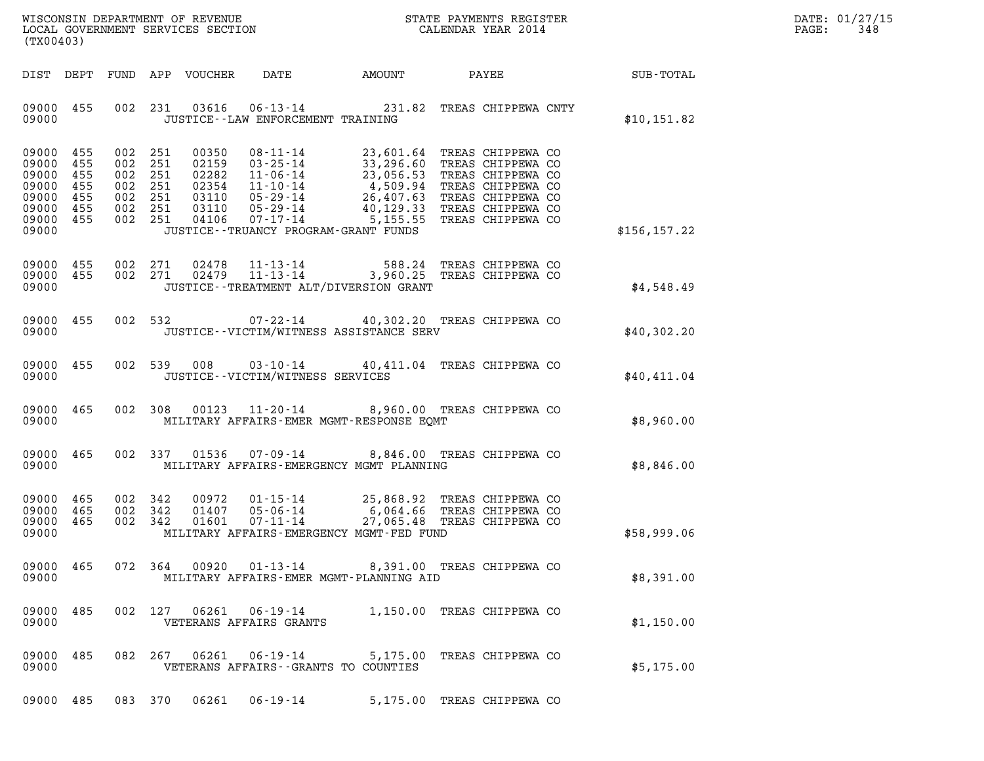| WISCONSIN DEPARTMENT OF REVENUE   | STATE PAYMENTS REGISTER | DATE: 01/27/15 |
|-----------------------------------|-------------------------|----------------|
| LOCAL GOVERNMENT SERVICES SECTION | CALENDAR YEAR 2014      | 348<br>PAGE:   |

| (TX00403)                                                                                    |           |                                                                           |                         | WISCONSIN DEPARTMENT OF REVENUE<br>LOCAL GOVERNMENT SERVICES SECTION THE STATE PAYMENTS REGISTER<br>(TWOO403)                                                                                                                                                                         |                            |  | $\mathbb{R}^n$                                         | DATE: 01/27/15<br>$\mathtt{PAGE:}$<br>348 |
|----------------------------------------------------------------------------------------------|-----------|---------------------------------------------------------------------------|-------------------------|---------------------------------------------------------------------------------------------------------------------------------------------------------------------------------------------------------------------------------------------------------------------------------------|----------------------------|--|--------------------------------------------------------|-------------------------------------------|
|                                                                                              |           |                                                                           |                         |                                                                                                                                                                                                                                                                                       |                            |  | DIST DEPT FUND APP VOUCHER DATE AMOUNT PAYEE SUB-TOTAL |                                           |
| 09000 455<br>09000                                                                           |           |                                                                           |                         | 002 231 03616 06-13-14 231.82 TREAS CHIPPEWA CNTY<br>JUSTICE - - LAW ENFORCEMENT TRAINING                                                                                                                                                                                             |                            |  | \$10, 151.82                                           |                                           |
| 09000 455<br>09000 455<br>09000<br>09000 455<br>09000 455<br>09000 455<br>09000 455<br>09000 | 455       | 002 251<br>002 251<br>002 251<br>002 251<br>002 251<br>002 251<br>002 251 |                         | 00350 08-11-14 23,601.64 TREAS CHIPPEWA CO<br>02159 03-25-14 33,296.60 TREAS CHIPPEWA CO<br>02282 11-06-14 23,056.53 TREAS CHIPPEWA CO<br>02354 11-10-14 4,509.94 TREAS CHIPPEWA CO<br>03110 05-29-14 26,407.63 TREAS CHIPPEWA CO<br>031<br>JUSTICE - - TRUANCY PROGRAM - GRANT FUNDS |                            |  | \$156, 157.22                                          |                                           |
| 09000 455<br>09000                                                                           | 09000 455 |                                                                           |                         | 002  271  02478  11-13-14  588.24  TREAS CHIPPEWA CO  271  02479  11-13-14  3,960.25  TREAS CHIPPEWA CO<br>JUSTICE - - TREATMENT ALT/DIVERSION GRANT                                                                                                                                  |                            |  | \$4,548.49                                             |                                           |
| 09000                                                                                        | 09000 455 |                                                                           |                         | 002 532 07-22-14 40,302.20 TREAS CHIPPEWA CO<br>JUSTICE - - VICTIM/WITNESS ASSISTANCE SERV                                                                                                                                                                                            |                            |  | \$40,302.20                                            |                                           |
| 09000                                                                                        | 09000 455 |                                                                           |                         | 002 539 008 03-10-14 40,411.04 TREAS CHIPPEWA CO<br>JUSTICE - - VICTIM/WITNESS SERVICES                                                                                                                                                                                               |                            |  | \$40,411.04                                            |                                           |
| 09000                                                                                        | 09000 465 |                                                                           |                         | 002 308 00123 11-20-14 8,960.00 TREAS CHIPPEWA CO<br>MILITARY AFFAIRS-EMER MGMT-RESPONSE EQMT                                                                                                                                                                                         |                            |  | \$8,960.00                                             |                                           |
| 09000                                                                                        | 09000 465 |                                                                           |                         | 002 337 01536 07-09-14 8,846.00 TREAS CHIPPEWA CO<br>MILITARY AFFAIRS-EMERGENCY MGMT PLANNING                                                                                                                                                                                         |                            |  | \$8,846.00                                             |                                           |
| 09000 465<br>09000 465<br>09000 465<br>09000                                                 |           | 002 342<br>002 342<br>002 342                                             | 00972<br>01407<br>01601 | 01-15-14 25,868.92 TREAS CHIPPEWA CO<br>05-06-14 6,064.66 TREAS CHIPPEWA CO<br>07-11-14 27,065.48 TREAS CHIPPEWA CO<br>MILITARY AFFAIRS-EMERGENCY MGMT-FED FUND                                                                                                                       |                            |  | \$58,999.06                                            |                                           |
| 09000 465<br>09000                                                                           |           | 072 364                                                                   | 00920                   | $01 - 13 - 14$<br>MILITARY AFFAIRS-EMER MGMT-PLANNING AID                                                                                                                                                                                                                             | 8,391.00 TREAS CHIPPEWA CO |  | \$8,391.00                                             |                                           |
| 09000<br>09000                                                                               | 485       | 002 127                                                                   |                         | 06261 06-19-14<br>VETERANS AFFAIRS GRANTS                                                                                                                                                                                                                                             | 1,150.00 TREAS CHIPPEWA CO |  | \$1,150.00                                             |                                           |
| 09000<br>09000                                                                               | 485       |                                                                           |                         | 082 267 06261 06-19-14<br>VETERANS AFFAIRS -- GRANTS TO COUNTIES                                                                                                                                                                                                                      | 5,175.00 TREAS CHIPPEWA CO |  | \$5,175.00                                             |                                           |
|                                                                                              |           |                                                                           |                         |                                                                                                                                                                                                                                                                                       |                            |  |                                                        |                                           |

09000 485 083 370 06261 06-19-14 5,175.00 TREAS CHIPPEWA CO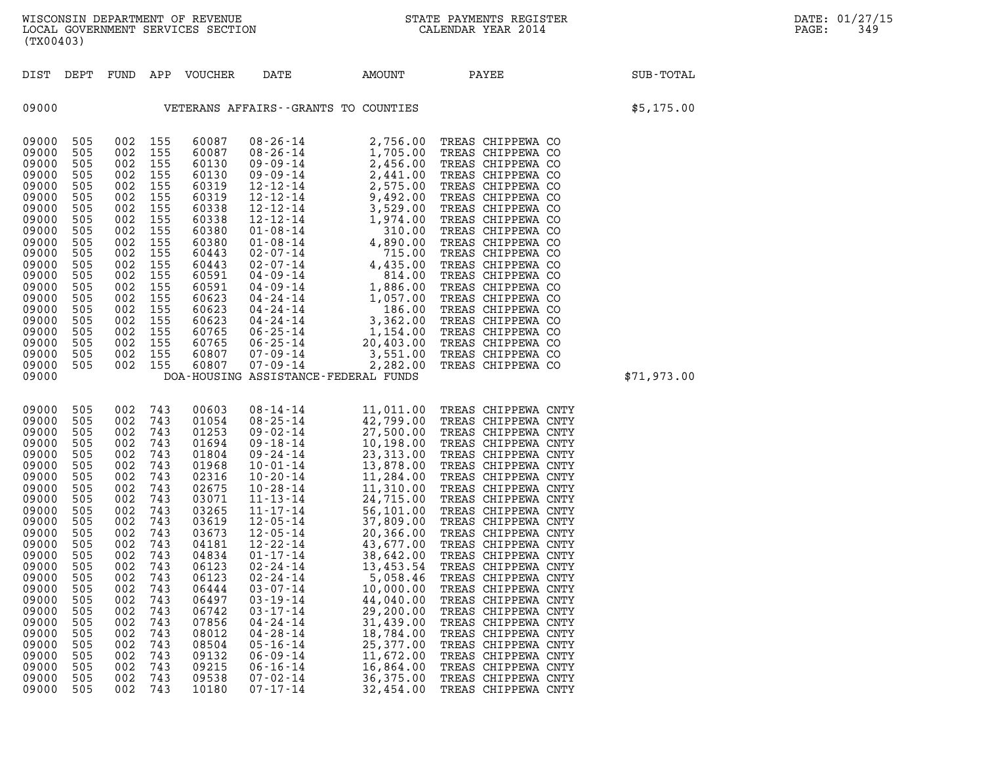| (TX00403)                                                                                                                                                                                                                              |                                                                                                                                                                                    |                                                                                                                                                                             |                                                                                                                                                                                        |                                                                                                                                                                                                                                        |                                                                                                                                                                |                                                                                                                   |                                                                                                                                                                                                             |             |
|----------------------------------------------------------------------------------------------------------------------------------------------------------------------------------------------------------------------------------------|------------------------------------------------------------------------------------------------------------------------------------------------------------------------------------|-----------------------------------------------------------------------------------------------------------------------------------------------------------------------------|----------------------------------------------------------------------------------------------------------------------------------------------------------------------------------------|----------------------------------------------------------------------------------------------------------------------------------------------------------------------------------------------------------------------------------------|----------------------------------------------------------------------------------------------------------------------------------------------------------------|-------------------------------------------------------------------------------------------------------------------|-------------------------------------------------------------------------------------------------------------------------------------------------------------------------------------------------------------|-------------|
|                                                                                                                                                                                                                                        |                                                                                                                                                                                    |                                                                                                                                                                             |                                                                                                                                                                                        |                                                                                                                                                                                                                                        |                                                                                                                                                                |                                                                                                                   | DIST DEPT FUND APP VOUCHER DATE AMOUNT PAYEE                                                                                                                                                                | SUB-TOTAL   |
| 09000                                                                                                                                                                                                                                  |                                                                                                                                                                                    |                                                                                                                                                                             |                                                                                                                                                                                        |                                                                                                                                                                                                                                        | VETERANS AFFAIRS--GRANTS TO COUNTIES                                                                                                                           |                                                                                                                   |                                                                                                                                                                                                             | \$5,175.00  |
| 09000<br>09000<br>09000<br>09000<br>09000<br>09000<br>09000<br>09000<br>09000<br>09000<br>09000<br>09000<br>09000<br>09000<br>09000<br>09000<br>09000<br>09000<br>09000<br>09000<br>09000<br>09000                                     | 505<br>505<br>505<br>505<br>505<br>505<br>505<br>505<br>505<br>505<br>505<br>505<br>505<br>505<br>505<br>505<br>505<br>505<br>505<br>505<br>505                                    | 002<br>002<br>002<br>002<br>002<br>002<br>002<br>002<br>002<br>002<br>002<br>002<br>002<br>002<br>002<br>002<br>002<br>002<br>002<br>002<br>002                             | 155<br>155<br>155<br>155<br>155<br>155<br>155<br>155<br>155<br>155<br>155<br>155<br>155<br>155<br>155<br>155<br>155<br>155<br>155<br>155<br>155                                        | 60087<br>60087<br>60130<br>60130<br>60319<br>60319<br>60338<br>60338<br>60380<br>60380<br>60443<br>60443<br>60591<br>60591<br>60623<br>60623<br>60623<br>60765<br>60765<br>60807<br>60807                                              | DOA-HOUSING ASSISTANCE-FEDERAL FUNDS                                                                                                                           |                                                                                                                   |                                                                                                                                                                                                             | \$71,973.00 |
| 09000<br>09000<br>09000<br>09000<br>09000<br>09000<br>09000<br>09000<br>09000<br>09000<br>09000<br>09000<br>09000<br>09000<br>09000<br>09000<br>09000<br>09000<br>09000<br>09000<br>09000<br>09000<br>09000<br>09000<br>09000<br>09000 | 505<br>505<br>505<br>505<br>505<br>505<br>505<br>505<br>505<br>505<br>505<br>505<br>505<br>505<br>505<br>505<br>505<br>505<br>505<br>505<br>505<br>505<br>505<br>505<br>505<br>505 | 002<br>002<br>002<br>002<br>002<br>002<br>002<br>002<br>002<br>002<br>002<br>002<br>002<br>002<br>002<br>002<br>002<br>002<br>002<br>002<br>002<br>002<br>002<br>002<br>002 | 743<br>743<br>743<br>743<br>743<br>743<br>743<br>743<br>743<br>743<br>743<br>743<br>743<br>743<br>743<br>743<br>002 743<br>743<br>743<br>743<br>743<br>743<br>743<br>743<br>743<br>743 | 00603<br>01054<br>01253<br>01694<br>01804<br>01968<br>02316<br>02675<br>03071<br>03265<br>03619<br>03673<br>04181<br>04834<br>06123<br>06123<br>06444<br>06497<br>06742<br>07856<br>08012<br>08504<br>09132<br>09215<br>09538<br>10180 | $03 - 19 - 14$<br>$03 - 17 - 14$<br>$04 - 24 - 14$<br>$04 - 28 - 14$<br>$05 - 16 - 14$<br>$06 - 09 - 14$<br>$06 - 16 - 14$<br>$07 - 02 - 14$<br>$07 - 17 - 14$ | 44,040.00<br>29,200.00<br>31,439.00<br>18,784.00<br>25,377.00<br>11,672.00<br>16,864.00<br>36,375.00<br>32,454.00 | TREAS CHIPPEWA CNTY<br>TREAS CHIPPEWA CNTY<br>TREAS CHIPPEWA CNTY<br>TREAS CHIPPEWA CNTY<br>TREAS CHIPPEWA CNTY<br>TREAS CHIPPEWA CNTY<br>TREAS CHIPPEWA CNTY<br>TREAS CHIPPEWA CNTY<br>TREAS CHIPPEWA CNTY |             |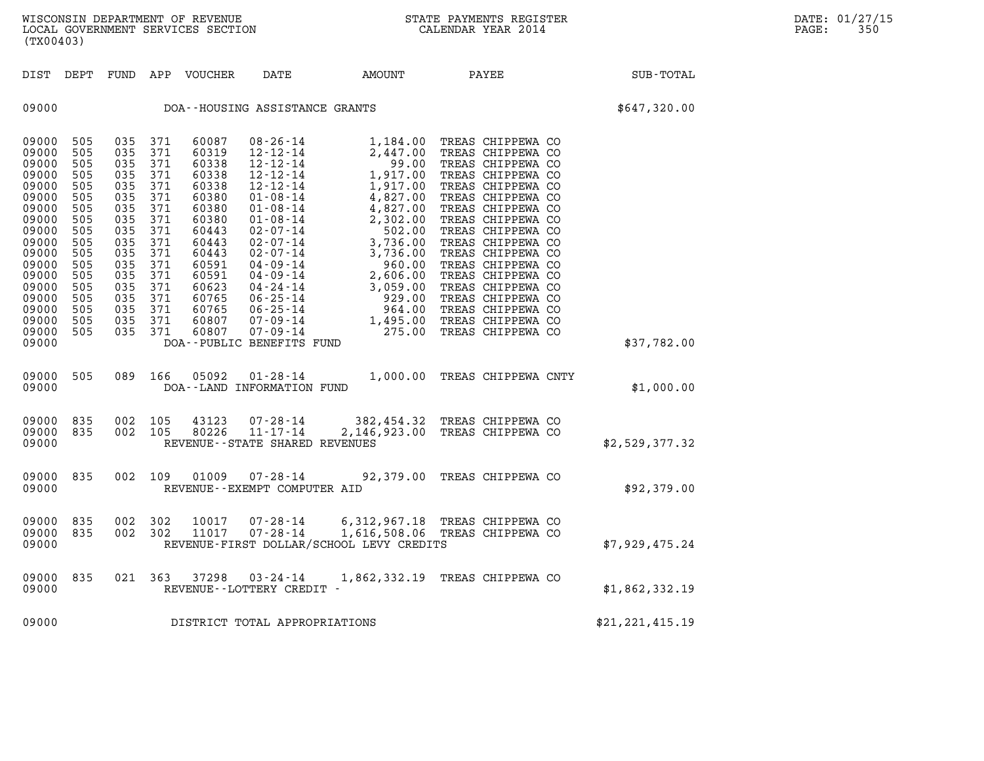(TX00403)

| (TX00403)                                                                                                                                                               |                                                                                                                            |                                                                                                                            |                                                                                                                            |                                                                                                                                                                |                                                                                                                                                                                                                                                                                                                                                             |                                                                                                                                                                                                         |                                                                                                                                                                                                                                                                                                                                                                                        |                   |  |
|-------------------------------------------------------------------------------------------------------------------------------------------------------------------------|----------------------------------------------------------------------------------------------------------------------------|----------------------------------------------------------------------------------------------------------------------------|----------------------------------------------------------------------------------------------------------------------------|----------------------------------------------------------------------------------------------------------------------------------------------------------------|-------------------------------------------------------------------------------------------------------------------------------------------------------------------------------------------------------------------------------------------------------------------------------------------------------------------------------------------------------------|---------------------------------------------------------------------------------------------------------------------------------------------------------------------------------------------------------|----------------------------------------------------------------------------------------------------------------------------------------------------------------------------------------------------------------------------------------------------------------------------------------------------------------------------------------------------------------------------------------|-------------------|--|
| DIST                                                                                                                                                                    | DEPT                                                                                                                       | FUND                                                                                                                       | APP                                                                                                                        | <b>VOUCHER</b>                                                                                                                                                 | <b>DATE</b>                                                                                                                                                                                                                                                                                                                                                 | AMOUNT                                                                                                                                                                                                  | PAYEE                                                                                                                                                                                                                                                                                                                                                                                  | <b>SUB-TOTAL</b>  |  |
| 09000                                                                                                                                                                   |                                                                                                                            | \$647,320.00                                                                                                               |                                                                                                                            |                                                                                                                                                                |                                                                                                                                                                                                                                                                                                                                                             |                                                                                                                                                                                                         |                                                                                                                                                                                                                                                                                                                                                                                        |                   |  |
| 09000<br>09000<br>09000<br>09000<br>09000<br>09000<br>09000<br>09000<br>09000<br>09000<br>09000<br>09000<br>09000<br>09000<br>09000<br>09000<br>09000<br>09000<br>09000 | 505<br>505<br>505<br>505<br>505<br>505<br>505<br>505<br>505<br>505<br>505<br>505<br>505<br>505<br>505<br>505<br>505<br>505 | 035<br>035<br>035<br>035<br>035<br>035<br>035<br>035<br>035<br>035<br>035<br>035<br>035<br>035<br>035<br>035<br>035<br>035 | 371<br>371<br>371<br>371<br>371<br>371<br>371<br>371<br>371<br>371<br>371<br>371<br>371<br>371<br>371<br>371<br>371<br>371 | 60087<br>60319<br>60338<br>60338<br>60338<br>60380<br>60380<br>60380<br>60443<br>60443<br>60443<br>60591<br>60591<br>60623<br>60765<br>60765<br>60807<br>60807 | $08 - 26 - 14$<br>$12 - 12 - 14$<br>$12 - 12 - 14$<br>$12 - 12 - 14$<br>$12 - 12 - 14$<br>$01 - 08 - 14$<br>$01 - 08 - 14$<br>$01 - 08 - 14$<br>$02 - 07 - 14$<br>$02 - 07 - 14$<br>$02 - 07 - 14$<br>$04 - 09 - 14$<br>04 - 09 - 14<br>$04 - 24 - 14$<br>$06 - 25 - 14$<br>$06 - 25 - 14$<br>$07 - 09 - 14$<br>$07 - 09 - 14$<br>DOA--PUBLIC BENEFITS FUND | 1,184.00<br>2,447.00<br>99.00<br>1,917.00<br>1,917.00<br>4,827.00<br>4,827.00<br>2,302.00<br>502.00<br>3,736.00<br>3,736.00<br>960.00<br>2,606.00<br>3,059.00<br>929.00<br>964.00<br>1,495.00<br>275.00 | TREAS CHIPPEWA CO<br>TREAS CHIPPEWA CO<br>TREAS CHIPPEWA CO<br>TREAS CHIPPEWA CO<br>TREAS CHIPPEWA CO<br>TREAS CHIPPEWA CO<br>TREAS CHIPPEWA CO<br>TREAS CHIPPEWA CO<br>TREAS CHIPPEWA CO<br>TREAS CHIPPEWA CO<br>TREAS CHIPPEWA CO<br>TREAS CHIPPEWA CO<br>TREAS CHIPPEWA CO<br>TREAS CHIPPEWA CO<br>TREAS CHIPPEWA CO<br>TREAS CHIPPEWA CO<br>TREAS CHIPPEWA CO<br>TREAS CHIPPEWA CO | \$37,782.00       |  |
| 09000<br>09000                                                                                                                                                          | 505                                                                                                                        | 089                                                                                                                        | 166                                                                                                                        | 05092                                                                                                                                                          | $01 - 28 - 14$<br>DOA--LAND INFORMATION FUND                                                                                                                                                                                                                                                                                                                | 1,000.00                                                                                                                                                                                                | TREAS CHIPPEWA CNTY                                                                                                                                                                                                                                                                                                                                                                    | \$1,000.00        |  |
| 09000<br>09000<br>09000                                                                                                                                                 | 835<br>835                                                                                                                 | 002<br>002                                                                                                                 | 105<br>105                                                                                                                 | 43123<br>80226                                                                                                                                                 | $07 - 28 - 14$<br>$11 - 17 - 14$<br>REVENUE - - STATE SHARED REVENUES                                                                                                                                                                                                                                                                                       | 2,146,923.00                                                                                                                                                                                            | 382,454.32 TREAS CHIPPEWA CO<br>TREAS CHIPPEWA CO                                                                                                                                                                                                                                                                                                                                      | \$2,529,377.32    |  |
| 09000<br>09000                                                                                                                                                          | 835                                                                                                                        | 002                                                                                                                        | 109                                                                                                                        | 01009                                                                                                                                                          | $07 - 28 - 14$<br>REVENUE--EXEMPT COMPUTER AID                                                                                                                                                                                                                                                                                                              |                                                                                                                                                                                                         | 92,379.00 TREAS CHIPPEWA CO                                                                                                                                                                                                                                                                                                                                                            | \$92,379.00       |  |
| 09000<br>09000<br>09000                                                                                                                                                 | 835<br>835                                                                                                                 | 002<br>002                                                                                                                 | 302<br>302                                                                                                                 | 10017<br>11017                                                                                                                                                 | $07 - 28 - 14$<br>$07 - 28 - 14$                                                                                                                                                                                                                                                                                                                            | 1,616,508.06<br>REVENUE-FIRST DOLLAR/SCHOOL LEVY CREDITS                                                                                                                                                | 6,312,967.18 TREAS CHIPPEWA CO<br>TREAS CHIPPEWA CO                                                                                                                                                                                                                                                                                                                                    | \$7,929,475.24    |  |
| 09000<br>09000                                                                                                                                                          | 835                                                                                                                        | 021                                                                                                                        | 363                                                                                                                        | 37298                                                                                                                                                          | $03 - 24 - 14$<br>REVENUE--LOTTERY CREDIT -                                                                                                                                                                                                                                                                                                                 | 1,862,332.19                                                                                                                                                                                            | TREAS CHIPPEWA CO                                                                                                                                                                                                                                                                                                                                                                      | \$1,862,332.19    |  |
| 09000                                                                                                                                                                   |                                                                                                                            |                                                                                                                            |                                                                                                                            |                                                                                                                                                                | DISTRICT TOTAL APPROPRIATIONS                                                                                                                                                                                                                                                                                                                               |                                                                                                                                                                                                         |                                                                                                                                                                                                                                                                                                                                                                                        | \$21, 221, 415.19 |  |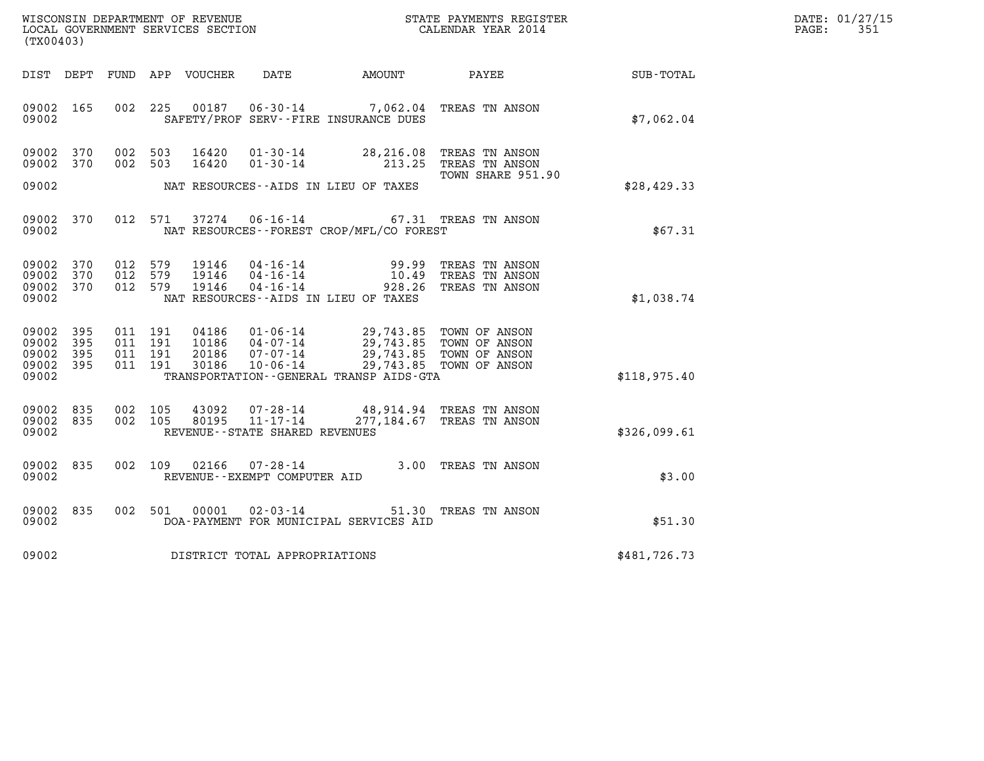| WISCONSIN DEPARTMENT OF REVENUE   | STATE PAYMENTS REGISTER | DATE: 01/27/15 |
|-----------------------------------|-------------------------|----------------|
| LOCAL GOVERNMENT SERVICES SECTION | CALENDAR YEAR 2014      | 351<br>PAGE:   |

| (TX00403)                                         |            |         |                                          |                                  |                                                     |                                                                                                                                                                                                                                                                                                                     |                                                       |              | DATE: 01/27/15<br>$\mathtt{PAGE}$ :<br>351 |
|---------------------------------------------------|------------|---------|------------------------------------------|----------------------------------|-----------------------------------------------------|---------------------------------------------------------------------------------------------------------------------------------------------------------------------------------------------------------------------------------------------------------------------------------------------------------------------|-------------------------------------------------------|--------------|--------------------------------------------|
|                                                   |            |         |                                          | DIST DEPT FUND APP VOUCHER       |                                                     | DATE AMOUNT PAYEE                                                                                                                                                                                                                                                                                                   |                                                       | SUB-TOTAL    |                                            |
| 09002 165<br>09002                                |            |         |                                          |                                  |                                                     | 002 225 00187 06-30-14 7,062.04 TREAS TN ANSON<br>SAFETY/PROF SERV--FIRE INSURANCE DUES                                                                                                                                                                                                                             |                                                       | \$7,062.04   |                                            |
| 09002<br>09002                                    | 370<br>370 |         | 002 503<br>002 503                       | 16420<br>16420                   | $01 - 30 - 14$                                      | $01 - 30 - 14$ 28, 216.08<br>213.25                                                                                                                                                                                                                                                                                 | TREAS TN ANSON<br>TREAS TN ANSON<br>TOWN SHARE 951.90 |              |                                            |
| 09002                                             |            |         |                                          |                                  |                                                     | NAT RESOURCES--AIDS IN LIEU OF TAXES                                                                                                                                                                                                                                                                                |                                                       | \$28,429.33  |                                            |
| 09002<br>09002                                    | 370        |         |                                          | 012 571 37274                    |                                                     | 06-16-14 67.31 TREAS TN ANSON<br>NAT RESOURCES--FOREST CROP/MFL/CO FOREST                                                                                                                                                                                                                                           |                                                       | \$67.31      |                                            |
| 09002 370<br>09002<br>09002 370<br>09002          | 370        | 012 579 | 012 579<br>012 579                       | 19146<br>19146<br>19146          | $04 - 16 - 14$                                      | $04 - 16 - 14$<br>$04 - 16 - 14$<br>$10.49$<br>$0.26$<br>$0.26$<br>928.26<br>NAT RESOURCES--AIDS IN LIEU OF TAXES                                                                                                                                                                                                   | TREAS TN ANSON<br>TREAS TN ANSON<br>TREAS TN ANSON    | \$1,038.74   |                                            |
| 09002 395<br>09002<br>09002<br>09002 395<br>09002 | 395<br>395 |         | 011 191<br>011 191<br>011 191<br>011 191 | 04186<br>10186<br>20186<br>30186 |                                                     | 01-06-14<br>04-07-14<br>04-07-14<br>07-07-14<br>07-06-14<br>07-06-14<br>07-06-14<br>07-06-14<br>07-06-14<br>08/07/07/14<br>08/07/07/14<br>09/07/13.85<br>00/07/07/14<br>09/07/14<br>09/07/14<br>09/07/14<br>09/07/14<br>09/07/14<br>09/07/14<br>09/07/14<br>09/07/14<br><br>TRANSPORTATION--GENERAL TRANSP AIDS-GTA |                                                       | \$118,975.40 |                                            |
| 09002 835<br>09002 835<br>09002                   |            |         | 002 105<br>002 105                       | 43092<br>80195                   | $11 - 17 - 14$<br>REVENUE - - STATE SHARED REVENUES | 07-28-14 48,914.94 TREAS TN ANSON                                                                                                                                                                                                                                                                                   | 277,184.67 TREAS TN ANSON                             | \$326,099.61 |                                            |
| 09002 835<br>09002                                |            |         |                                          | 002 109 02166                    | 07-28-14<br>REVENUE--EXEMPT COMPUTER AID            | 3.00 TREAS TN ANSON                                                                                                                                                                                                                                                                                                 |                                                       | \$3.00       |                                            |
| 09002 835<br>09002                                |            |         | 002 501                                  | 00001                            | $02 - 03 - 14$                                      | DOA-PAYMENT FOR MUNICIPAL SERVICES AID                                                                                                                                                                                                                                                                              | 51.30 TREAS TN ANSON                                  | \$51.30      |                                            |
| 09002                                             |            |         |                                          |                                  | DISTRICT TOTAL APPROPRIATIONS                       |                                                                                                                                                                                                                                                                                                                     |                                                       | \$481,726.73 |                                            |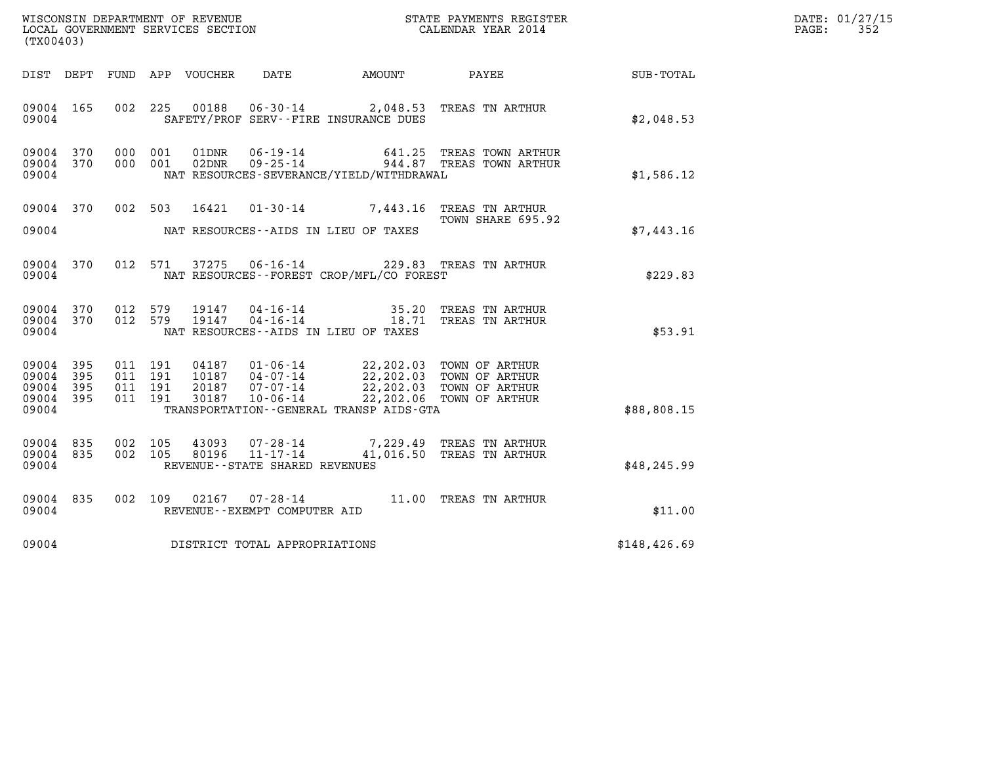| (TX00403)                                             |           |                    |                               |                                 |                                                        |                                              |                                                                                                                                                                                                             |              | DATE: 01/27/15<br>$\mathtt{PAGE:}$<br>352 |
|-------------------------------------------------------|-----------|--------------------|-------------------------------|---------------------------------|--------------------------------------------------------|----------------------------------------------|-------------------------------------------------------------------------------------------------------------------------------------------------------------------------------------------------------------|--------------|-------------------------------------------|
|                                                       |           |                    |                               | DIST DEPT FUND APP VOUCHER DATE |                                                        | AMOUNT                                       | <b>PAYEE</b>                                                                                                                                                                                                | SUB - TOTAL  |                                           |
| 09004 165<br>09004                                    |           |                    | 002 225                       |                                 |                                                        | SAFETY/PROF SERV--FIRE INSURANCE DUES        | 00188  06-30-14  2,048.53  TREAS TN ARTHUR                                                                                                                                                                  | \$2,048.53   |                                           |
| 09004 370<br>09004 370<br>09004                       |           |                    | 000 001<br>000 001            | 01DNR<br>02DNR                  | 06-19-14<br>$09 - 25 - 14$                             | NAT RESOURCES-SEVERANCE/YIELD/WITHDRAWAL     | 641.25 TREAS TOWN ARTHUR<br>944.87 TREAS TOWN ARTHUR                                                                                                                                                        | \$1,586.12   |                                           |
| 09004                                                 | 09004 370 |                    |                               |                                 |                                                        | NAT RESOURCES--AIDS IN LIEU OF TAXES         | 002 503 16421 01-30-14 7,443.16 TREAS TN ARTHUR<br>TOWN SHARE 695.92                                                                                                                                        | \$7,443.16   |                                           |
| 09004                                                 | 09004 370 |                    |                               |                                 |                                                        | NAT RESOURCES--FOREST CROP/MFL/CO FOREST     | 012 571 37275 06-16-14 229.83 TREAS TN ARTHUR                                                                                                                                                               | \$229.83     |                                           |
| 09004 370<br>09004                                    | 09004 370 | 012 579<br>012 579 |                               | 19147<br>19147                  |                                                        | NAT RESOURCES--AIDS IN LIEU OF TAXES         | 04-16-14 35.20 TREAS TN ARTHUR<br>04-16-14 18.71 TREAS TN ARTHUR                                                                                                                                            | \$53.91      |                                           |
| 09004 395<br>09004<br>09004 395<br>09004 395<br>09004 | 395       | 011 191            | 011 191<br>011 191<br>011 191 | 20187<br>30187                  | 10187  04-07-14<br>$07 - 07 - 14$<br>$10 - 06 - 14$    | TRANSPORTATION - - GENERAL TRANSP AIDS - GTA | 04187  01-06-14  22,202.03  TOWN OF ARTHUR<br>10187  04-07-14  22,202.03  TOWN OF ARTHUR<br>$22,202.03$ TOWN OF ARTHUR<br>22,202.03 TOWN OF ARTHUR<br>22, 202.03 TOWN OF ARTHUR<br>22,202.06 TOWN OF ARTHUR | \$88,808.15  |                                           |
| 09004 835<br>09004 835<br>09004                       |           | 002 105            | 002 105                       | 43093<br>80196                  | 07-28-14<br>11-17-14<br>REVENUE--STATE SHARED REVENUES |                                              | 7,229.49 TREAS TN ARTHUR<br>41,016.50 TREAS TN ARTHUR                                                                                                                                                       | \$48, 245.99 |                                           |
| 09004 835<br>09004                                    |           |                    |                               |                                 | REVENUE--EXEMPT COMPUTER AID                           |                                              | 002 109 02167 07-28-14 11.00 TREAS TN ARTHUR                                                                                                                                                                | \$11.00      |                                           |
| 09004                                                 |           |                    |                               |                                 | DISTRICT TOTAL APPROPRIATIONS                          | \$148, 426.69                                |                                                                                                                                                                                                             |              |                                           |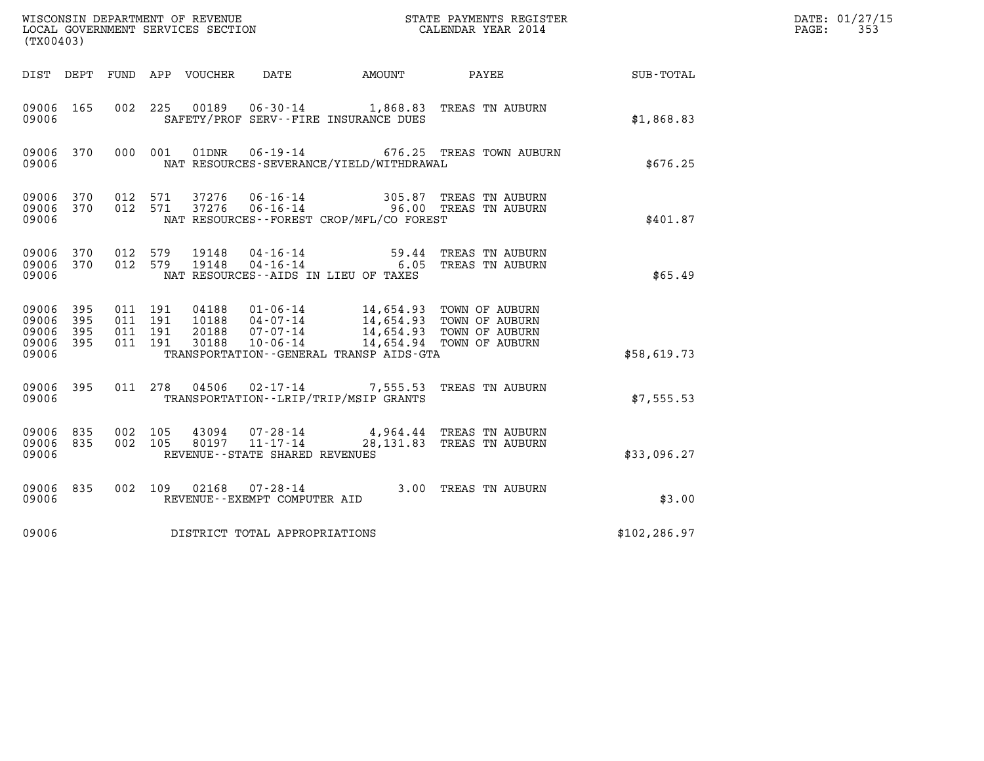|                                           | WISCONSIN DEPARTMENT OF REVENUE<br>LOCAL GOVERNMENT SERVICES SECTION<br>(TX00403) |                                          |         |                                  |                                                              |                                                                                                                   | STATE PAYMENTS REGISTER<br>CALENDAR YEAR 2014         |               | DATE: 01/27/15<br>PAGE:<br>353 |
|-------------------------------------------|-----------------------------------------------------------------------------------|------------------------------------------|---------|----------------------------------|--------------------------------------------------------------|-------------------------------------------------------------------------------------------------------------------|-------------------------------------------------------|---------------|--------------------------------|
| DIST DEPT                                 |                                                                                   |                                          |         | FUND APP VOUCHER                 | DATE                                                         | AMOUNT                                                                                                            | PAYEE                                                 | SUB-TOTAL     |                                |
| 09006 165<br>09006                        |                                                                                   |                                          | 002 225 | 00189                            |                                                              | SAFETY/PROF SERV--FIRE INSURANCE DUES                                                                             | 06-30-14 1,868.83 TREAS TN AUBURN                     | \$1,868.83    |                                |
| 09006 370<br>09006                        |                                                                                   | 000 001                                  |         | 01DNR                            | $06 - 19 - 14$                                               | NAT RESOURCES-SEVERANCE/YIELD/WITHDRAWAL                                                                          | 676.25 TREAS TOWN AUBURN                              | \$676.25      |                                |
| 09006 370<br>09006<br>09006               | 370                                                                               | 012 571<br>012 571                       |         | 37276<br>37276                   | $06 - 16 - 14$<br>$06 - 16 - 14$                             | NAT RESOURCES--FOREST CROP/MFL/CO FOREST                                                                          | 305.87 TREAS TN AUBURN<br>96.00 TREAS TN AUBURN       | \$401.87      |                                |
| 09006 370<br>09006<br>09006               | 370                                                                               | 012 579<br>012 579                       |         | 19148<br>19148                   | 04-16-14<br>$04 - 16 - 14$                                   | NAT RESOURCES -- AIDS IN LIEU OF TAXES                                                                            | 59.44 TREAS TN AUBURN<br>6.05 TREAS TN AUBURN         | \$65.49       |                                |
| 09006<br>09006<br>09006<br>09006<br>09006 | 395<br>395<br>395<br>395                                                          | 011 191<br>011 191<br>011 191<br>011 191 |         | 04188<br>10188<br>20188<br>30188 | $04 - 07 - 14$<br>07-07-14<br>10-06-14                       | 01-06-14 14,654.93 TOWN OF AUBURN<br>04-07-14 14,654.93 TOWN OF AUBURN<br>TRANSPORTATION--GENERAL TRANSP AIDS-GTA | 14,654.93 TOWN OF AUBURN<br>14,654.94 TOWN OF AUBURN  | \$58,619.73   |                                |
| 09006 395<br>09006                        |                                                                                   | 011 278                                  |         | 04506                            |                                                              | TRANSPORTATION--LRIP/TRIP/MSIP GRANTS                                                                             | 02-17-14 7,555.53 TREAS TN AUBURN                     | \$7,555.53    |                                |
| 09006 835<br>09006<br>09006               | 835                                                                               | 002 105<br>002 105                       |         | 43094<br>80197                   | 07-28-14<br>$11 - 17 - 14$<br>REVENUE--STATE SHARED REVENUES |                                                                                                                   | 4,964.44 TREAS TN AUBURN<br>28,131.83 TREAS TN AUBURN | \$33,096.27   |                                |
| 09006 835<br>09006                        |                                                                                   |                                          | 002 109 | 02168                            | 07-28-14<br>REVENUE--EXEMPT COMPUTER AID                     |                                                                                                                   | 3.00 TREAS TN AUBURN                                  | \$3.00        |                                |
| 09006                                     |                                                                                   |                                          |         |                                  | DISTRICT TOTAL APPROPRIATIONS                                |                                                                                                                   |                                                       | \$102, 286.97 |                                |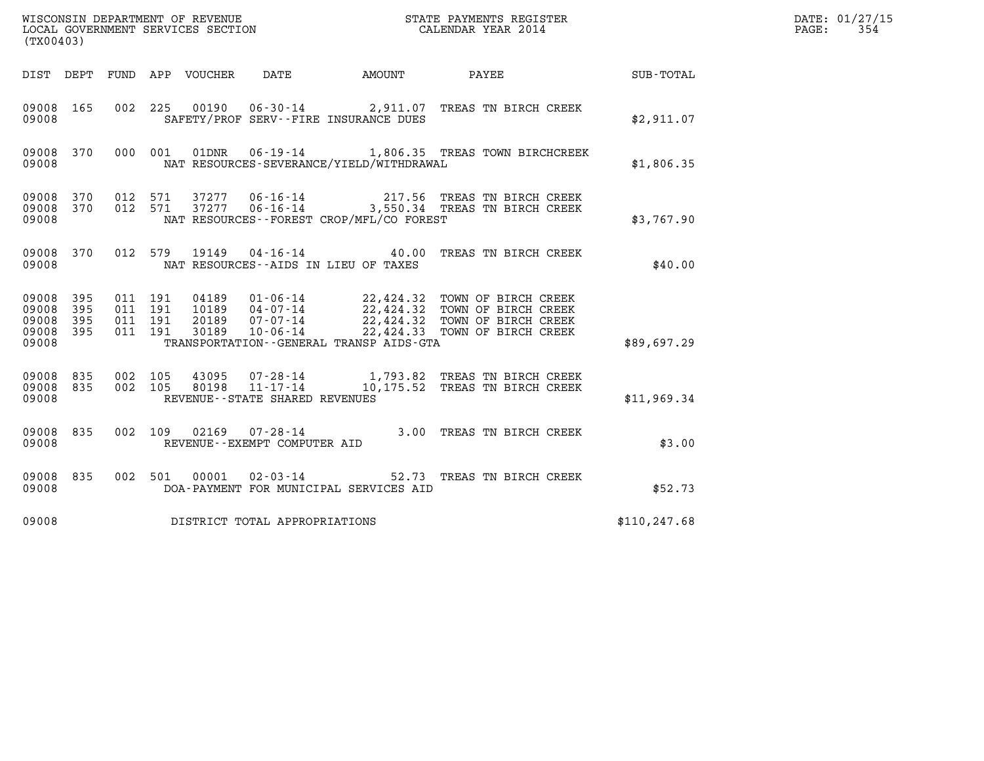| WISCONSIN DEPARTMENT OF REVENUE<br>LOCAL GOVERNMENT SERVICES SECTION<br>(mv00103) | STATE PAYMENTS REGISTER<br>CALENDAR YEAR 2014 | DATE: 01/27/15<br>354<br>PAGE: |
|-----------------------------------------------------------------------------------|-----------------------------------------------|--------------------------------|

| (TX00403)                                 |                          |                          |                          |                                  |                                                                                               |           |                                                                                                                        |                  |  |
|-------------------------------------------|--------------------------|--------------------------|--------------------------|----------------------------------|-----------------------------------------------------------------------------------------------|-----------|------------------------------------------------------------------------------------------------------------------------|------------------|--|
| DIST DEPT                                 |                          | FUND APP                 |                          | VOUCHER DATE                     |                                                                                               | AMOUNT    | PAYEE                                                                                                                  | <b>SUB-TOTAL</b> |  |
| 09008<br>09008                            | 165                      | 002                      | 225                      | 00190                            | SAFETY/PROF SERV--FIRE INSURANCE DUES                                                         |           | 06-30-14 2,911.07 TREAS TN BIRCH CREEK                                                                                 | \$2,911.07       |  |
| 09008<br>09008                            | 370                      | 000                      | 001                      | 01DNR                            | NAT RESOURCES-SEVERANCE/YIELD/WITHDRAWAL                                                      |           | 06-19-14 1,806.35 TREAS TOWN BIRCHCREEK                                                                                | \$1,806.35       |  |
| 09008<br>09008<br>09008                   | 370<br>370               | 012<br>012               | 571<br>571               | 37277<br>37277                   | 06-16-14<br>$06 - 16 - 14$<br>NAT RESOURCES--FOREST CROP/MFL/CO FOREST                        |           | 217.56 TREAS TN BIRCH CREEK<br>3,550.34 TREAS TN BIRCH CREEK                                                           | \$3,767.90       |  |
| 09008<br>09008                            | 370                      | 012                      | 579                      | 19149                            | $04 - 16 - 14$ 40.00<br>NAT RESOURCES -- AIDS IN LIEU OF TAXES                                |           | TREAS TN BIRCH CREEK                                                                                                   | \$40.00          |  |
| 09008<br>09008<br>09008<br>09008<br>09008 | 395<br>395<br>395<br>395 | 011<br>011<br>011<br>011 | 191<br>191<br>191<br>191 | 04189<br>10189<br>20189<br>30189 | $01 - 06 - 14$<br>04-07-14<br>07-07-14<br>10-06-14<br>TRANSPORTATION--GENERAL TRANSP AIDS-GTA | 22,424.33 | 22,424.32 TOWN OF BIRCH CREEK<br>22,424.32 TOWN OF BIRCH CREEK<br>22,424.32 TOWN OF BIRCH CREEK<br>TOWN OF BIRCH CREEK | \$89,697.29      |  |
| 09008<br>09008<br>09008                   | 835<br>835               | 002<br>002               | 105<br>105               | 43095<br>80198                   | 07-28-14<br>REVENUE - - STATE SHARED REVENUES                                                 |           | 1,793.82 TREAS TN BIRCH CREEK<br>11-17-14 10,175.52 TREAS TN BIRCH CREEK                                               | \$11,969.34      |  |
| 09008<br>09008                            | 835                      | 002                      | 109                      | 02169                            | $07 - 28 - 14$<br>REVENUE--EXEMPT COMPUTER AID                                                |           | 3.00 TREAS TN BIRCH CREEK                                                                                              | \$3.00           |  |
| 09008<br>09008                            | 835                      | 002                      | 501                      | 00001                            | $02 - 03 - 14$<br>DOA-PAYMENT FOR MUNICIPAL SERVICES AID                                      | 52.73     | TREAS TN BIRCH CREEK                                                                                                   | \$52.73          |  |
| 09008                                     |                          |                          |                          |                                  | DISTRICT TOTAL APPROPRIATIONS                                                                 |           |                                                                                                                        | \$110, 247.68    |  |

(TX00403)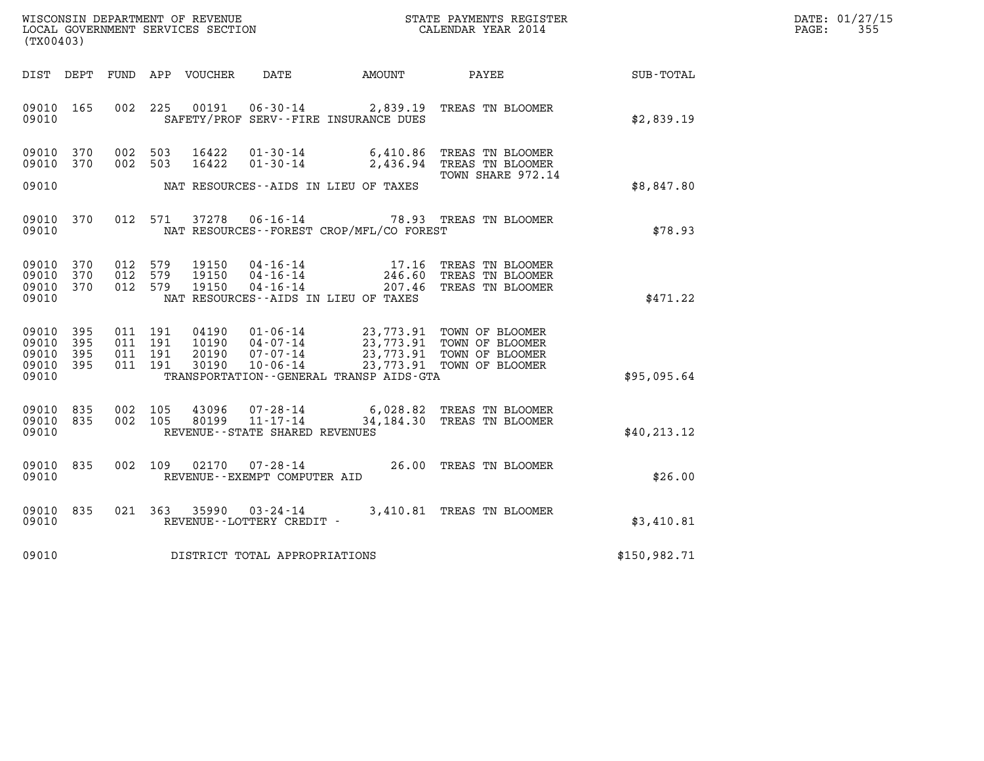| WISCONSIN DEPARTMENT OF REVENUE   | STATE PAYMENTS REGISTER | DATE: 01/27/15 |
|-----------------------------------|-------------------------|----------------|
| LOCAL GOVERNMENT SERVICES SECTION | CALENDAR YEAR 2014      | 355<br>PAGE:   |

| WISCONSIN DEPARTMENT OF REVENUE<br>(TX00403)                                                      | LOCAL GOVERNMENT SERVICES SECTION                                                                                                                                               | STATE PAYMENTS REGISTER<br>CALENDAR YEAR 2014                                                                    |                  |
|---------------------------------------------------------------------------------------------------|---------------------------------------------------------------------------------------------------------------------------------------------------------------------------------|------------------------------------------------------------------------------------------------------------------|------------------|
| FUND<br>DIST<br>DEPT                                                                              | APP<br>VOUCHER<br>DATE                                                                                                                                                          | AMOUNT<br>PAYEE                                                                                                  | <b>SUB-TOTAL</b> |
| 165<br>002<br>09010<br>09010                                                                      | 225<br>00191<br>SAFETY/PROF SERV--FIRE INSURANCE DUES                                                                                                                           | 06-30-14 2,839.19 TREAS TN BLOOMER                                                                               | \$2,839.19       |
| 09010<br>370<br>002<br>002<br>09010<br>370                                                        | 503<br>16422<br>$01 - 30 - 14$<br>16422<br>$01 - 30 - 14$<br>503                                                                                                                | 6,410.86<br>TREAS TN BLOOMER<br>2,436.94<br>TREAS TN BLOOMER<br>TOWN SHARE 972.14                                |                  |
| 09010                                                                                             | NAT RESOURCES - AIDS IN LIEU OF TAXES                                                                                                                                           |                                                                                                                  | \$8,847.80       |
| 012<br>09010<br>370<br>09010                                                                      | 571<br>37278<br>$06 - 16 - 14$<br>NAT RESOURCES - - FOREST CROP/MFL/CO FOREST                                                                                                   | 78.93 TREAS TN BLOOMER                                                                                           | \$78.93          |
| 370<br>012<br>09010<br>09010<br>370<br>012<br>012<br>09010<br>370<br>09010                        | 579<br>19150<br>$04 - 16 - 14$<br>19150<br>$04 - 16 - 14$<br>579<br>19150<br>$04 - 16 - 14$<br>579<br>NAT RESOURCES--AIDS IN LIEU OF TAXES                                      | TREAS TN BLOOMER<br>17.16<br>246.60<br>TREAS TN BLOOMER<br>207.46<br>TREAS TN BLOOMER                            | \$471.22         |
| 09010<br>395<br>011<br>395<br>09010<br>011<br>011<br>09010<br>395<br>395<br>011<br>09010<br>09010 | 191<br>04190<br>$01 - 06 - 14$<br>191<br>$04 - 07 - 14$<br>10190<br>191<br>20190<br>$07 - 07 - 14$<br>191<br>30190<br>$10 - 06 - 14$<br>TRANSPORTATION--GENERAL TRANSP AIDS-GTA | 23,773.91 TOWN OF BLOOMER<br>23,773.91 TOWN OF BLOOMER<br>23,773.91 TOWN OF BLOOMER<br>23,773.91 TOWN OF BLOOMER | \$95,095.64      |
| 002<br>09010<br>835<br>835<br>002<br>09010<br>09010                                               | 105<br>43096<br>07-28-14<br>$11 - 17 - 14$<br>105<br>80199<br>REVENUE - - STATE SHARED REVENUES                                                                                 | 6,028.82<br>TREAS TN BLOOMER<br>34, 184.30<br>TREAS TN BLOOMER                                                   | \$40, 213.12     |
| 002<br>09010<br>835<br>09010                                                                      | 109<br>02170<br>$07 - 28 - 14$<br>REVENUE--EXEMPT COMPUTER AID                                                                                                                  | 26.00<br>TREAS TN BLOOMER                                                                                        | \$26.00          |
| 835<br>021<br>09010<br>09010                                                                      | 363<br>35990<br>$03 - 24 - 14$<br>REVENUE--LOTTERY CREDIT -                                                                                                                     | 3,410.81<br>TREAS TN BLOOMER                                                                                     | \$3,410.81       |
| 09010                                                                                             | DISTRICT TOTAL APPROPRIATIONS                                                                                                                                                   |                                                                                                                  | \$150,982.71     |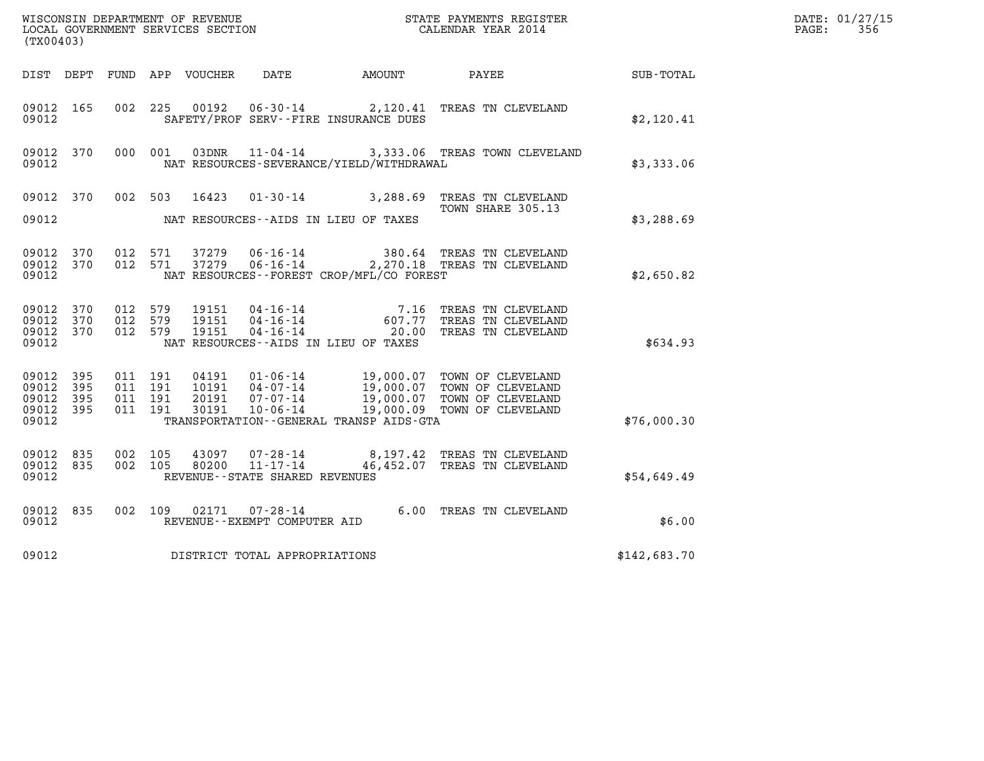|                                               | ${\tt WISCOONSIM} \begin{tabular}{lcccc} DEPARTMENT OF REVENUE & & & & & & & \begin{tabular}{l} \bf STATE \end{tabular} \end{tabular} \begin{tabular}{lcccc} \bf RTATE \end{tabular} \end{tabular} \begin{tabular}{lcccc} \bf RTATE \end{tabular} \end{tabular} \begin{tabular}{lcccc} \bf RTATE \end{tabular} \end{tabular} \begin{tabular}{lcccc} \bf RTATE \end{tabular} \end{tabular} \begin{tabular}{lcccc} \bf RTATE \end{tabular} \end{tabular} \begin{tabular}{lcccc} \bf RTATE \end{tabular} \end{tabular} \begin{tabular}{lcccc} \bf RTATE \end$<br>(TX00403) |                                          |         |                                  |                                                  |                                              |                                                                                                                                                              |              | DATE: 01/27/15<br>$\mathtt{PAGE}$ :<br>356 |
|-----------------------------------------------|-------------------------------------------------------------------------------------------------------------------------------------------------------------------------------------------------------------------------------------------------------------------------------------------------------------------------------------------------------------------------------------------------------------------------------------------------------------------------------------------------------------------------------------------------------------------------|------------------------------------------|---------|----------------------------------|--------------------------------------------------|----------------------------------------------|--------------------------------------------------------------------------------------------------------------------------------------------------------------|--------------|--------------------------------------------|
|                                               |                                                                                                                                                                                                                                                                                                                                                                                                                                                                                                                                                                         |                                          |         |                                  |                                                  | DIST DEPT FUND APP VOUCHER DATE AMOUNT PAYEE |                                                                                                                                                              | SUB-TOTAL    |                                            |
| 09012 165<br>09012                            |                                                                                                                                                                                                                                                                                                                                                                                                                                                                                                                                                                         | 002 225                                  |         |                                  |                                                  | SAFETY/PROF SERV--FIRE INSURANCE DUES        | 00192   06-30-14   2,120.41   TREAS TN CLEVELAND                                                                                                             | \$2,120.41   |                                            |
| 09012 370<br>09012                            |                                                                                                                                                                                                                                                                                                                                                                                                                                                                                                                                                                         | 000 001                                  |         | 03DNR                            |                                                  | NAT RESOURCES-SEVERANCE/YIELD/WITHDRAWAL     | 11-04-14 3,333.06 TREAS TOWN CLEVELAND                                                                                                                       | \$3,333.06   |                                            |
| 09012 370                                     |                                                                                                                                                                                                                                                                                                                                                                                                                                                                                                                                                                         |                                          | 002 503 |                                  |                                                  |                                              | 16423  01-30-14  3,288.69  TREAS TN CLEVELAND                                                                                                                |              |                                            |
| 09012                                         |                                                                                                                                                                                                                                                                                                                                                                                                                                                                                                                                                                         |                                          |         |                                  |                                                  | NAT RESOURCES--AIDS IN LIEU OF TAXES         | TOWN SHARE 305.13                                                                                                                                            | \$3,288.69   |                                            |
| 09012 370<br>09012 370<br>09012               |                                                                                                                                                                                                                                                                                                                                                                                                                                                                                                                                                                         | 012 571<br>012 571                       |         | 37279<br>37279                   |                                                  | NAT RESOURCES--FOREST CROP/MFL/CO FOREST     | 06-16-14 380.64 TREAS TN CLEVELAND<br>06-16-14 2,270.18 TREAS TN CLEVELAND                                                                                   | \$2,650.82   |                                            |
| 09012 370<br>09012<br>09012 370<br>09012      | 370                                                                                                                                                                                                                                                                                                                                                                                                                                                                                                                                                                     | 012 579<br>012 579<br>012 579            |         | 19151<br>19151<br>19151          |                                                  | NAT RESOURCES - AIDS IN LIEU OF TAXES        | 04-16-14 7.16 TREAS TN CLEVELAND<br>04-16-14 607.77 TREAS TN CLEVELAND<br>04-16-14 20.00 TREAS TN CLEVELAND                                                  | \$634.93     |                                            |
| 09012<br>09012<br>09012<br>09012 395<br>09012 | 395<br>395<br>395                                                                                                                                                                                                                                                                                                                                                                                                                                                                                                                                                       | 011 191<br>011 191<br>011 191<br>011 191 |         | 04191<br>10191<br>20191<br>30191 |                                                  | TRANSPORTATION - - GENERAL TRANSP AIDS - GTA | 01-06-14 19,000.07 TOWN OF CLEVELAND<br>04-07-14 19,000.07 TOWN OF CLEVELAND<br>07-07-14 19,000.07 TOWN OF CLEVELAND<br>10-06-14 19,000.09 TOWN OF CLEVELAND | \$76,000.30  |                                            |
| 09012 835<br>09012 835<br>09012               |                                                                                                                                                                                                                                                                                                                                                                                                                                                                                                                                                                         | 002 105<br>002 105                       |         | 43097<br>80200                   | REVENUE--STATE SHARED REVENUES                   |                                              | 07-28-14   8,197.42 TREAS TN CLEVELAND<br>11-17-14   46,452.07 TREAS TN CLEVELAND<br>46,452.07 TREAS TN CLEVELAND                                            | \$54,649.49  |                                            |
| 09012 835<br>09012                            |                                                                                                                                                                                                                                                                                                                                                                                                                                                                                                                                                                         |                                          | 002 109 |                                  | 02171   07-28-14<br>REVENUE--EXEMPT COMPUTER AID |                                              | 6.00 TREAS TN CLEVELAND                                                                                                                                      | \$6.00       |                                            |
| 09012                                         |                                                                                                                                                                                                                                                                                                                                                                                                                                                                                                                                                                         |                                          |         |                                  | DISTRICT TOTAL APPROPRIATIONS                    |                                              |                                                                                                                                                              | \$142,683.70 |                                            |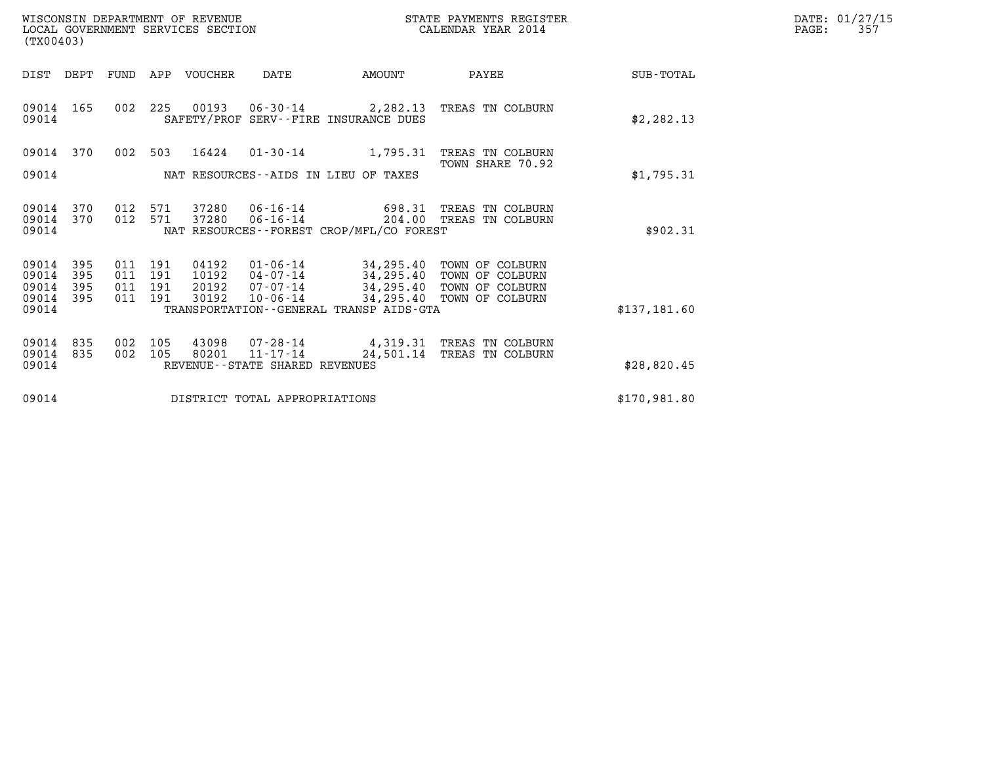| WISCONSIN DEPARTMENT OF REVENUE   | STATE PAYMENTS REGISTER | DATE: 01/27/15 |
|-----------------------------------|-------------------------|----------------|
| LOCAL GOVERNMENT SERVICES SECTION | CALENDAR YEAR 2014      | 35'<br>PAGE:   |

|                                           | WISCONSIN DEPARTMENT OF REVENUE<br>LOCAL GOVERNMENT SERVICES SECTION<br>(TX00403) |                          |                          |                                  |                                            |                                                                                                             | STATE PAYMENTS REGISTER<br>CALENDAR YEAR 2014                            |              | DATE: 01/27/15<br>PAGE:<br>357 |
|-------------------------------------------|-----------------------------------------------------------------------------------|--------------------------|--------------------------|----------------------------------|--------------------------------------------|-------------------------------------------------------------------------------------------------------------|--------------------------------------------------------------------------|--------------|--------------------------------|
| DIST DEPT                                 |                                                                                   |                          |                          | FUND APP VOUCHER                 | DATE                                       | AMOUNT                                                                                                      | PAYEE                                                                    | SUB-TOTAL    |                                |
| 09014 165<br>09014                        |                                                                                   |                          |                          |                                  |                                            | 002 225 00193 06-30-14 2,282.13<br>SAFETY/PROF SERV--FIRE INSURANCE DUES                                    | TREAS TN COLBURN                                                         | \$2, 282.13  |                                |
| 09014 370                                 |                                                                                   | 002                      |                          | 503 16424                        | 01-30-14                                   | 1,795.31                                                                                                    | TREAS TN COLBURN<br>TOWN SHARE 70.92                                     |              |                                |
| 09014                                     |                                                                                   |                          |                          |                                  |                                            | NAT RESOURCES -- AIDS IN LIEU OF TAXES                                                                      |                                                                          | \$1,795.31   |                                |
| 09014<br>09014<br>09014                   | 370<br>370                                                                        | 012<br>012               | 571<br>571               | 37280<br>37280                   |                                            | NAT RESOURCES - - FOREST CROP/MFL/CO FOREST                                                                 | 06-16-14 698.31 TREAS TN COLBURN<br>06-16-14 204.00 TREAS TN COLBURN     | \$902.31     |                                |
| 09014<br>09014<br>09014<br>09014<br>09014 | 395<br>395<br>395<br>395                                                          | 011<br>011<br>011<br>011 | 191<br>191<br>191<br>191 | 04192<br>10192<br>20192<br>30192 | 04-07-14<br>07-07-14<br>$10 - 06 - 14$     | $01 - 06 - 14$ 34, 295.40<br>34,295.40<br>34,295.40<br>34,295.40<br>TRANSPORTATION--GENERAL TRANSP AIDS-GTA | TOWN OF COLBURN<br>TOWN OF COLBURN<br>TOWN OF COLBURN<br>TOWN OF COLBURN | \$137,181.60 |                                |
| 09014<br>09014<br>09014                   | 835<br>835                                                                        | 002<br>002               | 105<br>105               | 43098<br>80201                   | 11-17-14<br>REVENUE--STATE SHARED REVENUES | $07 - 28 - 14$ 4, 319.31<br>24,501.14                                                                       | TREAS TN COLBURN<br>TREAS TN COLBURN                                     | \$28,820.45  |                                |
| 09014                                     |                                                                                   |                          |                          |                                  | DISTRICT TOTAL APPROPRIATIONS              |                                                                                                             |                                                                          | \$170,981.80 |                                |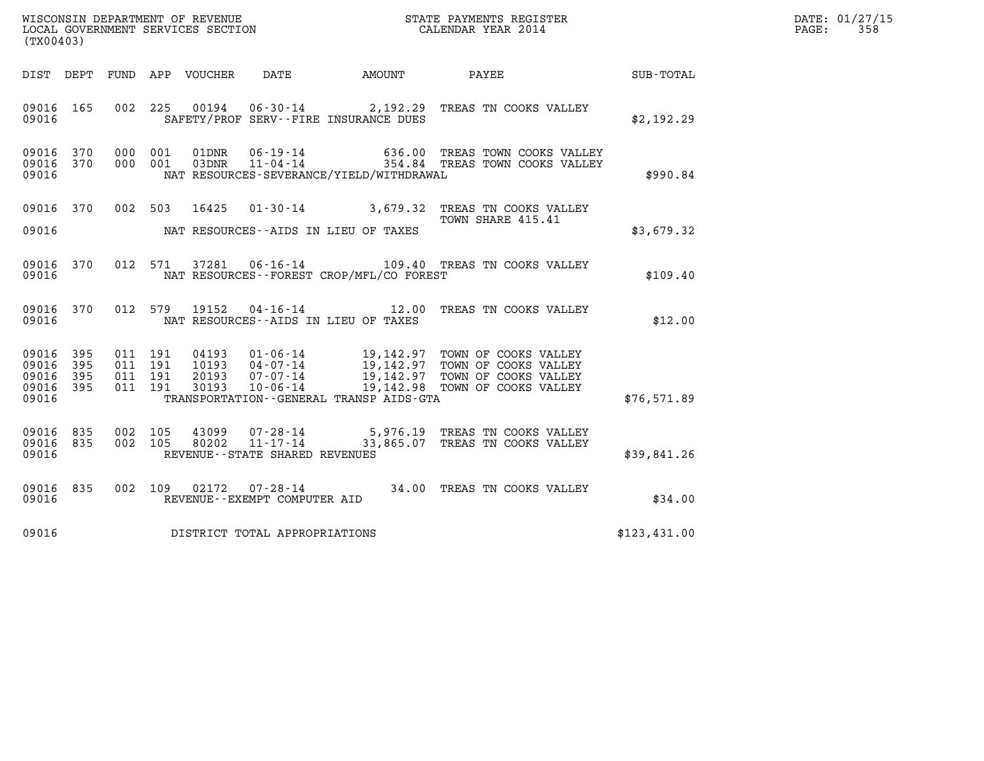| DATE: | 01/27/15 |
|-------|----------|
| PAGE: | 358      |

| (TX00403)                                         |            |                                          |         |                            |                                                     |                                              |                                                                                    |              | DATE: 01/27/15<br>$\mathtt{PAGE}$ :<br>358 |
|---------------------------------------------------|------------|------------------------------------------|---------|----------------------------|-----------------------------------------------------|----------------------------------------------|------------------------------------------------------------------------------------|--------------|--------------------------------------------|
|                                                   |            |                                          |         | DIST DEPT FUND APP VOUCHER | DATE                                                | AMOUNT                                       | PAYEE                                                                              | SUB-TOTAL    |                                            |
| 09016 165<br>09016                                |            |                                          | 002 225 | 00194                      |                                                     | SAFETY/PROF SERV--FIRE INSURANCE DUES        | 06-30-14 2,192.29 TREAS TN COOKS VALLEY                                            | \$2,192.29   |                                            |
| 09016<br>09016 370<br>09016                       | 370        | 000 001<br>000 001                       |         | 01DNR<br>03DNR             |                                                     | NAT RESOURCES-SEVERANCE/YIELD/WITHDRAWAL     | 06-19-14 636.00 TREAS TOWN COOKS VALLEY<br>11-04-14 354.84 TREAS TOWN COOKS VALLEY | \$990.84     |                                            |
| 09016 370<br>09016                                |            | 002 503                                  |         | 16425                      |                                                     | NAT RESOURCES--AIDS IN LIEU OF TAXES         | 01-30-14 3,679.32 TREAS TN COOKS VALLEY<br>TOWN SHARE 415.41                       | \$3,679.32   |                                            |
| 09016 370<br>09016                                |            |                                          | 012 571 |                            |                                                     | NAT RESOURCES - - FOREST CROP/MFL/CO FOREST  | 37281  06-16-14    109.40    TREAS TN COOKS VALLEY                                 | \$109.40     |                                            |
| 09016 370<br>09016                                |            | 012 579                                  |         | 19152                      |                                                     | NAT RESOURCES--AIDS IN LIEU OF TAXES         | 04-16-14 12.00 TREAS TN COOKS VALLEY                                               | \$12.00      |                                            |
| 09016<br>09016 395<br>09016<br>09016 395<br>09016 | 395<br>395 | 011 191<br>011 191<br>011 191<br>011 191 |         |                            |                                                     | TRANSPORTATION - - GENERAL TRANSP AIDS - GTA |                                                                                    | \$76,571.89  |                                            |
| 09016 835<br>09016 835<br>09016                   |            | 002 105<br>002 105                       |         | 43099<br>80202             | $11 - 17 - 14$<br>REVENUE - - STATE SHARED REVENUES |                                              | 07-28-14 5,976.19 TREAS TN COOKS VALLEY<br>33,865.07 TREAS TN COOKS VALLEY         | \$39,841.26  |                                            |
| 09016 835<br>09016                                |            |                                          | 002 109 | 02172                      | REVENUE--EXEMPT COMPUTER AID                        |                                              | 07-28-14 34.00 TREAS TN COOKS VALLEY                                               | \$34.00      |                                            |
| 09016                                             |            |                                          |         |                            | DISTRICT TOTAL APPROPRIATIONS                       |                                              |                                                                                    | \$123,431.00 |                                            |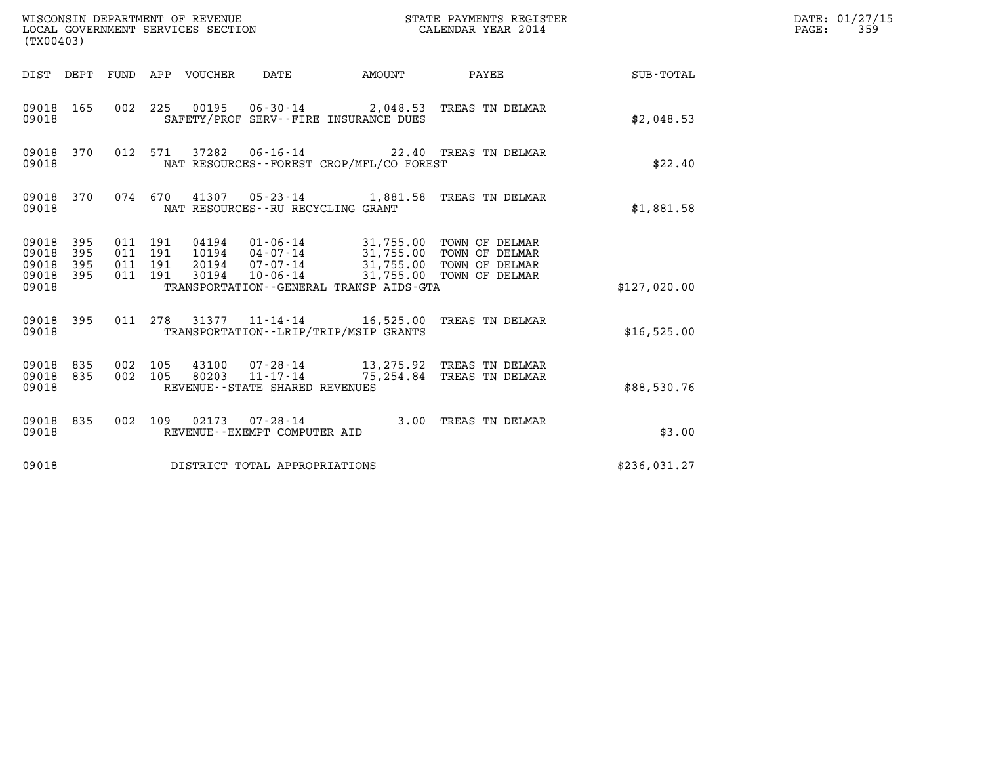| (TX00403)                                         |            |                                          |                                 | WISCONSIN DEPARTMENT OF REVENUE<br>LOCAL GOVERNMENT SERVICES SECTION |                                             | STATE PAYMENTS REGISTER<br>CALENDAR YEAR 2014                                                                                                                                         |              | DATE: 01/27/15<br>$\mathtt{PAGE}$ :<br>359 |
|---------------------------------------------------|------------|------------------------------------------|---------------------------------|----------------------------------------------------------------------|---------------------------------------------|---------------------------------------------------------------------------------------------------------------------------------------------------------------------------------------|--------------|--------------------------------------------|
|                                                   |            |                                          | DIST DEPT FUND APP VOUCHER DATE |                                                                      | <b>AMOUNT</b>                               | PAYEE                                                                                                                                                                                 | SUB-TOTAL    |                                            |
| 09018                                             | 09018 165  |                                          |                                 |                                                                      | SAFETY/PROF SERV--FIRE INSURANCE DUES       | 002 225 00195 06-30-14 2,048.53 TREAS TN DELMAR                                                                                                                                       | \$2,048.53   |                                            |
| 09018                                             | 09018 370  |                                          |                                 |                                                                      | NAT RESOURCES - - FOREST CROP/MFL/CO FOREST | 012 571 37282 06-16-14 22.40 TREAS TN DELMAR                                                                                                                                          | \$22.40      |                                            |
| 09018 370<br>09018                                |            |                                          |                                 | NAT RESOURCES--RU RECYCLING GRANT                                    |                                             | 074 670 41307 05-23-14 1,881.58 TREAS TN DELMAR                                                                                                                                       | \$1,881.58   |                                            |
| 09018 395<br>09018<br>09018<br>09018 395<br>09018 | 395<br>395 | 011 191<br>011 191<br>011 191<br>011 191 |                                 |                                                                      | TRANSPORTATION--GENERAL TRANSP AIDS-GTA     | 04194   01-06-14   31,755.00 TOWN OF DELMAR<br>10194   04-07-14   31,755.00 TOWN OF DELMAR<br>20194  07-07-14  31,755.00 TOWN OF DELMAR<br>30194  10-06-14  31,755.00  TOWN OF DELMAR | \$127,020.00 |                                            |
| 09018 395<br>09018                                |            |                                          |                                 |                                                                      | TRANSPORTATION - - LRIP/TRIP/MSIP GRANTS    | 011 278 31377 11-14-14 16,525.00 TREAS TN DELMAR                                                                                                                                      | \$16,525.00  |                                            |
| 09018 835<br>09018 835<br>09018                   |            | 002 105<br>002 105                       | 80203                           | $11 - 17 - 14$<br>REVENUE - - STATE SHARED REVENUES                  |                                             | 43100  07-28-14  13,275.92  TREAS TN DELMAR<br>75,254.84 TREAS TN DELMAR                                                                                                              | \$88,530.76  |                                            |
| 09018 835<br>09018                                |            |                                          |                                 | 002 109 02173 07-28-14<br>REVENUE--EXEMPT COMPUTER AID               |                                             | 3.00 TREAS TN DELMAR                                                                                                                                                                  | \$3.00       |                                            |
| 09018                                             |            |                                          |                                 | DISTRICT TOTAL APPROPRIATIONS                                        |                                             |                                                                                                                                                                                       | \$236,031.27 |                                            |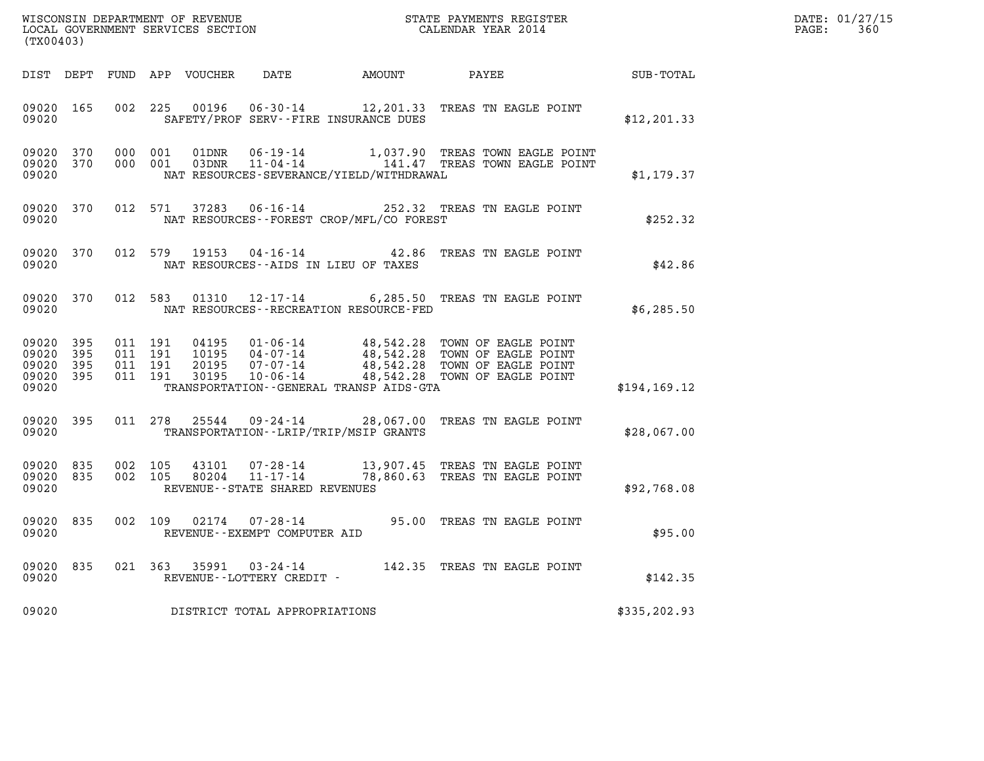| DATE: | 01/27/15 |
|-------|----------|
| PAGE: | 360      |

| (TX00403)                                                       |                                          |                                                                                                                                                                                                                                                          |                                                                                                                      |               | DATE: 01/27/15<br>$\mathtt{PAGE:}$<br>360 |
|-----------------------------------------------------------------|------------------------------------------|----------------------------------------------------------------------------------------------------------------------------------------------------------------------------------------------------------------------------------------------------------|----------------------------------------------------------------------------------------------------------------------|---------------|-------------------------------------------|
|                                                                 |                                          |                                                                                                                                                                                                                                                          |                                                                                                                      |               |                                           |
| 09020 165<br>09020                                              | 002 225                                  | 00196<br>SAFETY/PROF SERV--FIRE INSURANCE DUES                                                                                                                                                                                                           | 06-30-14 12, 201.33 TREAS TN EAGLE POINT                                                                             | \$12, 201.33  |                                           |
| 09020 370<br>09020 370<br>09020                                 | 000 001<br>000 001                       | 01DNR<br>03DNR<br>NAT RESOURCES-SEVERANCE/YIELD/WITHDRAWAL                                                                                                                                                                                               | 06-19-14 1,037.90 TREAS TOWN EAGLE POINT<br>11-04-14 141.47 TREAS TOWN EAGLE POINT                                   | \$1,179.37    |                                           |
| 09020 370<br>09020                                              | 012 571                                  | 37283  06-16-14  252.32  TREAS TN EAGLE POINT<br>NAT RESOURCES - - FOREST CROP/MFL/CO FOREST                                                                                                                                                             |                                                                                                                      | \$252.32      |                                           |
| 09020<br>370<br>09020                                           | 012 579                                  | 19153<br>NAT RESOURCES--AIDS IN LIEU OF TAXES                                                                                                                                                                                                            | 04-16-14 42.86 TREAS TN EAGLE POINT                                                                                  | \$42.86       |                                           |
| 09020 370<br>09020                                              | 012 583                                  | 01310  12-17-14  6,285.50 TREAS TN EAGLE POINT<br>NAT RESOURCES - - RECREATION RESOURCE - FED                                                                                                                                                            |                                                                                                                      | \$6,285.50    |                                           |
| 09020 395<br>09020<br>395<br>09020<br>395<br>09020 395<br>09020 | 011 191<br>011 191<br>011 191<br>011 191 | 04195  01-06-14  48,542.28  TOWN OF EAGLE POINT<br>10195  04-07-14  48,542.28  TOWN OF EAGLE POINT<br>20195  07-07-14  48,542.28  TOWN OF EAGLE POINT<br>30195  10-06-14  48,542.28  TOWN OF EAGLE POINT<br>TRANSPORTATION - - GENERAL TRANSP AIDS - GTA |                                                                                                                      | \$194, 169.12 |                                           |
| 09020 395<br>09020                                              |                                          | 011 278 25544 09-24-14 28,067.00 TREAS TN EAGLE POINT<br>TRANSPORTATION - - LRIP/TRIP/MSIP GRANTS                                                                                                                                                        |                                                                                                                      | \$28,067.00   |                                           |
| 09020<br>835<br>09020<br>835<br>09020                           | 002 105<br>002 105                       | 43101<br>80204<br>REVENUE--STATE SHARED REVENUES                                                                                                                                                                                                         | 07–28–14             13,907.45   TREAS  TN EAGLE  POINT<br>11–17–14              78,860.63   TREAS  TN  EAGLE  POINT | \$92,768.08   |                                           |
| 09020 835<br>09020                                              |                                          | 002 109 02174 07-28-14 95.00 TREAS TN EAGLE POINT<br>REVENUE--EXEMPT COMPUTER AID                                                                                                                                                                        |                                                                                                                      | \$95.00       |                                           |
| 09020<br>835<br>09020                                           |                                          | 021 363 35991 03-24-14 142.35 TREAS TN EAGLE POINT<br>REVENUE--LOTTERY CREDIT -                                                                                                                                                                          |                                                                                                                      | \$142.35      |                                           |
| 09020                                                           |                                          | DISTRICT TOTAL APPROPRIATIONS                                                                                                                                                                                                                            |                                                                                                                      | \$335, 202.93 |                                           |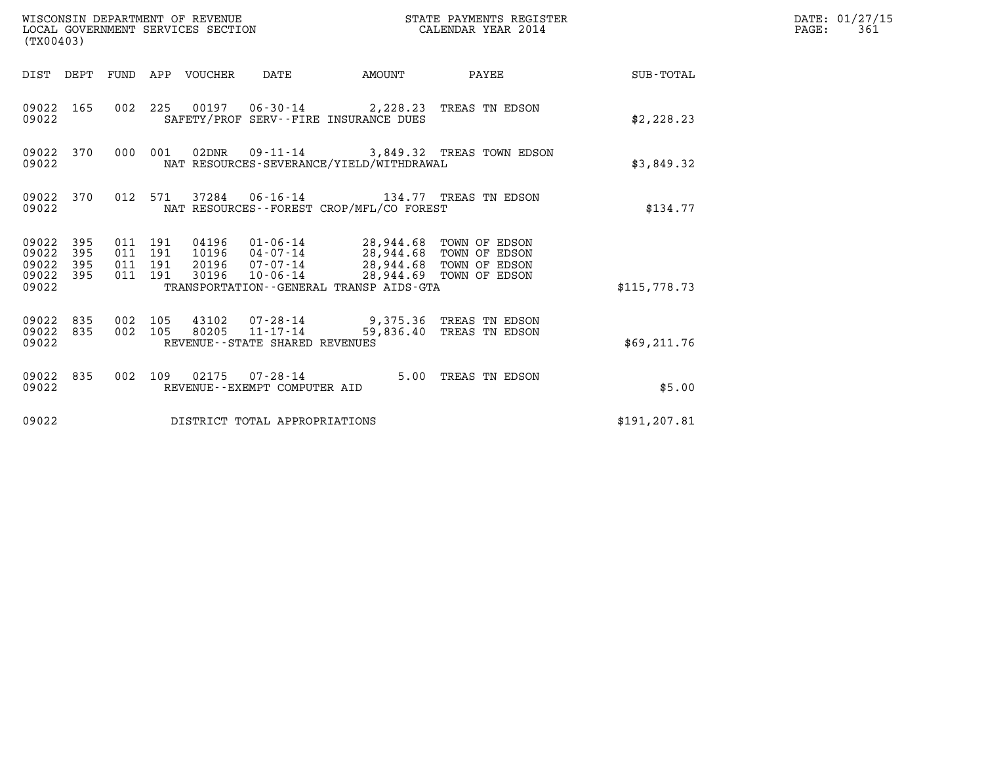| WISCONSIN DEPARTMENT OF REVENUE<br>(TX00403)                       | LOCAL GOVERNMENT SERVICES SECTION                                                                                                                                                                                                               | STATE PAYMENTS REGISTER<br>CALENDAR YEAR 2014 |               | DATE: 01/27/15<br>$\mathtt{PAGE:}$<br>361 |
|--------------------------------------------------------------------|-------------------------------------------------------------------------------------------------------------------------------------------------------------------------------------------------------------------------------------------------|-----------------------------------------------|---------------|-------------------------------------------|
|                                                                    | DIST DEPT FUND APP VOUCHER DATE<br>AMOUNT                                                                                                                                                                                                       | PAYEE<br><b>SUB-TOTAL</b>                     |               |                                           |
| 09022 165<br>09022                                                 | 002 225 00197 06-30-14 2,228.23 TREAS TN EDSON<br>SAFETY/PROF SERV--FIRE INSURANCE DUES                                                                                                                                                         |                                               | \$2,228.23    |                                           |
| 09022 370<br>09022                                                 | 000 001<br>02DNR  09-11-14  3,849.32 TREAS TOWN EDSON<br>NAT RESOURCES-SEVERANCE/YIELD/WITHDRAWAL                                                                                                                                               |                                               | \$3,849.32    |                                           |
| 09022 370<br>09022                                                 | 012 571 37284 06-16-14 134.77 TREAS TN EDSON<br>NAT RESOURCES -- FOREST CROP/MFL/CO FOREST                                                                                                                                                      |                                               | \$134.77      |                                           |
| 395<br>09022<br>09022<br>395<br>09022<br>395<br>09022 395<br>09022 | 011 191<br>04196  01-06-14  28,944.68  TOWN OF EDSON<br>10196  04-07-14  28,944.68  TOWN OF EDSON<br>011 191<br>20196  07-07-14  28,944.68  TOWN OF EDSON<br>011 191<br>011 191<br>30196<br>10-06-14<br>TRANSPORTATION--GENERAL TRANSP AIDS-GTA | 28,944.69 TOWN OF EDSON                       | \$115.778.73  |                                           |
| 09022 835<br>09022 835<br>09022                                    | 002 105<br>43102  07-28-14  9,375.36  TREAS TN EDSON<br>80205 11-17-14<br>002 105<br>REVENUE--STATE SHARED REVENUES                                                                                                                             | 59,836.40 TREAS TN EDSON                      | \$69, 211.76  |                                           |
| 09022 835<br>09022                                                 | 002 109 02175 07-28-14<br>REVENUE--EXEMPT COMPUTER AID                                                                                                                                                                                          | 5.00 TREAS TN EDSON                           | \$5.00        |                                           |
| 09022                                                              | DISTRICT TOTAL APPROPRIATIONS                                                                                                                                                                                                                   |                                               | \$191, 207.81 |                                           |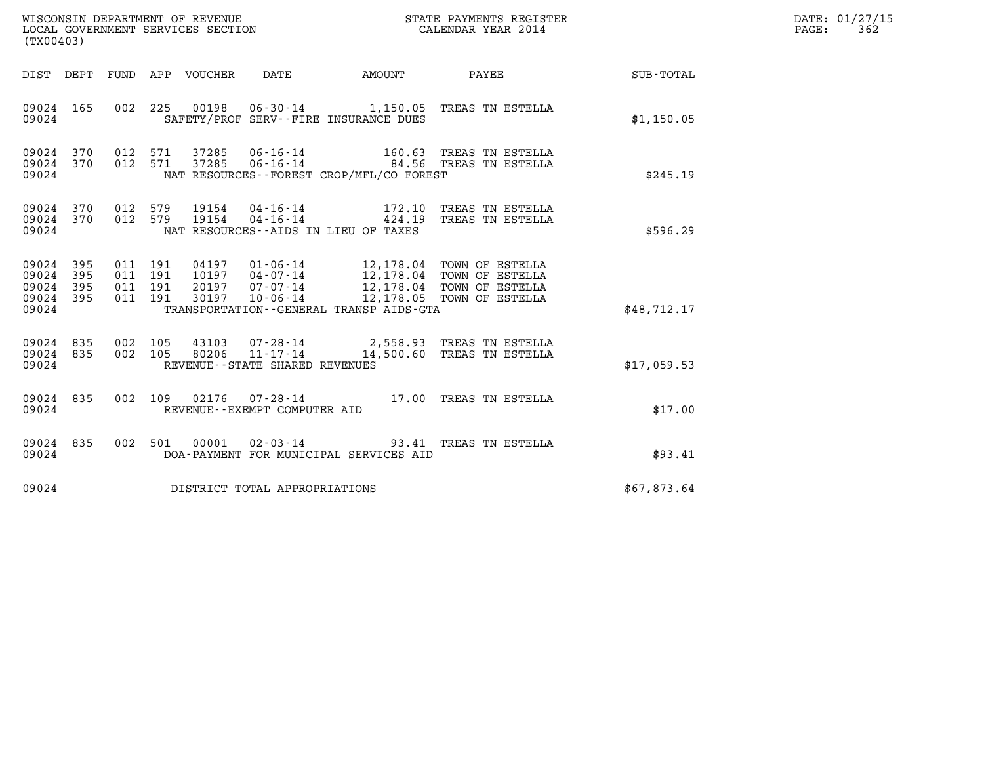|                                           | WISCONSIN DEPARTMENT OF REVENUE<br>LOCAL GOVERNMENT SERVICES SECTION<br>CALENDAR YEAR 2014<br>(TX00403) |                                          |  |                                 |                                                     |                                          |                                                                                                                                                                              |                      | DATE: 01/27/15<br>PAGE: 362 |
|-------------------------------------------|---------------------------------------------------------------------------------------------------------|------------------------------------------|--|---------------------------------|-----------------------------------------------------|------------------------------------------|------------------------------------------------------------------------------------------------------------------------------------------------------------------------------|----------------------|-----------------------------|
|                                           |                                                                                                         |                                          |  | DIST DEPT FUND APP VOUCHER DATE |                                                     | AMOUNT PAYEE                             |                                                                                                                                                                              | $\texttt{SUB-TOTAL}$ |                             |
| 09024 165<br>09024                        |                                                                                                         |                                          |  |                                 |                                                     | SAFETY/PROF SERV--FIRE INSURANCE DUES    | 002 225 00198 06-30-14 1,150.05 TREAS TN ESTELLA                                                                                                                             | \$1,150.05           |                             |
| 09024<br>09024 370<br>09024               |                                                                                                         | 370 012 571<br>012 571                   |  |                                 |                                                     | NAT RESOURCES--FOREST CROP/MFL/CO FOREST | 37285  06-16-14  160.63  TREAS TN ESTELLA<br>37285 06-16-14 84.56 TREAS TN ESTELLA                                                                                           | \$245.19             |                             |
| 09024 370 012 579<br>09024 370<br>09024   |                                                                                                         | 012 579                                  |  |                                 |                                                     | NAT RESOURCES--AIDS IN LIEU OF TAXES     | 19154  04-16-14   172.10 TREAS TN ESTELLA<br>19154  04-16-14   424.19 TREAS TN ESTELLA                                                                                       | \$596.29             |                             |
| 09024<br>09024<br>09024<br>09024<br>09024 | 395<br>395<br>395<br>395                                                                                | 011 191<br>011 191<br>011 191<br>011 191 |  |                                 |                                                     | TRANSPORTATION--GENERAL TRANSP AIDS-GTA  | 04197 01-06-14 12,178.04 TOWN OF ESTELLA<br>10197 04-07-14 12,178.04 TOWN OF ESTELLA<br>20197 07-07-14 12,178.04 TOWN OF ESTELLA<br>30197 10-06-14 12,178.05 TOWN OF ESTELLA | \$48,712.17          |                             |
| 09024 835<br>09024 835<br>09024           |                                                                                                         | 002 105<br>002 105                       |  | 80206                           | $11 - 17 - 14$<br>REVENUE - - STATE SHARED REVENUES |                                          | 43103 07-28-14 2,558.93 TREAS TN ESTELLA<br>14,500.60 TREAS TN ESTELLA                                                                                                       | \$17,059.53          |                             |
| 09024 835<br>09024                        |                                                                                                         |                                          |  |                                 | REVENUE--EXEMPT COMPUTER AID                        |                                          | 002 109 02176 07-28-14 17.00 TREAS TN ESTELLA                                                                                                                                | \$17.00              |                             |
| 09024 835<br>09024                        |                                                                                                         |                                          |  |                                 |                                                     | DOA-PAYMENT FOR MUNICIPAL SERVICES AID   | 002 501 00001 02-03-14 93.41 TREAS TN ESTELLA                                                                                                                                | \$93.41              |                             |
| 09024                                     |                                                                                                         |                                          |  |                                 | DISTRICT TOTAL APPROPRIATIONS                       |                                          |                                                                                                                                                                              | \$67,873.64          |                             |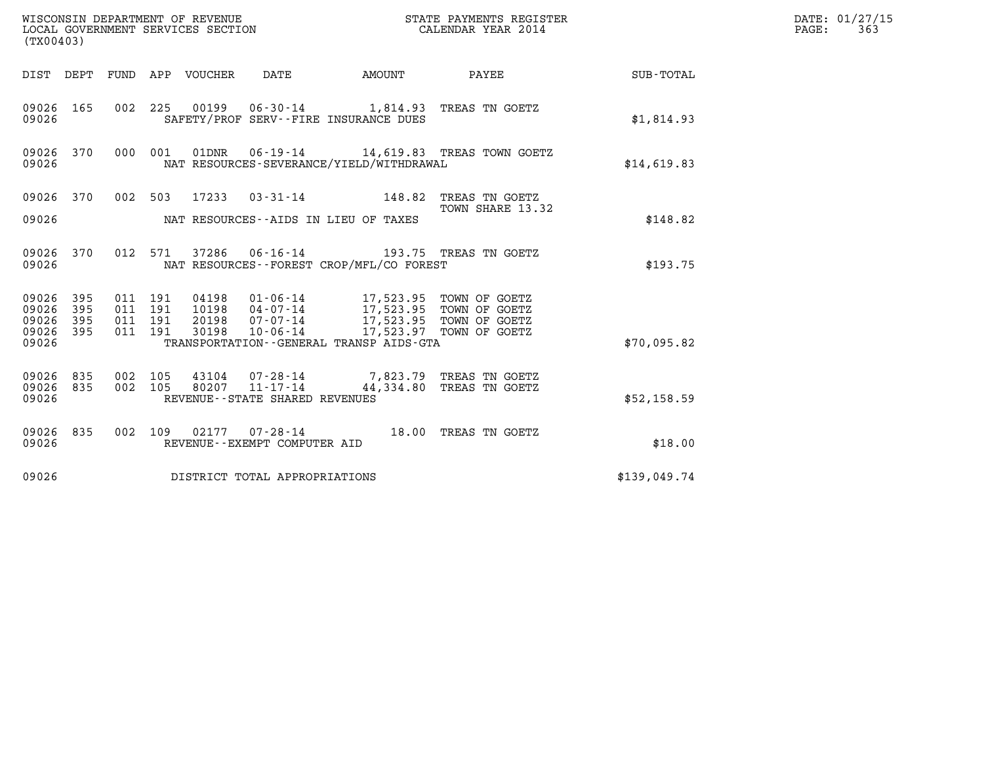|                                                   | WISCONSIN DEPARTMENT OF REVENUE<br>LOCAL GOVERNMENT SERVICES SECTION<br>(TX00403) |                                          |         |       |                                   | STATE PAYMENTS REGISTER<br>CALENDAR YEAR 2014                                                                                                                                                |                                                | DATE: 01/27/15<br>$\mathtt{PAGE:}$<br>363 |  |
|---------------------------------------------------|-----------------------------------------------------------------------------------|------------------------------------------|---------|-------|-----------------------------------|----------------------------------------------------------------------------------------------------------------------------------------------------------------------------------------------|------------------------------------------------|-------------------------------------------|--|
|                                                   |                                                                                   |                                          |         |       |                                   | DIST DEPT FUND APP VOUCHER DATE AMOUNT                                                                                                                                                       |                                                | PAYEE SUB-TOTAL                           |  |
| 09026 165<br>09026                                |                                                                                   |                                          |         |       |                                   | 002 225 00199 06-30-14 1,814.93 TREAS TN GOETZ<br>SAFETY/PROF SERV--FIRE INSURANCE DUES                                                                                                      |                                                | \$1,814.93                                |  |
| 09026 370<br>09026                                |                                                                                   |                                          | 000 001 |       |                                   | NAT RESOURCES-SEVERANCE/YIELD/WITHDRAWAL                                                                                                                                                     | 01DNR  06-19-14   14,619.83   TREAS TOWN GOETZ | \$14,619.83                               |  |
| 09026 370                                         |                                                                                   |                                          |         |       |                                   | 002 503 17233 03-31-14 148.82 TREAS TN GOETZ                                                                                                                                                 | TOWN SHARE 13.32                               |                                           |  |
| 09026                                             |                                                                                   |                                          |         |       |                                   | NAT RESOURCES--AIDS IN LIEU OF TAXES                                                                                                                                                         |                                                | \$148.82                                  |  |
| 09026 370<br>09026                                |                                                                                   |                                          |         |       |                                   | 012 571 37286 06-16-14 193.75 TREAS TN GOETZ<br>NAT RESOURCES - - FOREST CROP/MFL/CO FOREST                                                                                                  |                                                | \$193.75                                  |  |
| 09026 395<br>09026<br>09026<br>09026 395<br>09026 | 395<br>395                                                                        | 011 191<br>011 191<br>011 191<br>011 191 |         | 30198 | $10 - 06 - 14$                    | 04198   01-06-14   17,523.95   TOWN OF GOETZ<br>10198   04-07-14   17,523.95   TOWN OF GOETZ<br>20198   07-07-14   17,523.95   TOWN OF GOETZ<br>TRANSPORTATION - - GENERAL TRANSP AIDS - GTA | 17,523.97 TOWN OF GOETZ                        | \$70,095.82                               |  |
| 09026 835<br>09026 835<br>09026                   |                                                                                   | 002 105<br>002 105                       |         |       | REVENUE - - STATE SHARED REVENUES | 43104  07-28-14  7,823.79 TREAS TN GOETZ<br>80207  11-17-14  44,334.80 TREAS TN GOETZ                                                                                                        | 44,334.80 TREAS TN GOETZ                       | \$52,158.59                               |  |
| 09026 835<br>09026                                |                                                                                   |                                          |         |       | REVENUE--EXEMPT COMPUTER AID      | 002 109 02177 07-28-14 18.00 TREAS TN GOETZ                                                                                                                                                  |                                                | \$18.00                                   |  |
| 09026                                             |                                                                                   |                                          |         |       | DISTRICT TOTAL APPROPRIATIONS     |                                                                                                                                                                                              |                                                | \$139,049.74                              |  |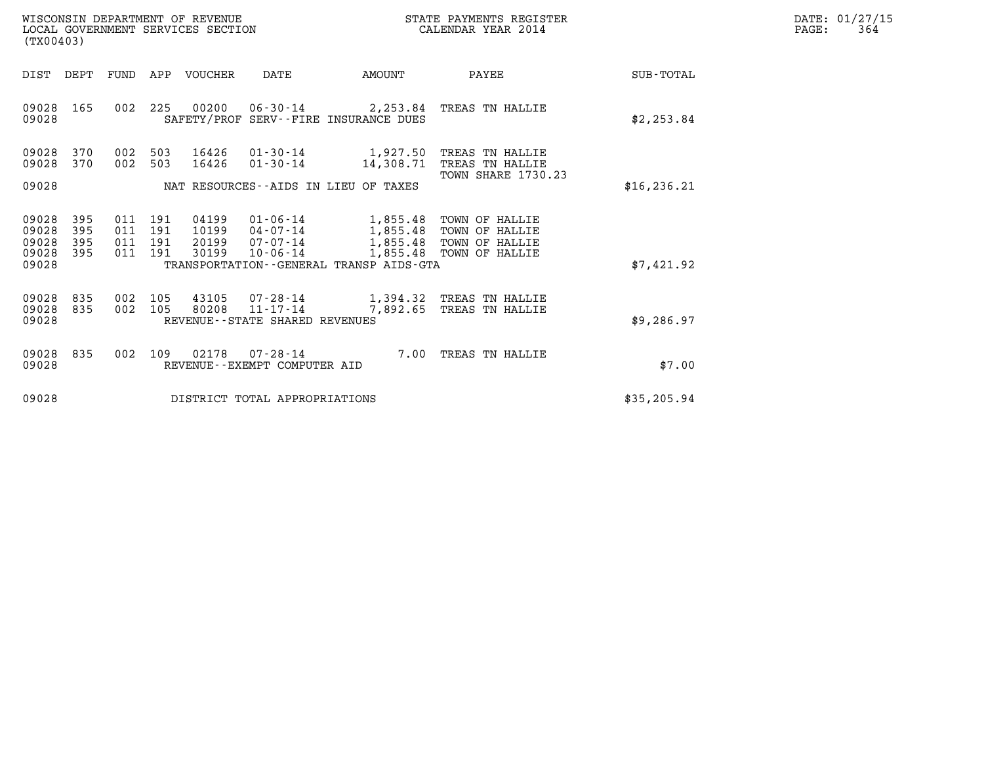| WISCONSIN DEPARTMENT OF REVENUE   | STATE PAYMENTS REGISTER | DATE: 01/27/15 |
|-----------------------------------|-------------------------|----------------|
| LOCAL GOVERNMENT SERVICES SECTION | CALENDAR YEAR 2014      | 364<br>PAGE:   |

| WISCONSIN DEPARTMENT OF REVENUE<br>LOCAL GOVERNMENT SERVICES SECTION<br>(TX00403)        | STATE PAYMENTS REGISTER<br>CALENDAR YEAR 2014                                                                                        |                                              |                                                                      |                  |
|------------------------------------------------------------------------------------------|--------------------------------------------------------------------------------------------------------------------------------------|----------------------------------------------|----------------------------------------------------------------------|------------------|
| DIST<br>DEPT<br>FUND                                                                     | APP<br>VOUCHER<br>DATE                                                                                                               | AMOUNT                                       | PAYEE                                                                | <b>SUB-TOTAL</b> |
| 09028<br>165<br>002<br>09028                                                             | 225<br>00200<br>SAFETY/PROF SERV--FIRE INSURANCE DUES                                                                                | 06-30-14 2,253.84                            | TREAS TN HALLIE                                                      | \$2,253.84       |
| 09028<br>370<br>002<br>09028<br>370<br>002                                               | 503<br>16426<br>503<br>16426<br>$01 - 30 - 14$                                                                                       | $01 - 30 - 14$ 1,927.50<br>14,308.71         | TREAS TN HALLIE<br>TREAS TN HALLIE<br><b>TOWN SHARE 1730.23</b>      |                  |
| 09028                                                                                    | NAT RESOURCES - AIDS IN LIEU OF TAXES                                                                                                |                                              |                                                                      | \$16, 236.21     |
| 09028<br>395<br>011<br>395<br>09028<br>011<br>395<br>09028<br>011<br>09028<br>395<br>011 | 191<br>04199<br>$01 - 06 - 14$<br>10199<br>191<br>$04 - 07 - 14$<br>20199<br>191<br>$07 - 07 - 14$<br>30199<br>191<br>$10 - 06 - 14$ | 1,855.48<br>1,855.48<br>1,855.48<br>1,855.48 | TOWN OF HALLIE<br>TOWN OF HALLIE<br>TOWN OF HALLIE<br>TOWN OF HALLIE |                  |
| 09028                                                                                    | TRANSPORTATION--GENERAL TRANSP AIDS-GTA                                                                                              |                                              |                                                                      | \$7,421.92       |
| 09028<br>835<br>002<br>09028<br>835<br>002<br>09028                                      | 105<br>43105<br>07-28-14<br>80208<br>$11 - 17 - 14$<br>105<br>REVENUE - - STATE SHARED REVENUES                                      | 7,892.65                                     | 1,394.32 TREAS TN HALLIE<br>TREAS TN HALLIE                          | \$9,286.97       |
| 09028<br>835<br>002<br>09028                                                             | 109<br>02178<br>$07 - 28 - 14$<br>REVENUE--EXEMPT COMPUTER AID                                                                       | 7.00                                         | TREAS TN HALLIE                                                      | \$7.00           |
| 09028                                                                                    | DISTRICT TOTAL APPROPRIATIONS                                                                                                        |                                              |                                                                      | \$35,205.94      |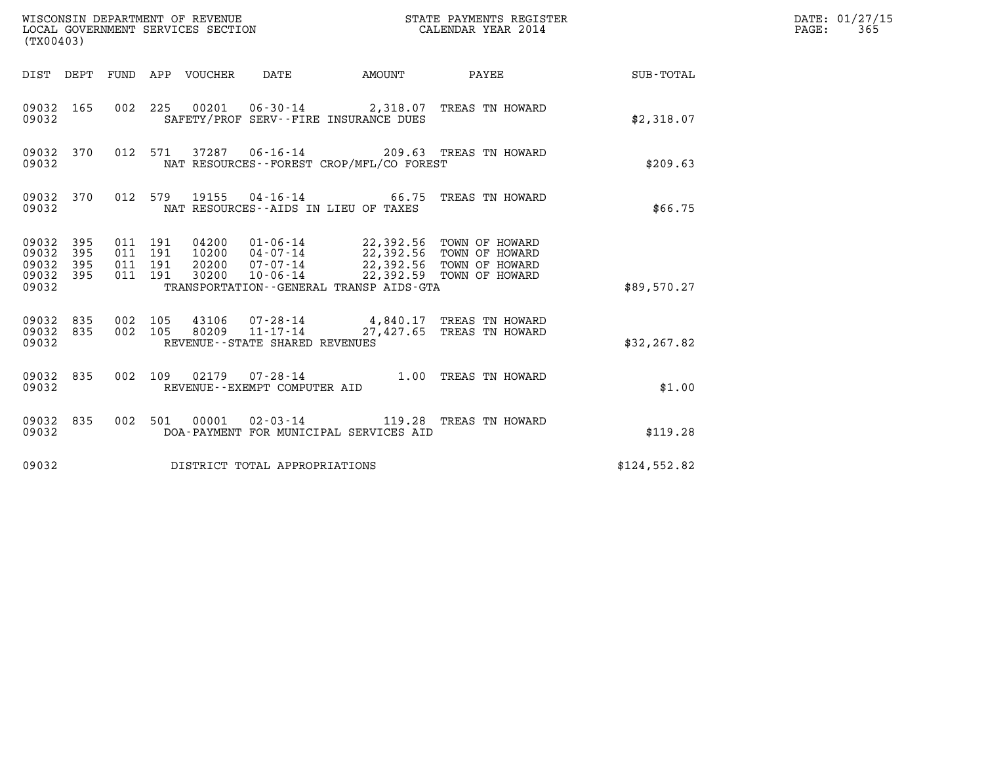| (TX00403)                                                |     |                                          |                                                                                                                                                                                                                              |              | STATE PAYMENTS REGISTER                                                                   |                    | DATE: 01/27/15<br>$\mathtt{PAGE}$ :<br>365 |
|----------------------------------------------------------|-----|------------------------------------------|------------------------------------------------------------------------------------------------------------------------------------------------------------------------------------------------------------------------------|--------------|-------------------------------------------------------------------------------------------|--------------------|--------------------------------------------|
|                                                          |     | DIST DEPT FUND APP VOUCHER DATE          |                                                                                                                                                                                                                              | AMOUNT PAYEE |                                                                                           | <b>SUB - TOTAL</b> |                                            |
| 09032 165<br>09032                                       |     |                                          | SAFETY/PROF SERV--FIRE INSURANCE DUES                                                                                                                                                                                        |              | 002 225 00201 06-30-14 2,318.07 TREAS TN HOWARD                                           | \$2,318.07         |                                            |
| 09032 370<br>09032                                       |     |                                          | NAT RESOURCES - - FOREST CROP/MFL/CO FOREST                                                                                                                                                                                  |              | 012 571 37287 06-16-14 209.63 TREAS TN HOWARD                                             | \$209.63           |                                            |
| 09032 370<br>09032                                       |     |                                          | NAT RESOURCES--AIDS IN LIEU OF TAXES                                                                                                                                                                                         |              | 012 579 19155 04-16-14 66.75 TREAS TN HOWARD                                              | \$66.75            |                                            |
| 09032 395<br>09032<br>395<br>09032<br>09032 395<br>09032 | 395 | 011 191<br>011 191<br>011 191<br>011 191 | 04200  01-06-14  22,392.56  TOWN OF HOWARD<br>10200  04-07-14  22,392.56  TOWN OF HOWARD<br>20200 07-07-14 22,392.56 TOWN OF HOWARD<br>30200  10-06-14  22,392.59  TOWN OF HOWARD<br>TRANSPORTATION--GENERAL TRANSP AIDS-GTA |              |                                                                                           | \$89,570.27        |                                            |
| 09032 835<br>09032 835<br>09032                          |     | 002 105<br>002 105                       | REVENUE - - STATE SHARED REVENUES                                                                                                                                                                                            |              | 43106  07-28-14  4,840.17  TREAS TN HOWARD<br>80209  11-17-14  27,427.65  TREAS TN HOWARD | \$32, 267.82       |                                            |
| 09032 835<br>09032                                       |     | 002 109                                  | REVENUE--EXEMPT COMPUTER AID                                                                                                                                                                                                 |              | 02179  07-28-14  1.00 TREAS TN HOWARD                                                     | \$1.00             |                                            |
| 09032 835<br>09032                                       |     |                                          | DOA-PAYMENT FOR MUNICIPAL SERVICES AID                                                                                                                                                                                       |              | 002 501 00001 02-03-14 119.28 TREAS TN HOWARD                                             | \$119.28           |                                            |
| 09032                                                    |     |                                          | DISTRICT TOTAL APPROPRIATIONS                                                                                                                                                                                                |              |                                                                                           | \$124,552.82       |                                            |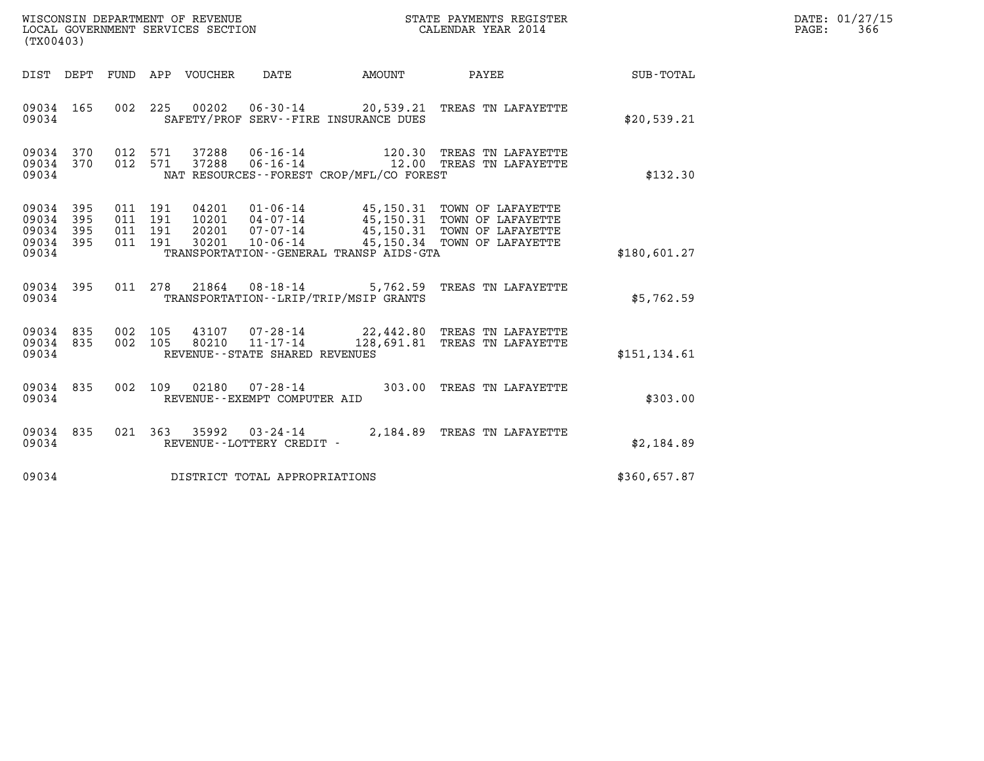| WISCONSIN DEPARTMENT OF REVENUE   | STATE PAYMENTS REGISTER | DATE: 01/27/15 |
|-----------------------------------|-------------------------|----------------|
| LOCAL GOVERNMENT SERVICES SECTION | CALENDAR YEAR 2014      | 366<br>PAGE:   |

| (TX00403)                                                             |                                                      |                                                                                                                                               |                                                  |                                                                                  |                  |
|-----------------------------------------------------------------------|------------------------------------------------------|-----------------------------------------------------------------------------------------------------------------------------------------------|--------------------------------------------------|----------------------------------------------------------------------------------|------------------|
| DIST<br>DEPT                                                          | FUND<br>APP                                          | VOUCHER<br><b>DATE</b>                                                                                                                        | AMOUNT                                           | PAYEE                                                                            | <b>SUB-TOTAL</b> |
| 09034<br>165<br>09034                                                 | 002<br>225                                           | 00202<br>06-30-14<br>SAFETY/PROF SERV--FIRE INSURANCE DUES                                                                                    |                                                  | 20,539.21 TREAS TN LAFAYETTE                                                     | \$20,539.21      |
| 09034<br>370<br>370<br>09034<br>09034                                 | 012<br>571<br>571<br>012                             | $06 - 16 - 14$<br>37288<br>37288<br>$06 - 16 - 14$<br>NAT RESOURCES - - FOREST CROP/MFL/CO FOREST                                             | 120.30<br>12.00                                  | TREAS TN LAFAYETTE<br>TREAS TN LAFAYETTE                                         | \$132.30         |
| 09034<br>395<br>09034<br>395<br>09034<br>395<br>395<br>09034<br>09034 | 011<br>191<br>011<br>191<br>191<br>011<br>191<br>011 | 04201<br>$01 - 06 - 14$<br>10201<br>04-07-14<br>$07 - 07 - 14$<br>20201<br>30201<br>$10 - 06 - 14$<br>TRANSPORTATION--GENERAL TRANSP AIDS-GTA | 45,150.31<br>45,150.31<br>45,150.31<br>45,150.34 | TOWN OF LAFAYETTE<br>TOWN OF LAFAYETTE<br>TOWN OF LAFAYETTE<br>TOWN OF LAFAYETTE | \$180,601.27     |
| 395<br>09034<br>09034                                                 | 011<br>278                                           | 21864<br>08-18-14<br>TRANSPORTATION - - LRIP/TRIP/MSIP GRANTS                                                                                 | 5,762.59                                         | TREAS TN LAFAYETTE                                                               | \$5,762.59       |
| 09034<br>835<br>835<br>09034<br>09034                                 | 002<br>105<br>002<br>105                             | 43107<br>$07 - 28 - 14$<br>$11 - 17 - 14$<br>80210<br>REVENUE - - STATE SHARED REVENUES                                                       | 128,691.81                                       | 22,442.80 TREAS TN LAFAYETTE<br>TREAS TN LAFAYETTE                               | \$151, 134.61    |
| 835<br>09034<br>09034                                                 | 002<br>109                                           | 02180<br>$07 - 28 - 14$<br>REVENUE - - EXEMPT COMPUTER AID                                                                                    | 303.00                                           | TREAS TN LAFAYETTE                                                               | \$303.00         |
| 09034<br>835<br>09034                                                 | 021<br>363                                           | 35992<br>$03 - 24 - 14$<br>REVENUE - - LOTTERY CREDIT -                                                                                       | 2,184.89                                         | TREAS TN LAFAYETTE                                                               | \$2,184.89       |
| 09034                                                                 |                                                      | DISTRICT TOTAL APPROPRIATIONS                                                                                                                 |                                                  |                                                                                  | \$360,657.87     |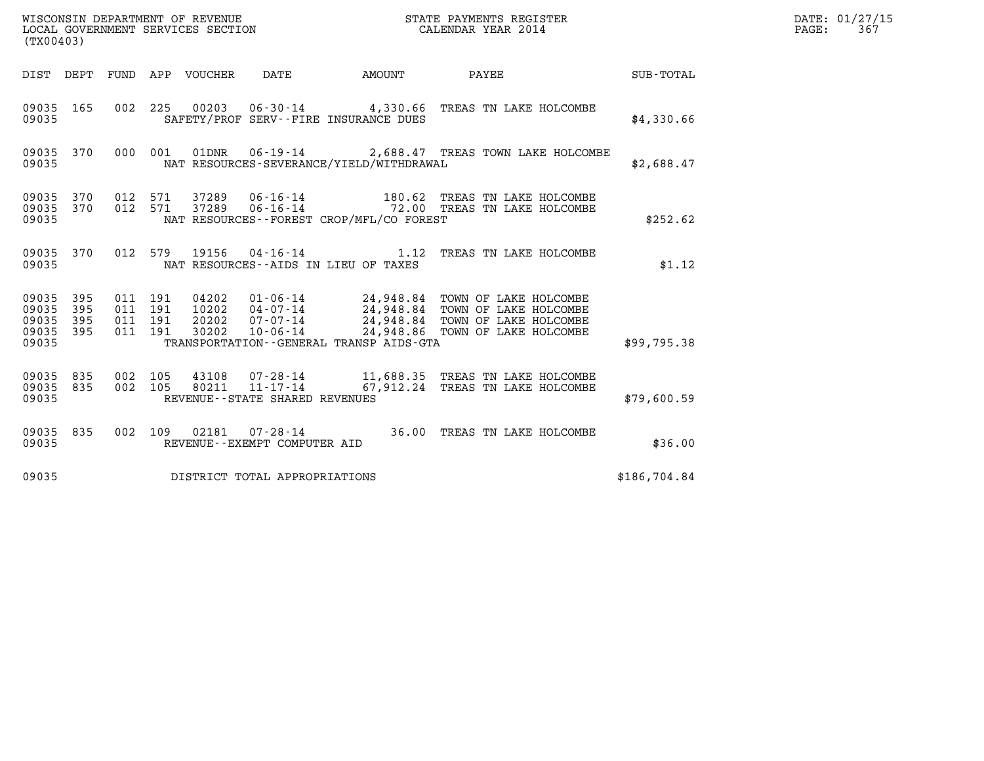|                                               | WISCONSIN DEPARTMENT OF REVENUE<br>LOCAL GOVERNMENT SERVICES SECTION<br>CALENDAR YEAR 2014<br>(TX00403) |                               |         |                |                                |                                              |                                                                                                                                                                                                |              | DATE: 01/27/15<br>PAGE: 367 |
|-----------------------------------------------|---------------------------------------------------------------------------------------------------------|-------------------------------|---------|----------------|--------------------------------|----------------------------------------------|------------------------------------------------------------------------------------------------------------------------------------------------------------------------------------------------|--------------|-----------------------------|
|                                               |                                                                                                         |                               |         |                |                                |                                              | DIST DEPT FUND APP VOUCHER DATE AMOUNT PAYEE TO SUB-TOTAL                                                                                                                                      |              |                             |
| 09035 165<br>09035                            |                                                                                                         |                               |         |                |                                | SAFETY/PROF SERV--FIRE INSURANCE DUES        | 002 225 00203 06-30-14 4,330.66 TREAS TN LAKE HOLCOMBE                                                                                                                                         | \$4,330.66   |                             |
| 09035                                         |                                                                                                         |                               |         |                |                                | NAT RESOURCES-SEVERANCE/YIELD/WITHDRAWAL     | 09035 370 000 001 01DNR 06-19-14 2,688.47 TREAS TOWN LAKE HOLCOMBE                                                                                                                             | \$2,688.47   |                             |
| 09035 370<br>09035 370<br>09035               |                                                                                                         | 012 571                       | 012 571 | 37289<br>37289 |                                | NAT RESOURCES--FOREST CROP/MFL/CO FOREST     | 06-16-14 180.62 TREAS TN LAKE HOLCOMBE<br>06-16-14 72.00 TREAS TN LAKE HOLCOMBE                                                                                                                | \$252.62     |                             |
| 09035 370<br>09035                            |                                                                                                         |                               |         |                |                                | NAT RESOURCES -- AIDS IN LIEU OF TAXES       | 012 579 19156 04-16-14 1.12 TREAS TN LAKE HOLCOMBE                                                                                                                                             | \$1.12       |                             |
| 09035 395<br>09035<br>09035<br>09035<br>09035 | 395<br>395<br>395                                                                                       | 011 191<br>011 191<br>011 191 | 011 191 | 30202          | $10 - 06 - 14$                 | TRANSPORTATION - - GENERAL TRANSP AIDS - GTA | 04202  01-06-14  24,948.84  TOWN OF LAKE HOLCOMBE<br>10202  04-07-14  24,948.84  TOWN OF LAKE HOLCOMBE<br>20202  07-07-14  24,948.84  TOWN OF LAKE HOLCOMBE<br>24,948.86 TOWN OF LAKE HOLCOMBE | \$99,795.38  |                             |
| 09035 835<br>09035 835<br>09035               |                                                                                                         | 002 105<br>002 105            |         |                | REVENUE--STATE SHARED REVENUES |                                              | $11,688.35$ TREAS TN LAKE HOLCOMBE 80211 11-17-14 67,912.24 TREAS TN LAKE HOLCOMBE                                                                                                             | \$79,600.59  |                             |
| 09035 835<br>09035                            |                                                                                                         |                               |         |                | REVENUE--EXEMPT COMPUTER AID   |                                              | 002 109 02181 07-28-14 36.00 TREAS TN LAKE HOLCOMBE                                                                                                                                            | \$36.00      |                             |
| 09035                                         |                                                                                                         |                               |         |                | DISTRICT TOTAL APPROPRIATIONS  |                                              |                                                                                                                                                                                                | \$186,704.84 |                             |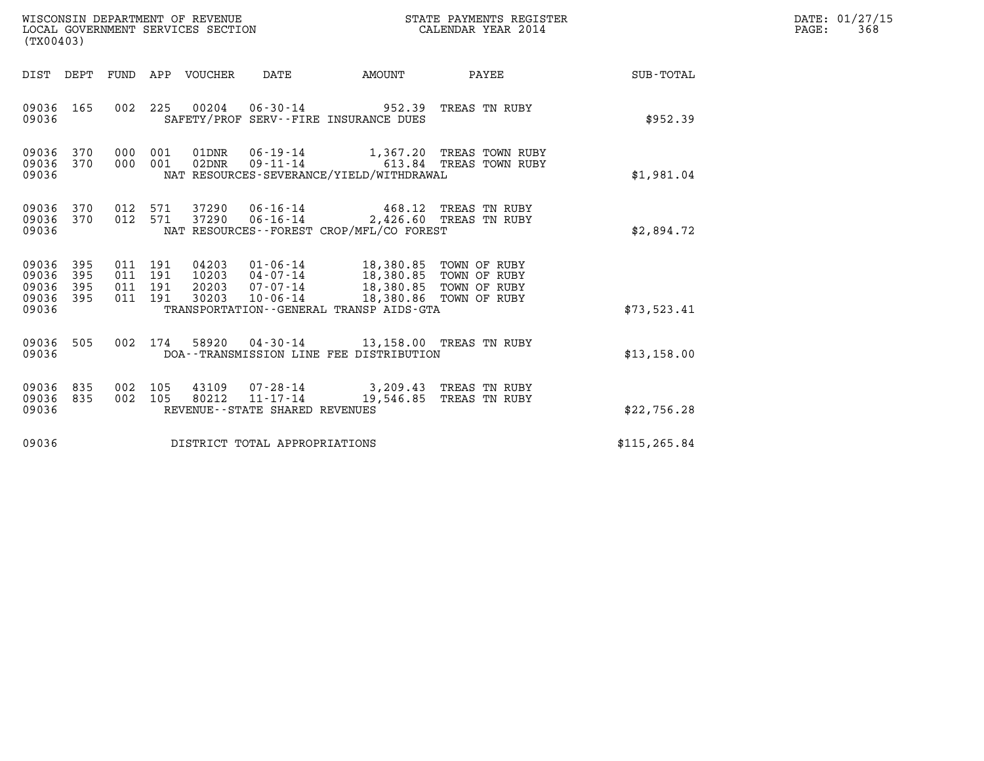| WISCONSIN DEPARTMENT OF REVENUE |                                                       |     |                               |                    |                                   |                                                     |                                                                                                                                                          | STATE PAYMENTS REGISTER                                                                |               | DATE: 01/27/15 |
|---------------------------------|-------------------------------------------------------|-----|-------------------------------|--------------------|-----------------------------------|-----------------------------------------------------|----------------------------------------------------------------------------------------------------------------------------------------------------------|----------------------------------------------------------------------------------------|---------------|----------------|
|                                 | (TX00403)                                             |     |                               |                    | LOCAL GOVERNMENT SERVICES SECTION |                                                     |                                                                                                                                                          | CALENDAR YEAR 2014                                                                     |               | PAGE:<br>368   |
|                                 |                                                       |     |                               |                    | DIST DEPT FUND APP VOUCHER        | DATE                                                | <b>AMOUNT</b>                                                                                                                                            | PAYEE                                                                                  | SUB-TOTAL     |                |
|                                 | 09036 165<br>09036                                    |     |                               |                    |                                   |                                                     | 002 225 00204 06-30-14 952.39 TREAS TN RUBY<br>SAFETY/PROF SERV--FIRE INSURANCE DUES                                                                     |                                                                                        | \$952.39      |                |
|                                 | 09036 370<br>09036 370<br>09036                       |     | 000                           | 000 001<br>001     |                                   |                                                     | NAT RESOURCES-SEVERANCE/YIELD/WITHDRAWAL                                                                                                                 | 01DNR  06-19-14   1,367.20 TREAS TOWN RUBY<br>02DNR  09-11-14   613.84 TREAS TOWN RUBY | \$1,981.04    |                |
|                                 | 09036 370<br>09036 370<br>09036                       |     | 012 571                       | 012 571            | 37290                             | $06 - 16 - 14$                                      | 37290  06-16-14  468.12  TREAS TN RUBY<br>NAT RESOURCES -- FOREST CROP/MFL/CO FOREST                                                                     | 2,426.60 TREAS TN RUBY                                                                 | \$2,894.72    |                |
|                                 | 09036 395<br>09036<br>09036 395<br>09036 395<br>09036 | 395 | 011 191<br>011 191<br>011 191 | 011 191            | 04203<br>10203<br>30203           | $04 - 07 - 14$<br>20203 07-07-14<br>10-06-14        | 01-06-14 18,380.85 TOWN OF RUBY<br>18,380.85 TOWN OF RUBY<br>18,380.85 TOWN OF RUBY<br>18,380.86 TOWN OF RUBY<br>TRANSPORTATION--GENERAL TRANSP AIDS-GTA | 18,380.86 TOWN OF RUBY                                                                 | \$73,523.41   |                |
|                                 | 09036 505<br>09036                                    |     |                               | 002 174            |                                   |                                                     | 58920  04-30-14  13,158.00  TREAS TN RUBY<br>DOA--TRANSMISSION LINE FEE DISTRIBUTION                                                                     |                                                                                        | \$13,158.00   |                |
|                                 | 09036 835<br>09036 835<br>09036                       |     |                               | 002 105<br>002 105 | 43109                             | 80212 11-17-14<br>REVENUE - - STATE SHARED REVENUES | 07-28-14 3,209.43 TREAS TN RUBY<br>19,546.85                                                                                                             | TREAS TN RUBY                                                                          | \$22,756.28   |                |
|                                 | 09036                                                 |     |                               |                    |                                   | DISTRICT TOTAL APPROPRIATIONS                       |                                                                                                                                                          |                                                                                        | \$115, 265.84 |                |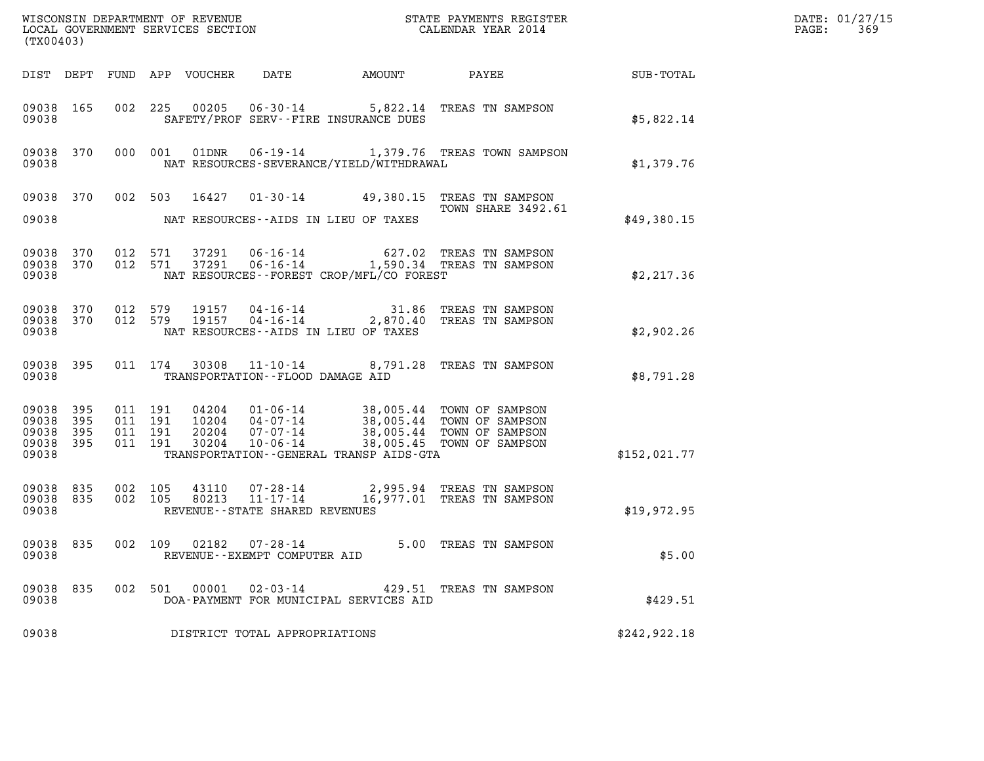| (TX00403)                                             |           |                                          |                            |                                                                     |                                          |                                                                                                                                                      | DATE: 01/27/15<br>$\mathtt{PAGE}$ :<br>369 |  |
|-------------------------------------------------------|-----------|------------------------------------------|----------------------------|---------------------------------------------------------------------|------------------------------------------|------------------------------------------------------------------------------------------------------------------------------------------------------|--------------------------------------------|--|
|                                                       |           |                                          | DIST DEPT FUND APP VOUCHER | DATE                                                                | AMOUNT                                   | PAYEE                                                                                                                                                | SUB-TOTAL                                  |  |
| 09038 165<br>09038                                    |           |                                          | 002 225                    |                                                                     | SAFETY/PROF SERV--FIRE INSURANCE DUES    | 00205  06-30-14  5,822.14  TREAS TN SAMPSON                                                                                                          | \$5,822.14                                 |  |
| 09038                                                 | 09038 370 |                                          | 000 001<br>01DNR           |                                                                     | NAT RESOURCES-SEVERANCE/YIELD/WITHDRAWAL | 06-19-14 1,379.76 TREAS TOWN SAMPSON                                                                                                                 | \$1,379.76                                 |  |
|                                                       | 09038 370 |                                          | 002 503<br>16427           |                                                                     |                                          | 01-30-14 49,380.15 TREAS TN SAMPSON<br>TOWN SHARE 3492.61                                                                                            |                                            |  |
| 09038                                                 |           |                                          |                            |                                                                     | NAT RESOURCES--AIDS IN LIEU OF TAXES     |                                                                                                                                                      | \$49,380.15                                |  |
| 09038 370<br>09038                                    | 09038 370 | 012 571                                  | 012 571                    |                                                                     | NAT RESOURCES--FOREST CROP/MFL/CO FOREST | 37291  06-16-14  627.02  TREAS TN SAMPSON<br>37291  06-16-14   1,590.34  TREAS TN SAMPSON                                                            | \$2,217.36                                 |  |
| 09038 370<br>09038                                    | 09038 370 | 012 579                                  | 012 579<br>19157<br>19157  | 04-16-14<br>$04 - 16 - 14$                                          | NAT RESOURCES -- AIDS IN LIEU OF TAXES   | 31.86 TREAS TN SAMPSON<br>2,870.40 TREAS TN SAMPSON                                                                                                  | \$2,902.26                                 |  |
| 09038 395<br>09038                                    |           |                                          | 011 174                    | 30308 11-10-14<br>TRANSPORTATION--FLOOD DAMAGE AID                  |                                          | 8,791.28 TREAS TN SAMPSON                                                                                                                            | \$8,791.28                                 |  |
| 09038 395<br>09038 395<br>09038<br>09038 395<br>09038 | 395       | 011 191<br>011 191<br>011 191<br>011 191 | 20204<br>30204             | 07-07-14<br>$10 - 06 - 14$                                          | TRANSPORTATION--GENERAL TRANSP AIDS-GTA  | 04204  01-06-14  38,005.44  TOWN OF SAMPSON<br>10204  04-07-14  38,005.44  TOWN OF SAMPSON<br>38,005.44 TOWN OF SAMPSON<br>38,005.45 TOWN OF SAMPSON | \$152,021.77                               |  |
| 09038 835<br>09038 835<br>09038                       |           | 002 105<br>002 105                       | 80213                      | 43110  07-28-14<br>$11 - 17 - 14$<br>REVENUE--STATE SHARED REVENUES |                                          | 2,995.94 TREAS TN SAMPSON<br>16,977.01 TREAS TN SAMPSON                                                                                              | \$19,972.95                                |  |
| 09038 835<br>09038                                    |           | 002 109                                  |                            | 02182 07-28-14<br>REVENUE - - EXEMPT COMPUTER AID                   |                                          | 5.00 TREAS TN SAMPSON                                                                                                                                | \$5.00                                     |  |
| 09038 835<br>09038                                    |           | 002 501                                  | 00001                      | $02 - 03 - 14$                                                      | DOA-PAYMENT FOR MUNICIPAL SERVICES AID   | 429.51 TREAS TN SAMPSON                                                                                                                              | \$429.51                                   |  |
| 09038                                                 |           |                                          |                            | DISTRICT TOTAL APPROPRIATIONS                                       |                                          |                                                                                                                                                      | \$242,922.18                               |  |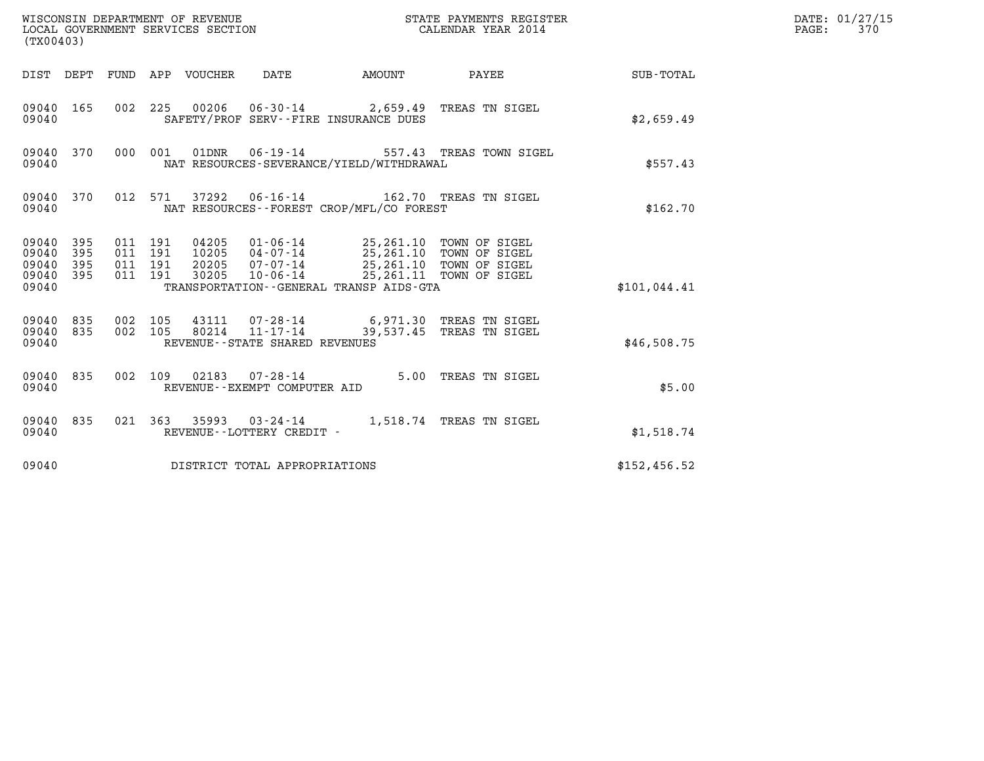| WISCONSIN DEPARTMENT OF REVENUE<br>LOCAL GOVERNMENT SERVICES SECTION<br>(TX00403) |            |                                          |         |                            |                                                |                                                                                                                                                                                                | STATE PAYMENTS REGISTER<br>CALENDAR YEAR 2014                                         |              | DATE: 01/27/15<br>PAGE:<br>370 |
|-----------------------------------------------------------------------------------|------------|------------------------------------------|---------|----------------------------|------------------------------------------------|------------------------------------------------------------------------------------------------------------------------------------------------------------------------------------------------|---------------------------------------------------------------------------------------|--------------|--------------------------------|
|                                                                                   |            |                                          |         | DIST DEPT FUND APP VOUCHER | DATE                                           | <b>EXAMPLE THE AMOUNT</b>                                                                                                                                                                      | PAYEE                                                                                 | SUB-TOTAL    |                                |
| 09040 165<br>09040                                                                |            |                                          |         |                            |                                                | SAFETY/PROF SERV--FIRE INSURANCE DUES                                                                                                                                                          | 002 225 00206 06-30-14 2,659.49 TREAS TN SIGEL                                        | \$2,659.49   |                                |
| 09040 370<br>09040                                                                |            |                                          | 000 001 |                            | 01DNR 06-19-14                                 | NAT RESOURCES-SEVERANCE/YIELD/WITHDRAWAL                                                                                                                                                       | 557.43 TREAS TOWN SIGEL                                                               | \$557.43     |                                |
| 09040 370<br>09040                                                                |            |                                          | 012 571 |                            |                                                | NAT RESOURCES -- FOREST CROP/MFL/CO FOREST                                                                                                                                                     | 37292   06-16-14   162.70   TREAS TN SIGEL                                            | \$162.70     |                                |
| 09040 395<br>09040<br>09040<br>09040 395<br>09040                                 | 395<br>395 | 011 191<br>011 191<br>011 191<br>011 191 |         | 20205<br>30205             | 07-07-14                                       | 04205  01-06-14  25,261.10 TOWN OF SIGEL<br>10205  04-07-14  25,261.10 TOWN OF SIGEL<br>25,261.10 TOWN OF SIGEL<br>10-06-14 25,261.11 TOWN OF SIGEL<br>TRANSPORTATION--GENERAL TRANSP AIDS-GTA |                                                                                       | \$101,044.41 |                                |
| 09040 835<br>09040 835<br>09040                                                   |            | 002 105<br>002 105                       |         |                            | REVENUE--STATE SHARED REVENUES                 |                                                                                                                                                                                                | 43111  07-28-14  6,971.30 TREAS TN SIGEL<br>80214  11-17-14  39,537.45 TREAS TN SIGEL | \$46,508.75  |                                |
| 09040                                                                             | 09040 835  | 002 109                                  |         | 02183                      | $07 - 28 - 14$<br>REVENUE--EXEMPT COMPUTER AID |                                                                                                                                                                                                | 5.00 TREAS TN SIGEL                                                                   | \$5.00       |                                |
| 09040 835<br>09040                                                                |            |                                          |         |                            | REVENUE--LOTTERY CREDIT -                      |                                                                                                                                                                                                | 021 363 35993 03-24-14 1,518.74 TREAS TN SIGEL                                        | \$1,518.74   |                                |
| 09040                                                                             |            |                                          |         |                            | DISTRICT TOTAL APPROPRIATIONS                  |                                                                                                                                                                                                |                                                                                       | \$152,456.52 |                                |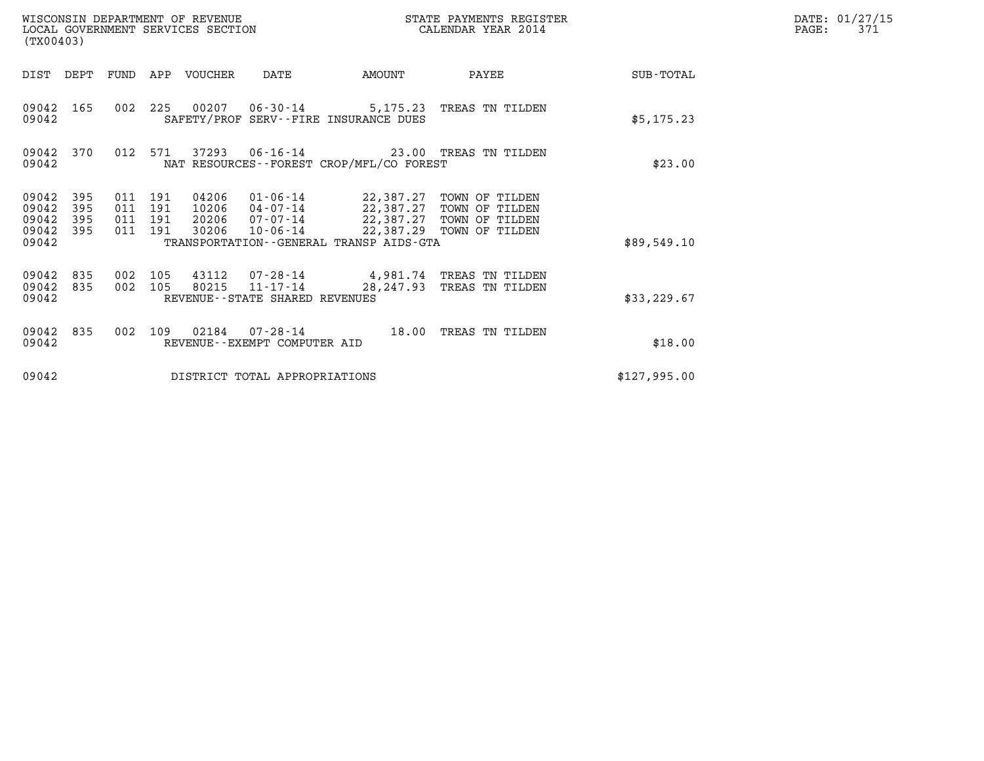| WISCONSIN DEPARTMENT OF REVENUE<br>LOCAL GOVERNMENT SERVICES SECTION<br>(TX00403)                                 |                                                                                                                                                                                     | CALENDAR YEAR 2014                                   | STATE PAYMENTS REGISTER         | DATE: 01/27/15<br>PAGE:<br>371 |
|-------------------------------------------------------------------------------------------------------------------|-------------------------------------------------------------------------------------------------------------------------------------------------------------------------------------|------------------------------------------------------|---------------------------------|--------------------------------|
| DIST DEPT                                                                                                         | FUND APP VOUCHER<br>DATE                                                                                                                                                            | AMOUNT                                               | PAYEE<br>SUB-TOTAL              |                                |
| 09042<br>165<br>09042                                                                                             | 002 225 00207 06-30-14 5,175.23 TREAS TN TILDEN<br>SAFETY/PROF SERV--FIRE INSURANCE DUES                                                                                            |                                                      | \$5,175.23                      |                                |
| 012 571<br>09042 370<br>09042                                                                                     | 37293  06-16-14  23.00  TREAS TN TILDEN<br>NAT RESOURCES - - FOREST CROP/MFL/CO FOREST                                                                                              |                                                      |                                 | \$23.00                        |
| 09042<br>395<br>011 191<br>09042<br>395<br>011 191<br>09042<br>395<br>011 191<br>395<br>011 191<br>09042<br>09042 | 04206<br>01-06-14 22,387.27 TOWN OF TILDEN<br>10206<br>04-07-14 22,387.27 TOWN OF TILDEN<br>$07 - 07 - 14$<br>20206<br>30206<br>10-06-14<br>TRANSPORTATION--GENERAL TRANSP AIDS-GTA | 22,387.27 TOWN OF TILDEN<br>22,387.29 TOWN OF TILDEN | \$89,549.10                     |                                |
| 09042<br>835<br>002 105<br>002 105<br>09042<br>835<br>09042                                                       | 07-28-14 4,981.74 TREAS TN TILDEN<br>43112<br>$11 - 17 - 14$<br>80215<br>REVENUE - - STATE SHARED REVENUES                                                                          | 28,247.93                                            | TREAS TN TILDEN<br>\$33, 229.67 |                                |
| 09042<br>835<br>002<br>09042                                                                                      | 109<br>REVENUE - - EXEMPT COMPUTER AID                                                                                                                                              | 18.00                                                | TREAS TN TILDEN                 | \$18.00                        |
| 09042                                                                                                             | DISTRICT TOTAL APPROPRIATIONS                                                                                                                                                       |                                                      | \$127,995.00                    |                                |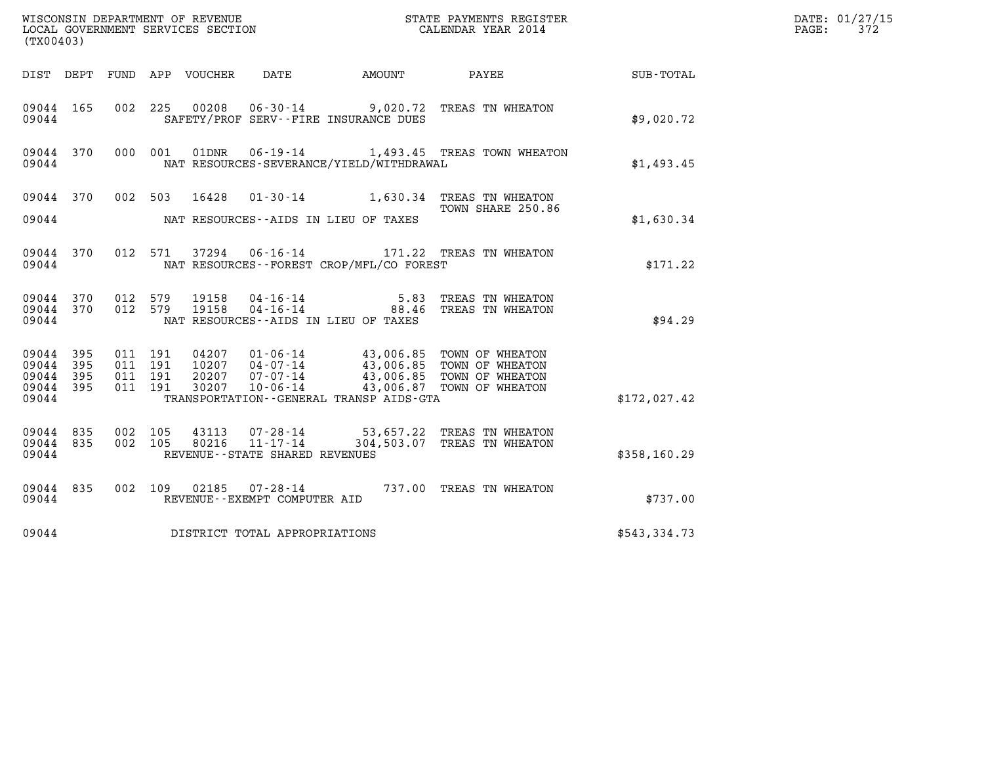| (TX00403)                                         |            |                                          |  |                  |                                                        |                                              | DATE: 01/27/15<br>$\mathtt{PAGE}$ :<br>372                                                                                                                                   |              |  |
|---------------------------------------------------|------------|------------------------------------------|--|------------------|--------------------------------------------------------|----------------------------------------------|------------------------------------------------------------------------------------------------------------------------------------------------------------------------------|--------------|--|
| DIST DEPT                                         |            |                                          |  | FUND APP VOUCHER | DATE                                                   | AMOUNT                                       | PAYEE                                                                                                                                                                        | SUB-TOTAL    |  |
| 09044 165<br>09044                                |            |                                          |  |                  |                                                        | SAFETY/PROF SERV--FIRE INSURANCE DUES        | 002 225 00208 06-30-14 9,020.72 TREAS TN WHEATON                                                                                                                             | \$9.020.72   |  |
| 09044 370<br>09044                                |            | 000 001                                  |  |                  |                                                        | NAT RESOURCES-SEVERANCE/YIELD/WITHDRAWAL     | 01DNR  06-19-14  1,493.45 TREAS TOWN WHEATON                                                                                                                                 | \$1,493.45   |  |
| 09044 370<br>09044                                |            | 002 503                                  |  | 16428            |                                                        | NAT RESOURCES--AIDS IN LIEU OF TAXES         | 01-30-14 1,630.34 TREAS TN WHEATON<br>TOWN SHARE 250.86                                                                                                                      | \$1,630.34   |  |
| 09044 370<br>09044                                |            |                                          |  |                  |                                                        | NAT RESOURCES - - FOREST CROP/MFL/CO FOREST  | 012 571 37294 06-16-14 171.22 TREAS TN WHEATON                                                                                                                               | \$171.22     |  |
| 09044 370<br>09044 370<br>09044                   |            | 012 579<br>012 579                       |  | 19158<br>19158   | 04-16-14<br>$04 - 16 - 14$                             | NAT RESOURCES -- AIDS IN LIEU OF TAXES       | 5.83 TREAS TN WHEATON<br>88.46 TREAS TN WHEATON                                                                                                                              | \$94.29      |  |
| 09044 395<br>09044<br>09044<br>09044 395<br>09044 | 395<br>395 | 011 191<br>011 191<br>011 191<br>011 191 |  |                  |                                                        | TRANSPORTATION - - GENERAL TRANSP AIDS - GTA | 04207 01-06-14 43,006.85 TOWN OF WHEATON<br>10207 04-07-14 43,006.85 TOWN OF WHEATON<br>20207 07-07-14 43,006.85 TOWN OF WHEATON<br>30207 10-06-14 43,006.87 TOWN OF WHEATON | \$172,027.42 |  |
| 09044 835<br>09044 835<br>09044                   |            | 002 105<br>002 105                       |  | 43113<br>80216   | 11-17-14<br>REVENUE - - STATE SHARED REVENUES          |                                              | 07-28-14 53,657.22 TREAS TN WHEATON<br>304,503.07 TREAS TN WHEATON                                                                                                           | \$358,160.29 |  |
| 09044 835<br>09044                                |            |                                          |  |                  | 002 109 02185 07-28-14<br>REVENUE--EXEMPT COMPUTER AID |                                              | 737.00 TREAS TN WHEATON                                                                                                                                                      | \$737.00     |  |
| 09044                                             |            |                                          |  |                  | DISTRICT TOTAL APPROPRIATIONS                          |                                              |                                                                                                                                                                              | \$543,334.73 |  |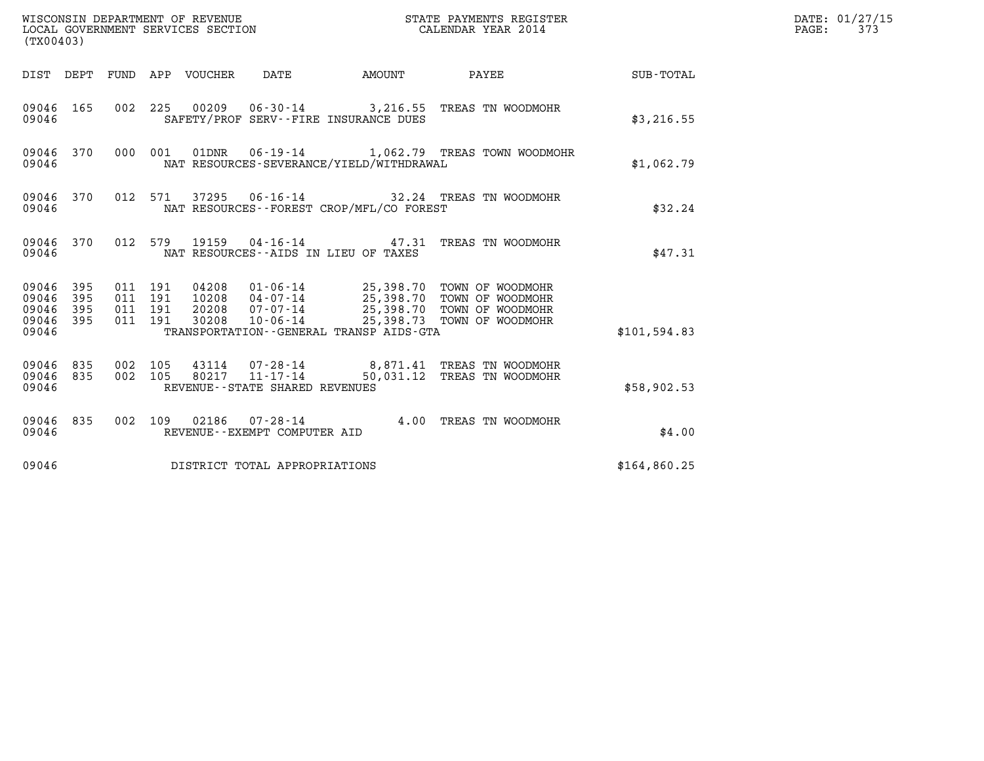| (TX00403)                                                       | WISCONSIN DEPARTMENT OF REVENUE<br>LOCAL GOVERNMENT SERVICES SECTION                                                                      | STATE PAYMENTS REGISTER<br>CALENDAR YEAR 2014                                                                                                   |              | DATE: 01/27/15<br>PAGE:<br>373 |
|-----------------------------------------------------------------|-------------------------------------------------------------------------------------------------------------------------------------------|-------------------------------------------------------------------------------------------------------------------------------------------------|--------------|--------------------------------|
|                                                                 | DIST DEPT FUND APP VOUCHER DATE                                                                                                           | <b>EXAMPLE THE AMOUNT</b><br>PAYEE                                                                                                              | SUB-TOTAL    |                                |
| 09046 165<br>09046                                              | 002 225 00209 06-30-14 3,216.55 TREAS TN WOODMOHR<br>SAFETY/PROF SERV--FIRE INSURANCE DUES                                                |                                                                                                                                                 | \$3,216.55   |                                |
| 09046 370<br>09046                                              | 000 001<br>NAT RESOURCES-SEVERANCE/YIELD/WITHDRAWAL                                                                                       | 01DNR  06-19-14  1,062.79  TREAS TOWN WOODMOHR                                                                                                  | \$1,062.79   |                                |
| 09046 370<br>09046                                              | 012 571<br>NAT RESOURCES--FOREST CROP/MFL/CO FOREST                                                                                       | 37295  06-16-14  32.24  TREAS TN WOODMOHR                                                                                                       | \$32.24      |                                |
| 09046 370<br>09046                                              | 012 579 19159 04-16-14 47.31 TREAS TN WOODMOHR<br>NAT RESOURCES -- AIDS IN LIEU OF TAXES                                                  |                                                                                                                                                 | \$47.31      |                                |
| 09046 395<br>09046<br>395<br>09046<br>395<br>09046 395<br>09046 | 011 191<br>04208<br>011 191<br>10208<br>011 191<br>20208<br>$10 - 06 - 14$<br>011 191<br>30208<br>TRANSPORTATION--GENERAL TRANSP AIDS-GTA | 01-06-14 25,398.70 TOWN OF WOODMOHR<br>04-07-14 25,398.70 TOWN OF WOODMOHR<br>07-07-14 25,398.70 TOWN OF WOODMOHR<br>25,398.73 TOWN OF WOODMOHR | \$101,594.83 |                                |
| 09046 835<br>09046 835<br>09046                                 | 002 105<br>002 105<br>80217<br>11-17-14<br>REVENUE--STATE SHARED REVENUES                                                                 | 43114  07-28-14  8,871.41 TREAS TN WOODMOHR<br>50,031.12 TREAS TN WOODMOHR                                                                      | \$58,902.53  |                                |
| 09046 835<br>09046                                              | 002 109 02186 07-28-14<br>REVENUE--EXEMPT COMPUTER AID                                                                                    | 4.00 TREAS TN WOODMOHR                                                                                                                          | \$4.00       |                                |
| 09046                                                           | DISTRICT TOTAL APPROPRIATIONS                                                                                                             |                                                                                                                                                 | \$164,860.25 |                                |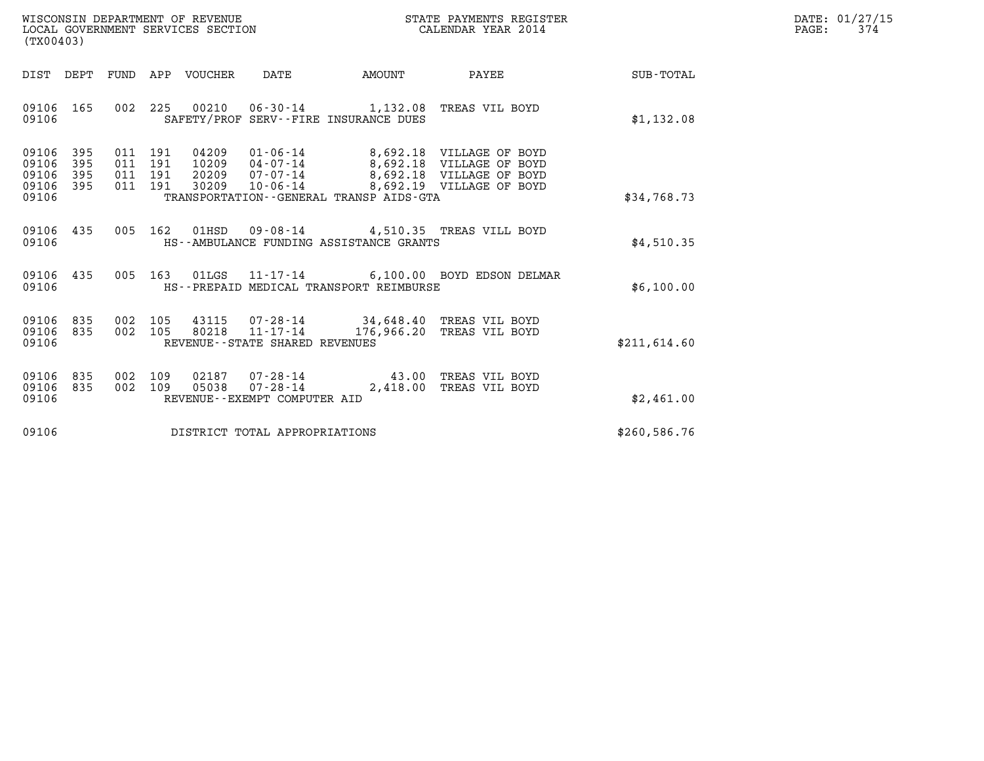|                                                                      | STATE PAYMENTS REGISTER | DATE: 01/27/15 |
|----------------------------------------------------------------------|-------------------------|----------------|
| WISCONSIN DEPARTMENT OF REVENUE<br>LOCAL GOVERNMENT SERVICES SECTION | CALENDAR YEAR 2014      | PAGE:          |

| WISCONSIN DEPARTMENT OF REVENUE<br>LOCAL GOVERNMENT SERVICES SECTION<br>(TX00403)                                                                                                                                                                                                   | STATE PAYMENTS REGISTER<br>CALENDAR YEAR 2014                                                   |
|-------------------------------------------------------------------------------------------------------------------------------------------------------------------------------------------------------------------------------------------------------------------------------------|-------------------------------------------------------------------------------------------------|
| DIST<br>DEPT<br>FUND<br>APP<br>VOUCHER<br>DATE<br><b>EXAMPLE THE PROPERTY OF AMOUNT</b>                                                                                                                                                                                             | <b>PAYEE</b><br><b>SUB-TOTAL</b>                                                                |
| 09106<br>165<br>002<br>225<br>00210  06-30-14  1,132.08  TREAS VIL BOYD<br>09106<br>SAFETY/PROF SERV--FIRE INSURANCE DUES                                                                                                                                                           | \$1,132.08                                                                                      |
| 09106<br>395<br>011<br>191<br>04209<br>01-06-14 8,692.18 VILLAGE OF BOYD<br>10209  04-07-14<br>09106<br>395<br>011<br>191<br>395<br>20209<br>07-07-14<br>09106<br>011<br>191<br>395<br>09106<br>011<br>191<br>30209<br>10-06-14<br>09106<br>TRANSPORTATION--GENERAL TRANSP AIDS-GTA | 8,692.18 VILLAGE OF BOYD<br>8,692.18 VILLAGE OF BOYD<br>8,692.19 VILLAGE OF BOYD<br>\$34,768.73 |
| 005<br>162<br>09106<br>435<br>01HSD<br>09-08-14 4,510.35 TREAS VILL BOYD<br>09106<br>HS--AMBULANCE FUNDING ASSISTANCE GRANTS                                                                                                                                                        | \$4,510.35                                                                                      |
| 09106<br>435<br>005<br>163<br>01LGS  11-17-14  6,100.00  BOYD EDSON DELMAR<br>HS--PREPAID MEDICAL TRANSPORT REIMBURSE<br>09106                                                                                                                                                      | \$6,100.00                                                                                      |
| 835<br>09106<br>002<br>105<br>43115<br>07-28-14 34,648.40 TREAS VIL BOYD<br>$11 - 17 - 14$<br>835<br>002<br>105<br>80218<br>09106<br>09106<br>REVENUE - - STATE SHARED REVENUES                                                                                                     | 176,966.20 TREAS VIL BOYD<br>\$211,614.60                                                       |
| 835<br>09106<br>002<br>109<br>02187<br>07-28-14<br>2,418.00<br>$07 - 28 - 14$<br>09106<br>835<br>002<br>109<br>05038<br>09106<br>REVENUE--EXEMPT COMPUTER AID                                                                                                                       | 43.00<br>TREAS VIL BOYD<br>TREAS VIL BOYD<br>\$2,461.00                                         |
| 09106<br>DISTRICT TOTAL APPROPRIATIONS                                                                                                                                                                                                                                              | \$260,586.76                                                                                    |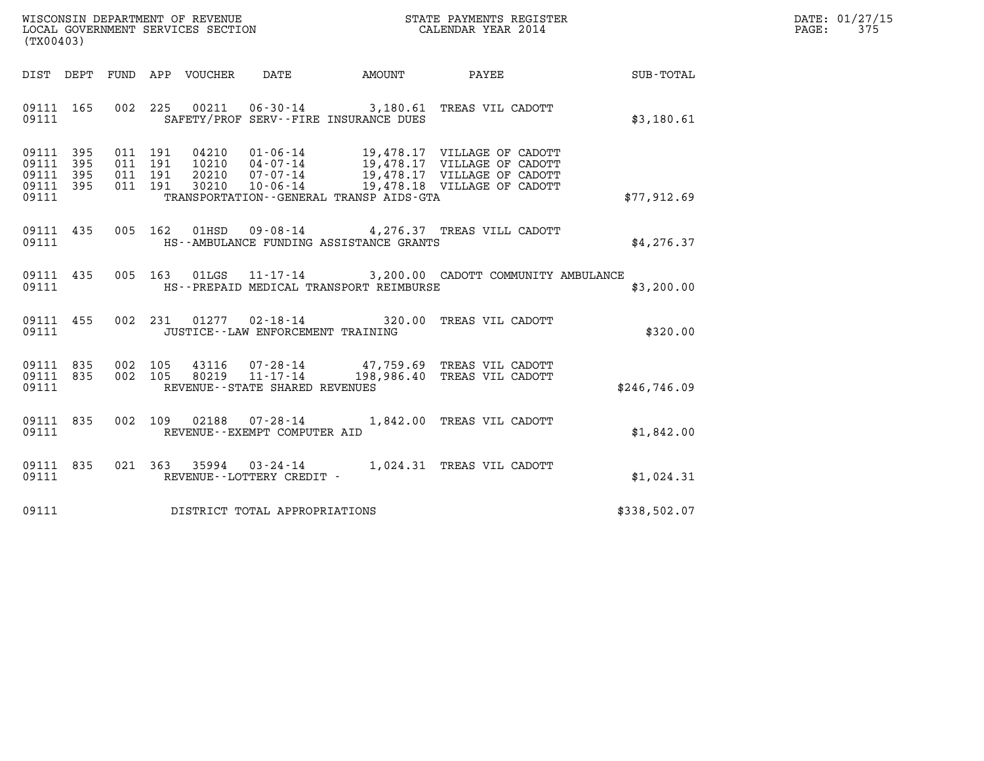| WISCONSIN DEPARTMENT OF REVENUE   | STATE PAYMENTS REGISTER | DATE: 01/27/15 |
|-----------------------------------|-------------------------|----------------|
| LOCAL GOVERNMENT SERVICES SECTION | CALENDAR YEAR 2014      | スワロ<br>PAGE:   |

| (TX00403)                                                 | WISCONSIN DEPARTMENT OF REVENUE<br>LOCAL GOVERNMENT SERVICES SECTION CALENDAR YEAR 2014 |  |  |                                            |                                               | $\mathbb{E} \mathbf{R}$                                                                                                  | DATE: 01/27/15<br>PAGE:<br>375 |  |
|-----------------------------------------------------------|-----------------------------------------------------------------------------------------|--|--|--------------------------------------------|-----------------------------------------------|--------------------------------------------------------------------------------------------------------------------------|--------------------------------|--|
|                                                           |                                                                                         |  |  |                                            |                                               | DIST DEPT FUND APP VOUCHER DATE AMOUNT PAYEE TOTAL                                                                       |                                |  |
| 09111                                                     |                                                                                         |  |  |                                            | SAFETY/PROF SERV--FIRE INSURANCE DUES         | 09111 165 002 225 00211 06-30-14 3,180.61 TREAS VIL CADOTT                                                               | \$3,180.61                     |  |
| 09111 395<br>09111 395<br>09111 395<br>09111 395<br>09111 |                                                                                         |  |  |                                            | TRANSPORTATION--GENERAL TRANSP AIDS-GTA       |                                                                                                                          | \$77,912.69                    |  |
|                                                           |                                                                                         |  |  |                                            | 09111 MS--AMBULANCE FUNDING ASSISTANCE GRANTS | 09111 435 005 162 01HSD 09-08-14 4,276.37 TREAS VILL CADOTT                                                              | \$4,276.37                     |  |
|                                                           |                                                                                         |  |  |                                            |                                               | 09111 435 005 163 01LGS 11-17-14 3,200.00 CADOTT COMMUNITY AMBULANCE<br>09111 THS--PREPAID MEDICAL TRANSPORT REIMBURSE   | \$3,200.00                     |  |
|                                                           |                                                                                         |  |  | 09111 JUSTICE - - LAW ENFORCEMENT TRAINING |                                               | 09111 455 002 231 01277 02-18-14 320.00 TREAS VIL CADOTT                                                                 | \$320.00                       |  |
| 09111                                                     |                                                                                         |  |  | REVENUE - - STATE SHARED REVENUES          |                                               | 09111 835 002 105 43116 07-28-14 47,759.69 TREAS VIL CADOTT 09111 835 002 105 80219 11-17-14 198,986.40 TREAS VIL CADOTT | \$246,746.09                   |  |
|                                                           |                                                                                         |  |  | 09111 REVENUE - - EXEMPT COMPUTER AID      |                                               | 09111 835 002 109 02188 07-28-14 1,842.00 TREAS VIL CADOTT                                                               | \$1,842.00                     |  |
| 09111                                                     |                                                                                         |  |  | REVENUE--LOTTERY CREDIT -                  |                                               | 09111 835 021 363 35994 03-24-14 1,024.31 TREAS VIL CADOTT                                                               | \$1,024.31                     |  |
|                                                           |                                                                                         |  |  | 09111 DISTRICT TOTAL APPROPRIATIONS        |                                               |                                                                                                                          | \$338,502.07                   |  |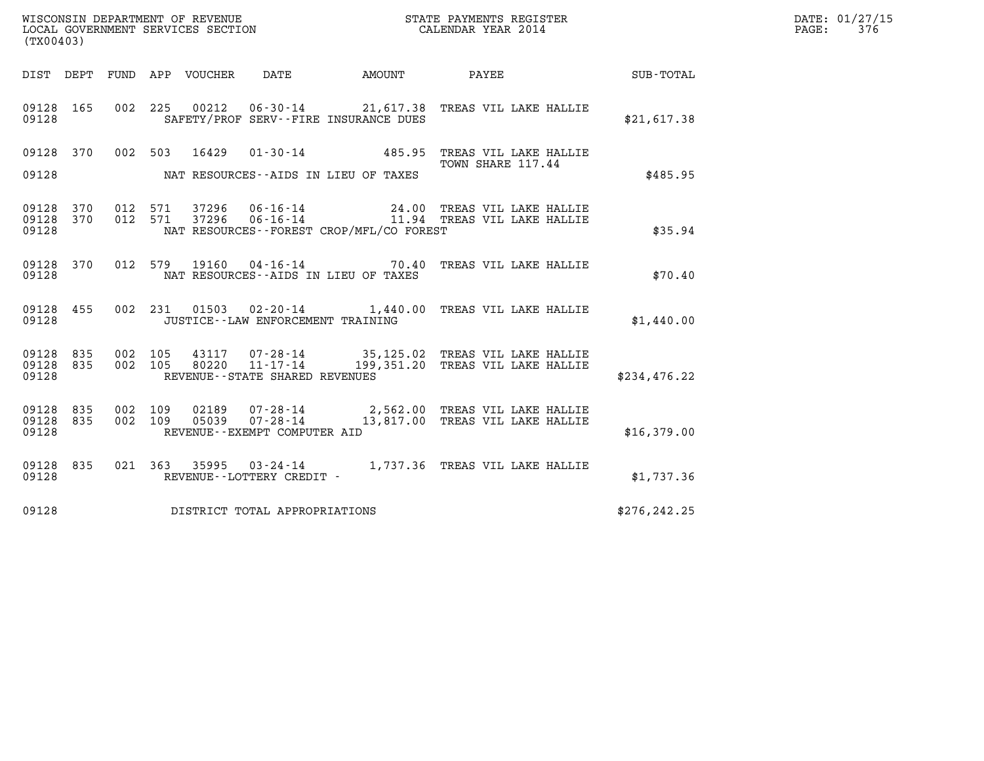| (TX00403)                       |  | WISCONSIN DEPARTMENT OF REVENUE<br>LOCAL GOVERNMENT SERVICES SECTION |                                     |                                          | STATE PAYMENTS REGISTER<br>CALENDAR YEAR 2014                                                                                       |               | DATE: 01/27/15<br>$\mathtt{PAGE:}$<br>376 |
|---------------------------------|--|----------------------------------------------------------------------|-------------------------------------|------------------------------------------|-------------------------------------------------------------------------------------------------------------------------------------|---------------|-------------------------------------------|
|                                 |  |                                                                      |                                     |                                          |                                                                                                                                     |               |                                           |
| 09128                           |  |                                                                      |                                     | SAFETY/PROF SERV--FIRE INSURANCE DUES    | 09128 165 002 225 00212 06-30-14 21,617.38 TREAS VIL LAKE HALLIE                                                                    | \$21,617.38   |                                           |
| 09128                           |  |                                                                      |                                     | NAT RESOURCES--AIDS IN LIEU OF TAXES     | 09128 370 002 503 16429 01-30-14 485.95 TREAS VIL LAKE HALLIE<br>TOWN SHARE 117.44                                                  | \$485.95      |                                           |
| 09128                           |  |                                                                      |                                     | NAT RESOURCES--FOREST CROP/MFL/CO FOREST | 09128 370 012 571 37296 06-16-14 24.00 TREAS VIL LAKE HALLIE<br>09128 370 012 571 37296 06-16-14 11.94 TREAS VIL LAKE HALLIE        | \$35.94       |                                           |
| 09128                           |  |                                                                      |                                     | NAT RESOURCES--AIDS IN LIEU OF TAXES     | 09128 370 012 579 19160 04-16-14 70.40 TREAS VIL LAKE HALLIE                                                                        | \$70.40       |                                           |
| 09128                           |  |                                                                      | JUSTICE -- LAW ENFORCEMENT TRAINING |                                          | 09128 455 002 231 01503 02-20-14 1,440.00 TREAS VIL LAKE HALLIE                                                                     | \$1,440.00    |                                           |
| 09128 835<br>09128 835<br>09128 |  | REVENUE--STATE SHARED REVENUES                                       |                                     |                                          | 002 105 43117 07-28-14 35,125.02 TREAS VIL LAKE HALLIE<br>002 105 80220 11-17-14 199,351.20 TREAS VIL LAKE HALLIE                   | \$234,476.22  |                                           |
| 09128                           |  | REVENUE--EXEMPT COMPUTER AID                                         |                                     |                                          | 09128 835 002 109 02189 07-28-14 2,562.00 TREAS VIL LAKE HALLIE<br>09128 835 002 109 05039 07-28-14 13,817.00 TREAS VIL LAKE HALLIE | \$16,379.00   |                                           |
| 09128                           |  |                                                                      | REVENUE--LOTTERY CREDIT -           |                                          | 09128 835 021 363 35995 03-24-14 1,737.36 TREAS VIL LAKE HALLIE                                                                     | \$1,737.36    |                                           |
| 09128                           |  | DISTRICT TOTAL APPROPRIATIONS                                        |                                     |                                          |                                                                                                                                     | \$276, 242.25 |                                           |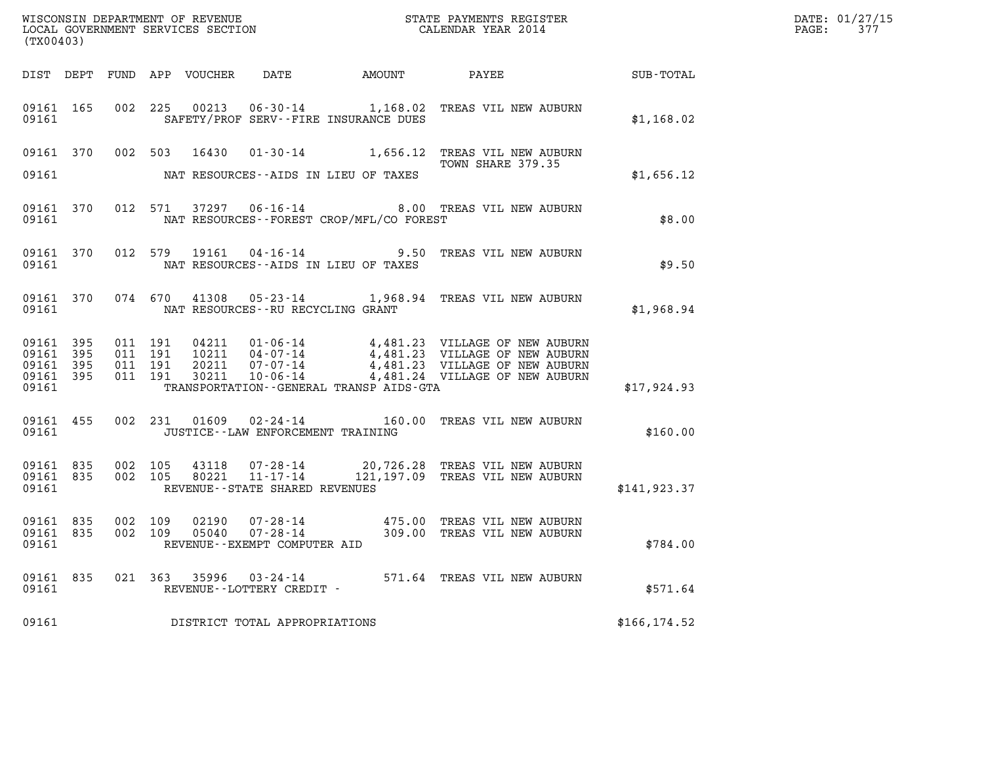| WISCONSIN DEPARTMENT OF REVENUE   | STATE PAYMENTS REGISTER | DATE: 01/27/15 |
|-----------------------------------|-------------------------|----------------|
| LOCAL GOVERNMENT SERVICES SECTION | CALENDAR YEAR 2014      | PAGE:          |

| (TX00403)                                    |           |                                          |                                                        |                                     |                                              |                                                                                                                                                                                                              | DATE: 01/27/15<br>$\mathtt{PAGE:}$<br>377 |  |
|----------------------------------------------|-----------|------------------------------------------|--------------------------------------------------------|-------------------------------------|----------------------------------------------|--------------------------------------------------------------------------------------------------------------------------------------------------------------------------------------------------------------|-------------------------------------------|--|
|                                              |           |                                          |                                                        |                                     | DIST DEPT FUND APP VOUCHER DATE AMOUNT PAYEE |                                                                                                                                                                                                              | SUB-TOTAL                                 |  |
| 09161 165<br>09161                           |           | 002 225                                  |                                                        |                                     | SAFETY/PROF SERV--FIRE INSURANCE DUES        | 00213  06-30-14  1,168.02  TREAS VIL NEW AUBURN                                                                                                                                                              | \$1,168.02                                |  |
| 09161                                        |           |                                          |                                                        |                                     | NAT RESOURCES--AIDS IN LIEU OF TAXES         | 09161 370 002 503 16430 01-30-14 1,656.12 TREAS VIL NEW AUBURN<br>TOWN SHARE 379.35                                                                                                                          | \$1,656.12                                |  |
| 09161                                        |           |                                          |                                                        |                                     | NAT RESOURCES--FOREST CROP/MFL/CO FOREST     | 09161 370 012 571 37297 06-16-14 8.00 TREAS VIL NEW AUBURN                                                                                                                                                   | \$8.00                                    |  |
| 09161                                        |           |                                          | NAT RESOURCES--AIDS IN LIEU OF TAXES                   |                                     |                                              | 09161 370 012 579 19161 04-16-14 9.50 TREAS VIL NEW AUBURN                                                                                                                                                   | \$9.50                                    |  |
| 09161 370<br>09161                           |           |                                          | NAT RESOURCES--RU RECYCLING GRANT                      |                                     |                                              | 074 670 41308 05-23-14 1,968.94 TREAS VIL NEW AUBURN                                                                                                                                                         | \$1,968.94                                |  |
| 09161 395<br>09161 395<br>09161 395<br>09161 | 09161 395 | 011 191<br>011 191<br>011 191<br>011 191 |                                                        |                                     | TRANSPORTATION - - GENERAL TRANSP AIDS - GTA | 04211  01-06-14  4,481.23  VILLAGE OF NEW AUBURN<br>10211  04-07-14  4,481.23  VILLAGE OF NEW AUBURN<br>20211  07-07-14  4,481.23  VILLAGE OF NEW AUBURN<br>30211  10-06-14  4,481.24  VILLAGE OF NEW AUBURN | \$17,924.93                               |  |
| 09161 455<br>09161 200                       |           |                                          |                                                        | JUSTICE -- LAW ENFORCEMENT TRAINING |                                              | 002 231 01609 02-24-14 160.00 TREAS VIL NEW AUBURN                                                                                                                                                           | \$160.00                                  |  |
| 09161                                        |           | 09161 835 002 105                        | 09161 835 002 105<br>REVENUE - - STATE SHARED REVENUES |                                     |                                              | 43118  07-28-14  20,726.28 TREAS VIL NEW AUBURN<br>80221  11-17-14  121,197.09 TREAS VIL NEW AUBURN                                                                                                          | \$141.923.37                              |  |
| 09161                                        | 09161 835 | 09161 835 002 109                        | REVENUE--EXEMPT COMPUTER AID                           |                                     |                                              | 002 109 02190 07-28-14 475.00 TREAS VIL NEW AUBURN 002 109 05040 07-28-14 309.00 TREAS VIL NEW AUBURN                                                                                                        | \$784.00                                  |  |
|                                              |           | 09161                                    |                                                        | REVENUE--LOTTERY CREDIT -           |                                              | 09161 835 021 363 35996 03-24-14 571.64 TREAS VIL NEW AUBURN                                                                                                                                                 | \$571.64                                  |  |
| 09161                                        |           |                                          | DISTRICT TOTAL APPROPRIATIONS                          |                                     |                                              |                                                                                                                                                                                                              | \$166, 174.52                             |  |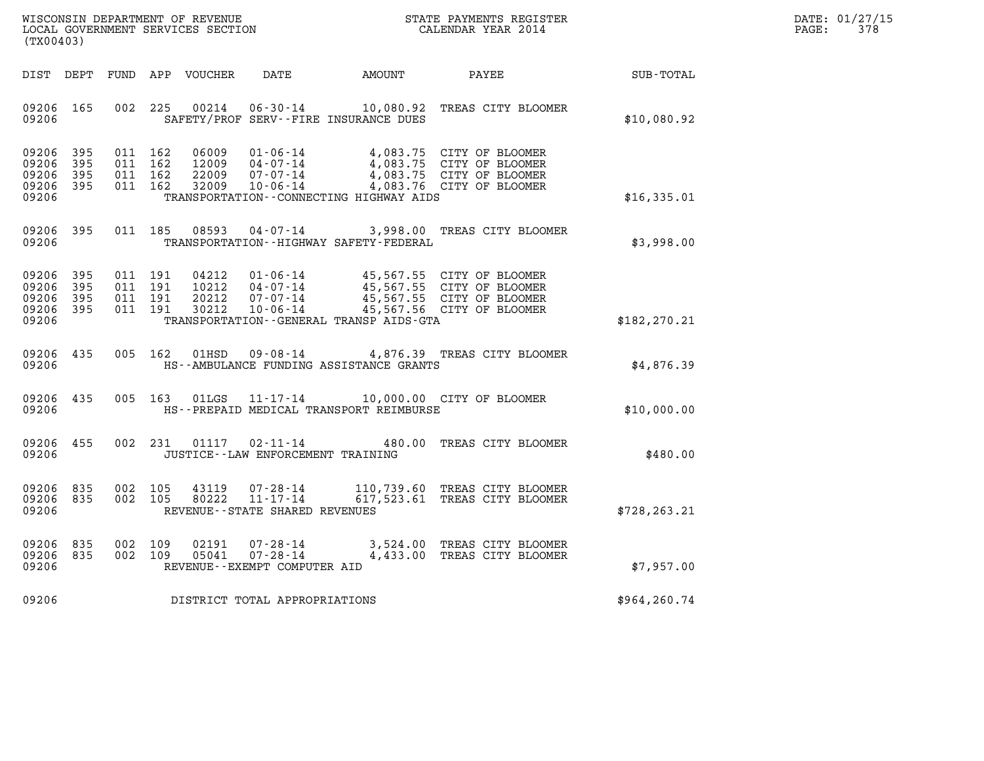| WISCONSIN DEPARTMENT OF REVENUE   | STATE PAYMENTS REGISTER | DATE: 01/27/15 |
|-----------------------------------|-------------------------|----------------|
| LOCAL GOVERNMENT SERVICES SECTION | CALENDAR YEAR 2014      | 378<br>PAGE:   |

| (TX00403)                                                                                         |                                                                                                                                                                                   |                                                                                                                  |                  |
|---------------------------------------------------------------------------------------------------|-----------------------------------------------------------------------------------------------------------------------------------------------------------------------------------|------------------------------------------------------------------------------------------------------------------|------------------|
| DEPT<br>FUND<br>DIST                                                                              | APP<br>VOUCHER<br>DATE                                                                                                                                                            | AMOUNT<br>PAYEE                                                                                                  | <b>SUB-TOTAL</b> |
| 002<br>09206<br>165<br>09206                                                                      | 225<br>00214<br>$06 - 30 - 14$<br>SAFETY/PROF SERV--FIRE INSURANCE DUES                                                                                                           | 10,080.92<br>TREAS CITY BLOOMER                                                                                  | \$10,080.92      |
| 09206<br>395<br>011<br>09206<br>395<br>011<br>09206<br>395<br>011<br>09206<br>011<br>395<br>09206 | 162<br>06009<br>$01 - 06 - 14$<br>162<br>12009<br>$04 - 07 - 14$<br>162<br>22009<br>$07 - 07 - 14$<br>162<br>32009<br>$10 - 06 - 14$<br>TRANSPORTATION -- CONNECTING HIGHWAY AIDS | 4,083.75 CITY OF BLOOMER<br>4,083.75 CITY OF BLOOMER<br>4,083.75 CITY OF BLOOMER<br>4,083.76 CITY OF BLOOMER     | \$16,335.01      |
| 395<br>011<br>09206<br>09206                                                                      | 185<br>08593<br>$04 - 07 - 14$<br>TRANSPORTATION - - HIGHWAY SAFETY - FEDERAL                                                                                                     | 3,998.00<br>TREAS CITY BLOOMER                                                                                   | \$3,998.00       |
| 395<br>011<br>09206<br>09206<br>395<br>011<br>09206<br>395<br>011<br>09206<br>395<br>011<br>09206 | 04212<br>191<br>$01 - 06 - 14$<br>$04 - 07 - 14$<br>191<br>10212<br>191<br>20212<br>$07 - 07 - 14$<br>191<br>30212<br>$10 - 06 - 14$<br>TRANSPORTATION--GENERAL TRANSP AIDS-GTA   | 45,567.55 CITY OF BLOOMER<br>45,567.55 CITY OF BLOOMER<br>45,567.55 CITY OF BLOOMER<br>45,567.56 CITY OF BLOOMER | \$182, 270.21    |
| 005<br>09206<br>435<br>09206                                                                      | 162<br>01HSD<br>$09 - 08 - 14$<br>HS--AMBULANCE FUNDING ASSISTANCE GRANTS                                                                                                         | 4,876.39 TREAS CITY BLOOMER                                                                                      | \$4,876.39       |
| 09206<br>435<br>005<br>09206                                                                      | 163<br>01LGS<br>$11 - 17 - 14$<br>HS--PREPAID MEDICAL TRANSPORT REIMBURSE                                                                                                         | 10,000.00 CITY OF BLOOMER                                                                                        | \$10,000.00      |
| 09206<br>455<br>002<br>09206                                                                      | 231<br>01117<br>$02 - 11 - 14$<br>JUSTICE - - LAW ENFORCEMENT TRAINING                                                                                                            | TREAS CITY BLOOMER<br>480.00                                                                                     | \$480.00         |
| 09206<br>835<br>002<br>09206<br>835<br>002<br>09206                                               | 105<br>43119<br>$07 - 28 - 14$<br>$11 - 17 - 14$<br>105<br>80222<br>REVENUE - - STATE SHARED REVENUES                                                                             | 110,739.60<br>TREAS CITY BLOOMER<br>617,523.61<br>TREAS CITY BLOOMER                                             | \$728, 263.21    |
| 002<br>09206<br>835<br>835<br>002<br>09206<br>09206                                               | 109<br>02191<br>$07 - 28 - 14$<br>$07 - 28 - 14$<br>109<br>05041<br>REVENUE--EXEMPT COMPUTER AID                                                                                  | 3,524.00<br>TREAS CITY BLOOMER<br>4,433.00<br>TREAS CITY BLOOMER                                                 | \$7,957.00       |
| 09206                                                                                             | DISTRICT TOTAL APPROPRIATIONS                                                                                                                                                     |                                                                                                                  | \$964,260.74     |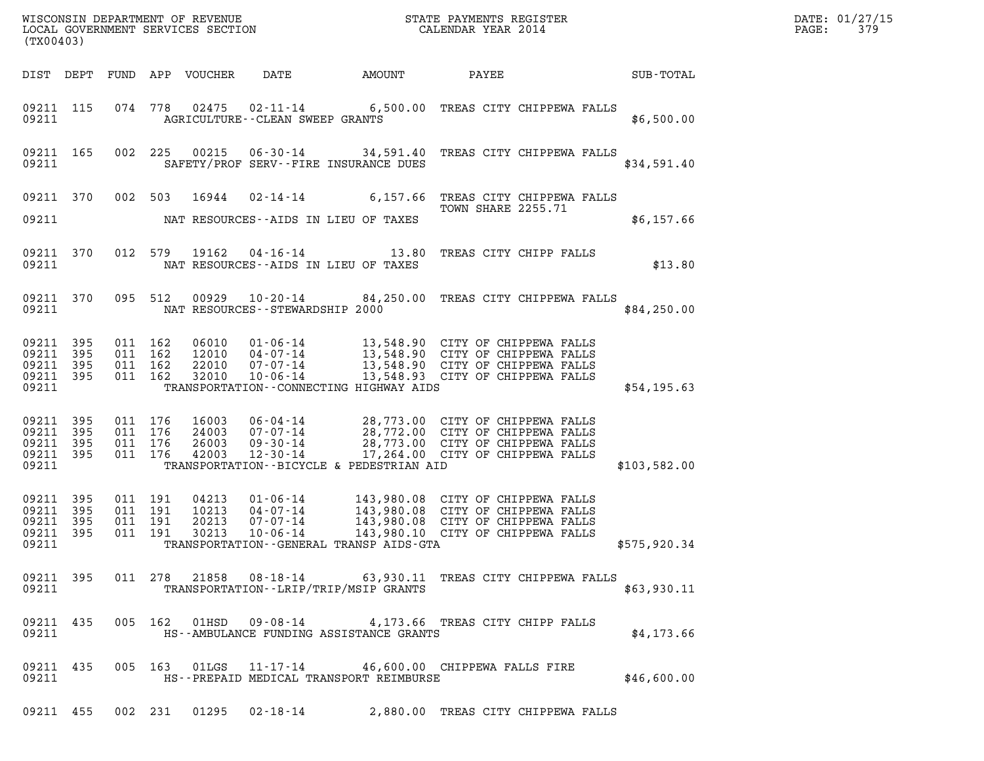| DATE: | 01/27/15 |
|-------|----------|
| PAGE: | 379      |

| (TX00403)                                                 |              | %WISCONSIN DEPARTMENT OF REVENUE $$\tt STATE$ PAYMENTS REGISTER LOCAL GOVERNMENT SERVICES SECTION $$\tt CALEINDAR$ YEAR 2014 | DATE: 01/27/15<br>PAGE:<br>379   |                                                                                                           |        |                                                                                                                                                                                           |              |  |
|-----------------------------------------------------------|--------------|------------------------------------------------------------------------------------------------------------------------------|----------------------------------|-----------------------------------------------------------------------------------------------------------|--------|-------------------------------------------------------------------------------------------------------------------------------------------------------------------------------------------|--------------|--|
|                                                           |              |                                                                                                                              | DIST DEPT FUND APP VOUCHER       | DATE                                                                                                      | AMOUNT | PAYEE                                                                                                                                                                                     | SUB-TOTAL    |  |
| 09211                                                     | 09211 115    |                                                                                                                              |                                  | <b>AGRICULTURE--CLEAN SWEEP GRANTS</b>                                                                    |        | 074 778 02475 02-11-14 6,500.00 TREAS CITY CHIPPEWA FALLS                                                                                                                                 | \$6,500.00   |  |
| 09211 165<br>09211                                        |              |                                                                                                                              | 002 225                          | SAFETY/PROF SERV--FIRE INSURANCE DUES                                                                     |        | 00215  06-30-14  34,591.40  TREAS CITY CHIPPEWA FALLS                                                                                                                                     | \$34,591.40  |  |
|                                                           | 09211 370    |                                                                                                                              | 002 503<br>16944                 |                                                                                                           |        | 02-14-14 6,157.66 TREAS CITY CHIPPEWA FALLS<br><b>TOWN SHARE 2255.71</b>                                                                                                                  |              |  |
| 09211                                                     |              |                                                                                                                              |                                  | NAT RESOURCES--AIDS IN LIEU OF TAXES                                                                      |        |                                                                                                                                                                                           | \$6,157.66   |  |
| 09211 370<br>09211                                        |              |                                                                                                                              |                                  | NAT RESOURCES--AIDS IN LIEU OF TAXES                                                                      |        | 012 579 19162 04-16-14 13.80 TREAS CITY CHIPP FALLS                                                                                                                                       | \$13.80      |  |
| 09211 370<br>09211                                        |              | 095 512                                                                                                                      |                                  | NAT RESOURCES -- STEWARDSHIP 2000                                                                         |        | 00929  10-20-14  84,250.00  TREAS CITY CHIPPEWA FALLS                                                                                                                                     | \$84,250.00  |  |
| 09211 395<br>09211 395<br>09211 395<br>09211 395<br>09211 |              | 011 162<br>011 162<br>011 162<br>011 162                                                                                     | 32010                            | $10 - 06 - 14$<br>TRANSPORTATION--CONNECTING HIGHWAY AIDS                                                 |        | 06010 01-06-14 13,548.90 CITY OF CHIPPEWA FALLS<br>12010 04-07-14 13,548.90 CITY OF CHIPPEWA FALLS<br>22010 07-07-14 13,548.90 CITY OF CHIPPEWA FALLS<br>13,548.93 CITY OF CHIPPEWA FALLS | \$54,195.63  |  |
| 09211 395<br>09211<br>09211 395<br>09211 395<br>09211     | 395          | 011 176<br>011 176<br>011 176<br>011 176                                                                                     | 16003<br>24003<br>26003<br>42003 | TRANSPORTATION--BICYCLE & PEDESTRIAN AID                                                                  |        | 06-04-14 28,773.00 CITY OF CHIPPEWA FALLS<br>07-07-14 28,772.00 CITY OF CHIPPEWA FALLS<br>09-30-14 28,773.00 CITY OF CHIPPEWA FALLS<br>12-30-14 17,264.00 CITY OF CHIPPEWA FALLS          | \$103,582.00 |  |
| 09211 395<br>09211<br>09211<br>09211 395<br>09211         | 395<br>- 395 | 011 191<br>011 191<br>011 191<br>011 191                                                                                     | 04213<br>10213<br>20213<br>30213 | 01 - 06 - 14<br>04 - 07 - 14<br>07 - 07 - 14<br>$10 - 06 - 14$<br>TRANSPORTATION--GENERAL TRANSP AIDS-GTA |        | 143,980.08 CITY OF CHIPPEWA FALLS<br>143,980.08 CITY OF CHIPPEWA FALLS<br>143,980.08 CITY OF CHIPPEWA FALLS<br>143,980.10 CITY OF CHIPPEWA FALLS                                          | \$575,920.34 |  |
| 09211 395<br>09211                                        |              |                                                                                                                              |                                  | TRANSPORTATION - - LRIP/TRIP/MSIP GRANTS                                                                  |        | 011 278 21858 08-18-14 63,930.11 TREAS CITY CHIPPEWA FALLS                                                                                                                                | \$63,930.11  |  |
| 09211                                                     |              |                                                                                                                              |                                  | HS--AMBULANCE FUNDING ASSISTANCE GRANTS                                                                   |        | 09211 435 005 162 01HSD 09-08-14 4,173.66 TREAS CITY CHIPP FALLS                                                                                                                          | \$4,173.66   |  |
| 09211                                                     |              |                                                                                                                              |                                  | HS--PREPAID MEDICAL TRANSPORT REIMBURSE                                                                   |        | 09211 435 005 163 01LGS 11-17-14 46,600.00 CHIPPEWA FALLS FIRE                                                                                                                            | \$46,600.00  |  |
|                                                           |              |                                                                                                                              |                                  |                                                                                                           |        | 09211 455 002 231 01295 02-18-14 2,880.00 TREAS CITY CHIPPEWA FALLS                                                                                                                       |              |  |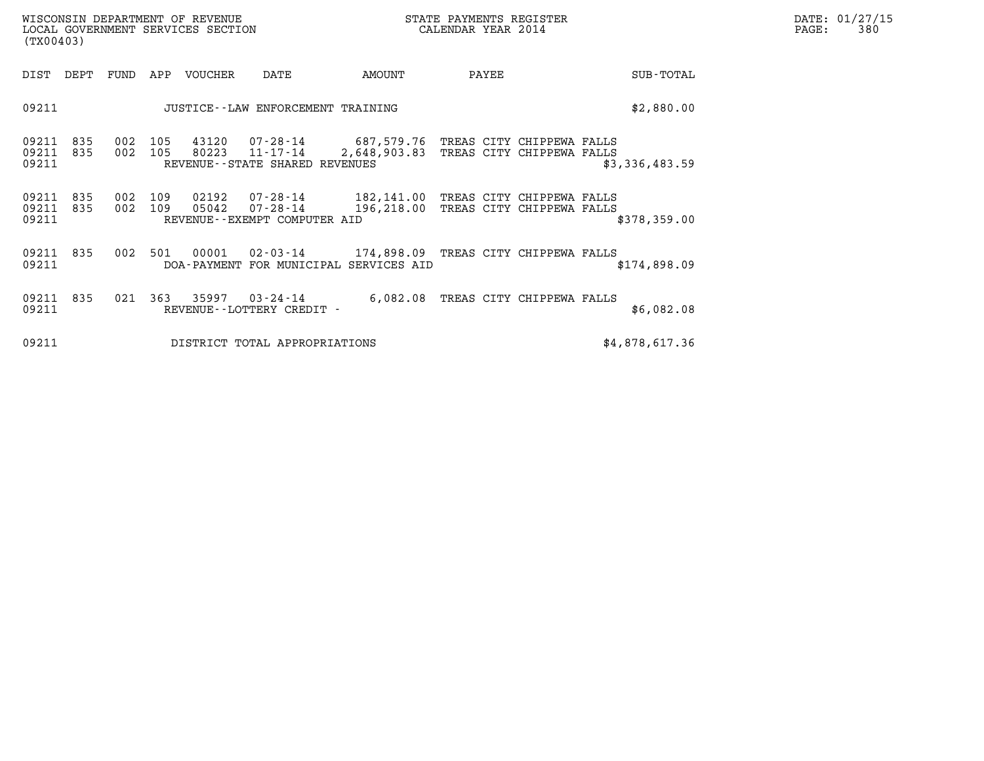| WISCONSIN DEPARTMENT OF REVENUE<br>LOCAL GOVERNMENT SERVICES SECTION<br>(TX00403) |                                     |            |            |                |                                                                                                      |                                                                              | STATE PAYMENTS REGISTER<br>CALENDAR YEAR 2014 |                  | DATE: 01/27/15<br>PAGE:<br>380 |
|-----------------------------------------------------------------------------------|-------------------------------------|------------|------------|----------------|------------------------------------------------------------------------------------------------------|------------------------------------------------------------------------------|-----------------------------------------------|------------------|--------------------------------|
| DIST                                                                              | DEPT                                | FUND       | APP        | VOUCHER        | DATE                                                                                                 | AMOUNT                                                                       | PAYEE                                         | <b>SUB-TOTAL</b> |                                |
| 09211                                                                             | JUSTICE -- LAW ENFORCEMENT TRAINING |            |            |                |                                                                                                      |                                                                              |                                               | \$2,880.00       |                                |
| 09211<br>09211<br>09211                                                           | 835<br>835                          | 002<br>002 | 105<br>105 | 43120<br>80223 | 07-28-14 687,579.76 TREAS CITY CHIPPEWA FALLS<br>$11 - 17 - 14$<br>REVENUE - - STATE SHARED REVENUES | 2,648,903.83 TREAS CITY CHIPPEWA FALLS                                       |                                               | \$3,336,483.59   |                                |
| 09211<br>09211<br>09211                                                           | 835<br>835                          | 002<br>002 | 109<br>109 | 02192<br>05042 | 07-28-14<br>07-28-14<br>REVENUE--EXEMPT COMPUTER AID                                                 | 182,141.00 TREAS CITY CHIPPEWA FALLS<br>196,218.00 TREAS CITY CHIPPEWA FALLS |                                               | \$378,359.00     |                                |
| 09211<br>09211                                                                    | 835                                 | 002        | 501        | 00001          | DOA-PAYMENT FOR MUNICIPAL SERVICES AID                                                               | 02-03-14 174,898.09 TREAS CITY CHIPPEWA FALLS                                |                                               | \$174,898.09     |                                |
| 09211<br>09211                                                                    | 835                                 | 021        | 363        | 35997          | $03 - 24 - 14$<br>REVENUE--LOTTERY CREDIT -                                                          |                                                                              | 6,082.08 TREAS CITY CHIPPEWA FALLS            | \$6,082.08       |                                |
| 09211<br>DISTRICT TOTAL APPROPRIATIONS                                            |                                     |            |            |                |                                                                                                      |                                                                              |                                               | \$4,878,617.36   |                                |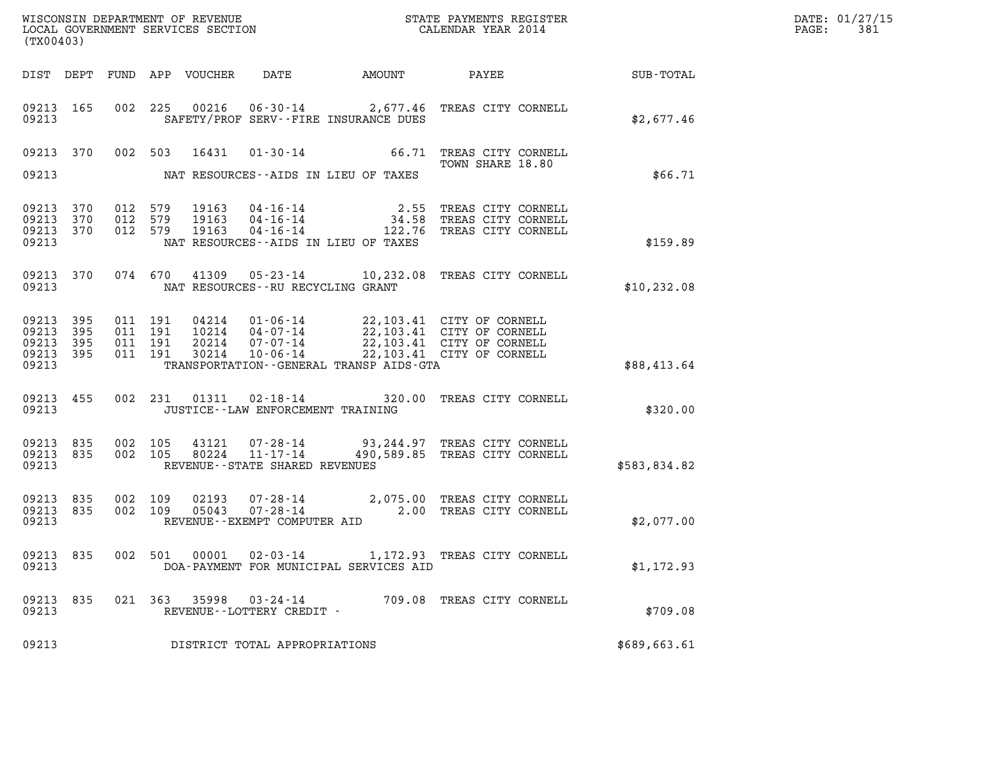| DATE: | 01/27/15 |
|-------|----------|
| PAGE: | 381      |

| (TX00403)                                             |           |                                          |         |                                 |                                                              |                                            |                                                                                                                                                                                 |              | DATE: 01/27/15<br>PAGE:<br>381 |
|-------------------------------------------------------|-----------|------------------------------------------|---------|---------------------------------|--------------------------------------------------------------|--------------------------------------------|---------------------------------------------------------------------------------------------------------------------------------------------------------------------------------|--------------|--------------------------------|
|                                                       |           |                                          |         | DIST DEPT FUND APP VOUCHER DATE |                                                              | AMOUNT                                     | <b>PAYEE</b> FOR THE PAYEE                                                                                                                                                      | SUB-TOTAL    |                                |
| 09213 165<br>09213                                    |           |                                          |         |                                 |                                                              | SAFETY/PROF SERV--FIRE INSURANCE DUES      | 002 225 00216 06-30-14 2,677.46 TREAS CITY CORNELL                                                                                                                              | \$2,677.46   |                                |
| 09213                                                 |           |                                          |         | 09213 370 002 503 16431         |                                                              | NAT RESOURCES--AIDS IN LIEU OF TAXES       | 01-30-14 66.71 TREAS CITY CORNELL<br>TOWN SHARE 18.80                                                                                                                           | \$66.71      |                                |
| 09213<br>09213 370<br>09213 370<br>09213              | 370       | 012 579<br>012 579<br>012 579            |         | 19163<br>19163<br>19163         |                                                              | NAT RESOURCES--AIDS IN LIEU OF TAXES       | 04-16-14 2.55 TREAS CITY CORNELL<br>04-16-14 34.58 TREAS CITY CORNELL<br>04-16-14 122.76 TREAS CITY CORNELL                                                                     | \$159.89     |                                |
| 09213                                                 | 09213 370 |                                          | 074 670 | 41309                           | NAT RESOURCES - - RU RECYCLING GRANT                         |                                            | 05-23-14 10,232.08 TREAS CITY CORNELL                                                                                                                                           | \$10, 232.08 |                                |
| 09213 395<br>09213 395<br>09213<br>09213 395<br>09213 | 395       | 011 191<br>011 191<br>011 191<br>011 191 |         | 30214                           |                                                              | TRANSPORTATION - - GENERAL TRANSP AIDS-GTA | 04214  01-06-14  22,103.41  CITY OF CORNELL<br>10214  04-07-14  22,103.41  CITY OF CORNELL<br>20214  07-07-14  22,103.41  CITY OF CORNELL<br>10-06-14 22,103.41 CITY OF CORNELL | \$88,413.64  |                                |
| 09213                                                 | 09213 455 |                                          |         |                                 | JUSTICE - - LAW ENFORCEMENT TRAINING                         |                                            | 002 231 01311 02-18-14 320.00 TREAS CITY CORNELL                                                                                                                                | \$320.00     |                                |
| 09213 835<br>09213 835<br>09213                       |           | 002 105<br>002 105                       |         | 80224                           | 43121 07-28-14<br>11-17-14<br>REVENUE--STATE SHARED REVENUES |                                            | 93,244.97 TREAS CITY CORNELL<br>490,589.85 TREAS CITY CORNELL                                                                                                                   | \$583,834.82 |                                |
| 09213<br>09213 835<br>09213                           | 835       | 002 109<br>002 109                       |         | 02193<br>05043                  | REVENUE--EXEMPT COMPUTER AID                                 |                                            | 07-28-14 2,075.00 TREAS CITY CORNELL<br>07-28-14 2.00 TREAS CITY CORNELL                                                                                                        | \$2,077.00   |                                |
| 09213 835<br>09213                                    |           |                                          |         | 002 501 00001                   |                                                              | DOA-PAYMENT FOR MUNICIPAL SERVICES AID     | 02-03-14 1,172.93 TREAS CITY CORNELL                                                                                                                                            | \$1,172.93   |                                |
| 09213 835<br>09213                                    |           |                                          |         | 021 363 35998                   | 03-24-14<br>REVENUE--LOTTERY CREDIT -                        |                                            | 709.08 TREAS CITY CORNELL                                                                                                                                                       | \$709.08     |                                |
| 09213<br>DISTRICT TOTAL APPROPRIATIONS                |           |                                          |         |                                 |                                                              |                                            | \$689,663.61                                                                                                                                                                    |              |                                |